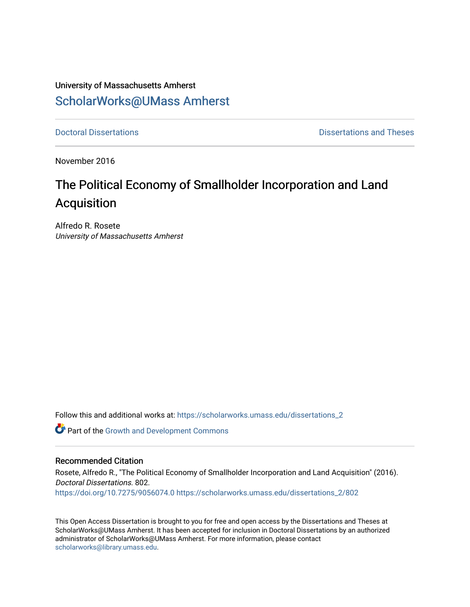## University of Massachusetts Amherst [ScholarWorks@UMass Amherst](https://scholarworks.umass.edu/)

**[Doctoral Dissertations](https://scholarworks.umass.edu/dissertations_2) Contract Contract Contract Contract Contract Contract Contract Contract Contract Contract Contract Contract Contract Contract Contract Contract Contract Contract Contract Contract Contract Contract** 

November 2016

# The Political Economy of Smallholder Incorporation and Land Acquisition

Alfredo R. Rosete University of Massachusetts Amherst

Follow this and additional works at: [https://scholarworks.umass.edu/dissertations\\_2](https://scholarworks.umass.edu/dissertations_2?utm_source=scholarworks.umass.edu%2Fdissertations_2%2F802&utm_medium=PDF&utm_campaign=PDFCoverPages)

Part of the [Growth and Development Commons](http://network.bepress.com/hgg/discipline/346?utm_source=scholarworks.umass.edu%2Fdissertations_2%2F802&utm_medium=PDF&utm_campaign=PDFCoverPages) 

#### Recommended Citation

Rosete, Alfredo R., "The Political Economy of Smallholder Incorporation and Land Acquisition" (2016). Doctoral Dissertations. 802. <https://doi.org/10.7275/9056074.0> [https://scholarworks.umass.edu/dissertations\\_2/802](https://scholarworks.umass.edu/dissertations_2/802?utm_source=scholarworks.umass.edu%2Fdissertations_2%2F802&utm_medium=PDF&utm_campaign=PDFCoverPages)

This Open Access Dissertation is brought to you for free and open access by the Dissertations and Theses at ScholarWorks@UMass Amherst. It has been accepted for inclusion in Doctoral Dissertations by an authorized administrator of ScholarWorks@UMass Amherst. For more information, please contact [scholarworks@library.umass.edu.](mailto:scholarworks@library.umass.edu)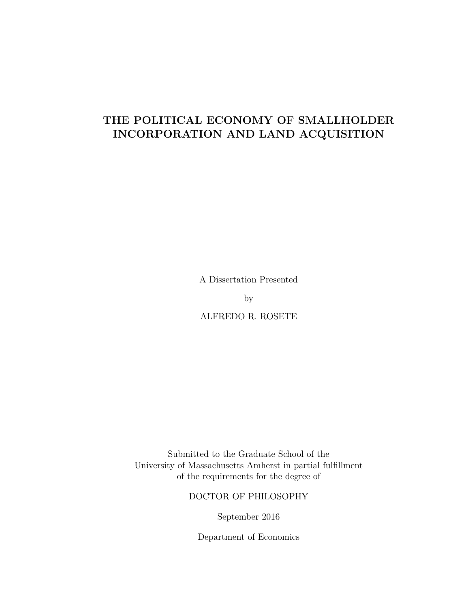### **THE POLITICAL ECONOMY OF SMALLHOLDER INCORPORATION AND LAND ACQUISITION**

A Dissertation Presented

by

ALFREDO R. ROSETE

Submitted to the Graduate School of the University of Massachusetts Amherst in partial fulfillment of the requirements for the degree of

#### DOCTOR OF PHILOSOPHY

September 2016

Department of Economics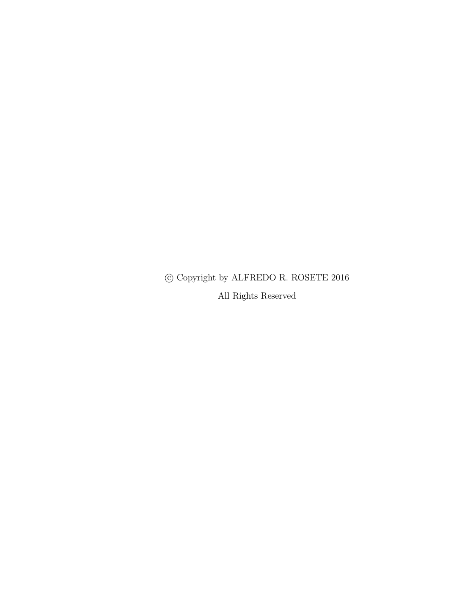$\copyright$  Copyright by ALFREDO R. ROSETE 2016

All Rights Reserved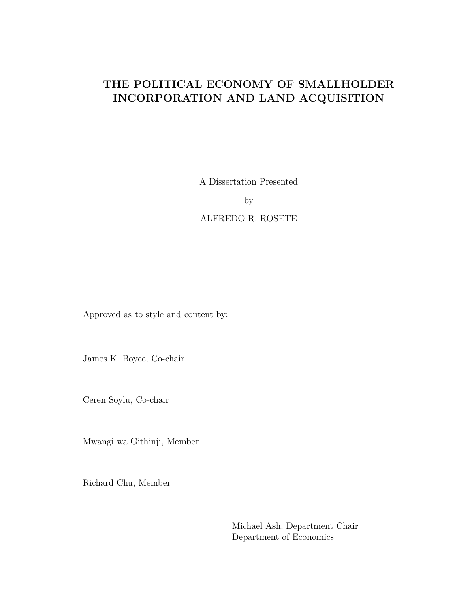## **THE POLITICAL ECONOMY OF SMALLHOLDER INCORPORATION AND LAND ACQUISITION**

A Dissertation Presented

by

ALFREDO R. ROSETE

Approved as to style and content by:

James K. Boyce, Co-chair

Ceren Soylu, Co-chair

Mwangi wa Githinji, Member

Richard Chu, Member

Michael Ash, Department Chair Department of Economics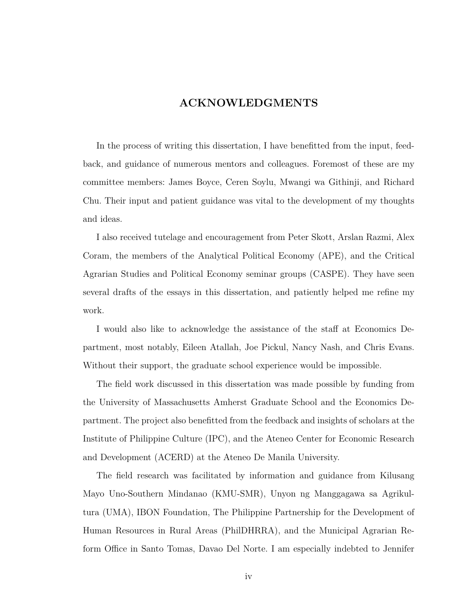### **ACKNOWLEDGMENTS**

<span id="page-4-0"></span>In the process of writing this dissertation, I have benefitted from the input, feedback, and guidance of numerous mentors and colleagues. Foremost of these are my committee members: James Boyce, Ceren Soylu, Mwangi wa Githinji, and Richard Chu. Their input and patient guidance was vital to the development of my thoughts and ideas.

I also received tutelage and encouragement from Peter Skott, Arslan Razmi, Alex Coram, the members of the Analytical Political Economy (APE), and the Critical Agrarian Studies and Political Economy seminar groups (CASPE). They have seen several drafts of the essays in this dissertation, and patiently helped me refine my work.

I would also like to acknowledge the assistance of the staff at Economics Department, most notably, Eileen Atallah, Joe Pickul, Nancy Nash, and Chris Evans. Without their support, the graduate school experience would be impossible.

The field work discussed in this dissertation was made possible by funding from the University of Massachusetts Amherst Graduate School and the Economics Department. The project also benefitted from the feedback and insights of scholars at the Institute of Philippine Culture (IPC), and the Ateneo Center for Economic Research and Development (ACERD) at the Ateneo De Manila University.

The field research was facilitated by information and guidance from Kilusang Mayo Uno-Southern Mindanao (KMU-SMR), Unyon ng Manggagawa sa Agrikultura (UMA), IBON Foundation, The Philippine Partnership for the Development of Human Resources in Rural Areas (PhilDHRRA), and the Municipal Agrarian Reform Office in Santo Tomas, Davao Del Norte. I am especially indebted to Jennifer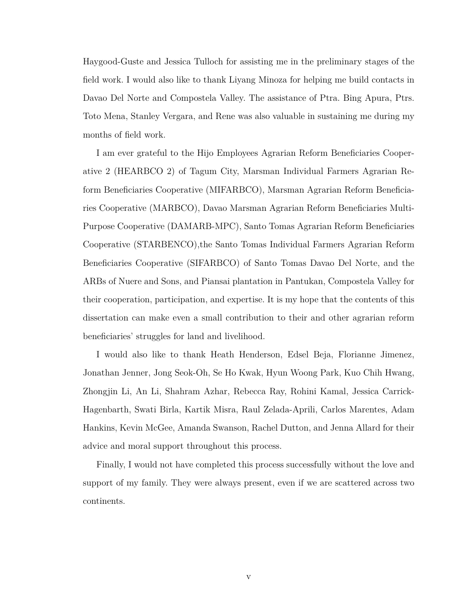Haygood-Guste and Jessica Tulloch for assisting me in the preliminary stages of the field work. I would also like to thank Liyang Minoza for helping me build contacts in Davao Del Norte and Compostela Valley. The assistance of Ptra. Bing Apura, Ptrs. Toto Mena, Stanley Vergara, and Rene was also valuable in sustaining me during my months of field work.

I am ever grateful to the Hijo Employees Agrarian Reform Beneficiaries Cooperative 2 (HEARBCO 2) of Tagum City, Marsman Individual Farmers Agrarian Reform Beneficiaries Cooperative (MIFARBCO), Marsman Agrarian Reform Beneficiaries Cooperative (MARBCO), Davao Marsman Agrarian Reform Beneficiaries Multi-Purpose Cooperative (DAMARB-MPC), Santo Tomas Agrarian Reform Beneficiaries Cooperative (STARBENCO),the Santo Tomas Individual Farmers Agrarian Reform Beneficiaries Cooperative (SIFARBCO) of Santo Tomas Davao Del Norte, and the ARBs of Nuere and Sons, and Piansai plantation in Pantukan, Compostela Valley for their cooperation, participation, and expertise. It is my hope that the contents of this dissertation can make even a small contribution to their and other agrarian reform beneficiaries' struggles for land and livelihood.

I would also like to thank Heath Henderson, Edsel Beja, Florianne Jimenez, Jonathan Jenner, Jong Seok-Oh, Se Ho Kwak, Hyun Woong Park, Kuo Chih Hwang, Zhongjin Li, An Li, Shahram Azhar, Rebecca Ray, Rohini Kamal, Jessica Carrick-Hagenbarth, Swati Birla, Kartik Misra, Raul Zelada-Aprili, Carlos Marentes, Adam Hankins, Kevin McGee, Amanda Swanson, Rachel Dutton, and Jenna Allard for their advice and moral support throughout this process.

Finally, I would not have completed this process successfully without the love and support of my family. They were always present, even if we are scattered across two continents.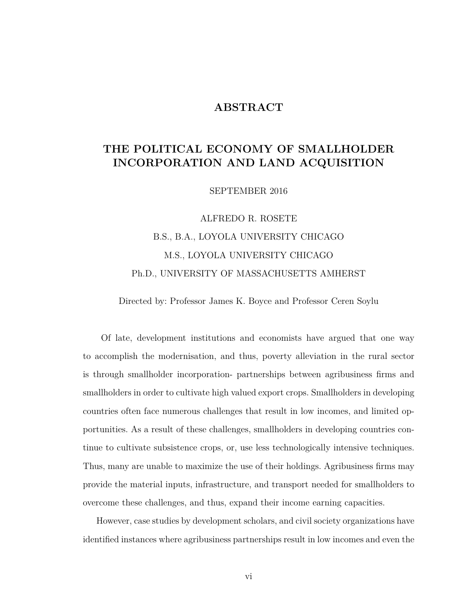### **ABSTRACT**

### <span id="page-6-0"></span>**THE POLITICAL ECONOMY OF SMALLHOLDER INCORPORATION AND LAND ACQUISITION**

SEPTEMBER 2016

ALFREDO R. ROSETE B.S., B.A., LOYOLA UNIVERSITY CHICAGO M.S., LOYOLA UNIVERSITY CHICAGO Ph.D., UNIVERSITY OF MASSACHUSETTS AMHERST

Directed by: Professor James K. Boyce and Professor Ceren Soylu

Of late, development institutions and economists have argued that one way to accomplish the modernisation, and thus, poverty alleviation in the rural sector is through smallholder incorporation- partnerships between agribusiness firms and smallholders in order to cultivate high valued export crops. Smallholders in developing countries often face numerous challenges that result in low incomes, and limited opportunities. As a result of these challenges, smallholders in developing countries continue to cultivate subsistence crops, or, use less technologically intensive techniques. Thus, many are unable to maximize the use of their holdings. Agribusiness firms may provide the material inputs, infrastructure, and transport needed for smallholders to overcome these challenges, and thus, expand their income earning capacities.

However, case studies by development scholars, and civil society organizations have identified instances where agribusiness partnerships result in low incomes and even the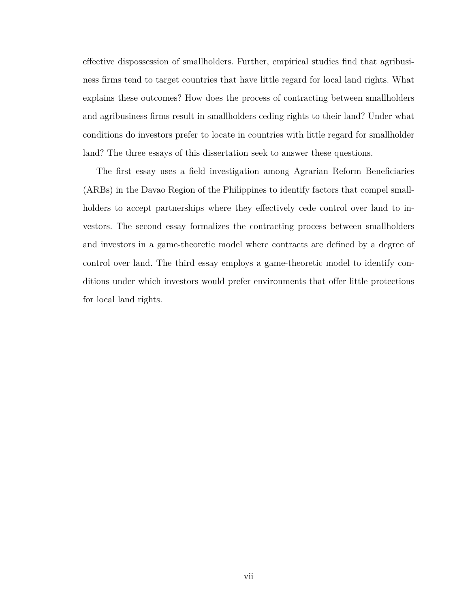effective dispossession of smallholders. Further, empirical studies find that agribusiness firms tend to target countries that have little regard for local land rights. What explains these outcomes? How does the process of contracting between smallholders and agribusiness firms result in smallholders ceding rights to their land? Under what conditions do investors prefer to locate in countries with little regard for smallholder land? The three essays of this dissertation seek to answer these questions.

The first essay uses a field investigation among Agrarian Reform Beneficiaries (ARBs) in the Davao Region of the Philippines to identify factors that compel smallholders to accept partnerships where they effectively cede control over land to investors. The second essay formalizes the contracting process between smallholders and investors in a game-theoretic model where contracts are defined by a degree of control over land. The third essay employs a game-theoretic model to identify conditions under which investors would prefer environments that offer little protections for local land rights.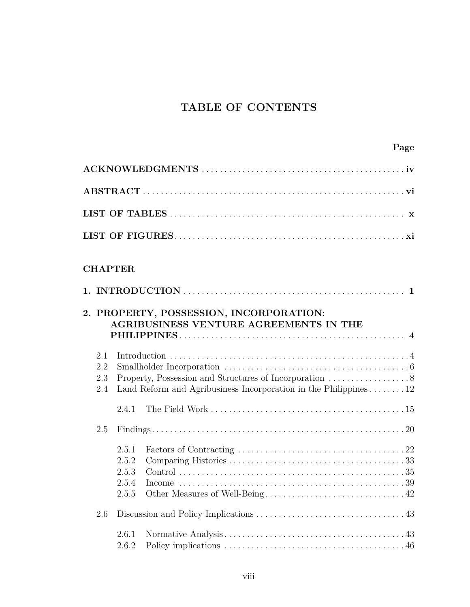## **TABLE OF CONTENTS**

|                          | <b>CHAPTER</b>                            |                                                                                          |
|--------------------------|-------------------------------------------|------------------------------------------------------------------------------------------|
|                          |                                           | 2. PROPERTY, POSSESSION, INCORPORATION:<br><b>AGRIBUSINESS VENTURE AGREEMENTS IN THE</b> |
| 2.1<br>2.2<br>2.3<br>2.4 |                                           | Land Reform and Agribusiness Incorporation in the Philippines $\ldots \ldots \ldots 12$  |
|                          | 2.4.1                                     |                                                                                          |
| 2.5                      |                                           |                                                                                          |
|                          | 2.5.1<br>2.5.2<br>2.5.3<br>2.5.4<br>2.5.5 |                                                                                          |
| 2.6                      |                                           |                                                                                          |
|                          | 2.6.1<br>2.6.2                            |                                                                                          |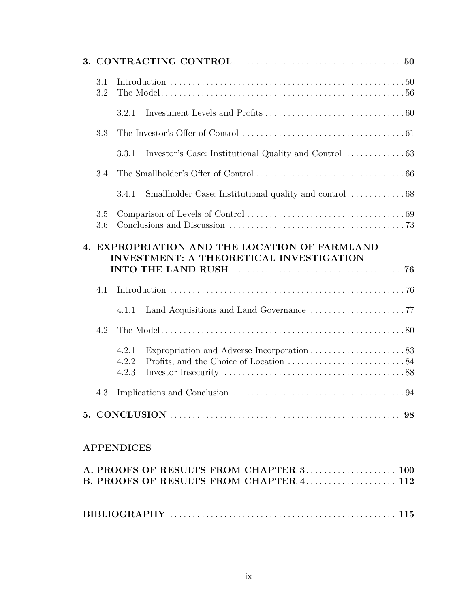| 3.1<br>3.2 |                                                                                                 |
|------------|-------------------------------------------------------------------------------------------------|
|            | 3.2.1                                                                                           |
| 3.3        |                                                                                                 |
|            | 3.3.1                                                                                           |
| 3.4        |                                                                                                 |
|            | 3.4.1                                                                                           |
| 3.5<br>3.6 |                                                                                                 |
|            | 4. EXPROPRIATION AND THE LOCATION OF FARMLAND<br><b>INVESTMENT: A THEORETICAL INVESTIGATION</b> |
| 4.1        |                                                                                                 |
|            | 4.1.1                                                                                           |
| 4.2        |                                                                                                 |
|            | 4.2.1<br>4.2.2<br>4.2.3                                                                         |
| 4.3        |                                                                                                 |
|            |                                                                                                 |
|            |                                                                                                 |

|  |  |  |  |  |  |  |  |  |  |  |  |  |  | A. PROOFS OF RESULTS FROM CHAPTER 3 100 |
|--|--|--|--|--|--|--|--|--|--|--|--|--|--|-----------------------------------------|
|  |  |  |  |  |  |  |  |  |  |  |  |  |  |                                         |
|  |  |  |  |  |  |  |  |  |  |  |  |  |  |                                         |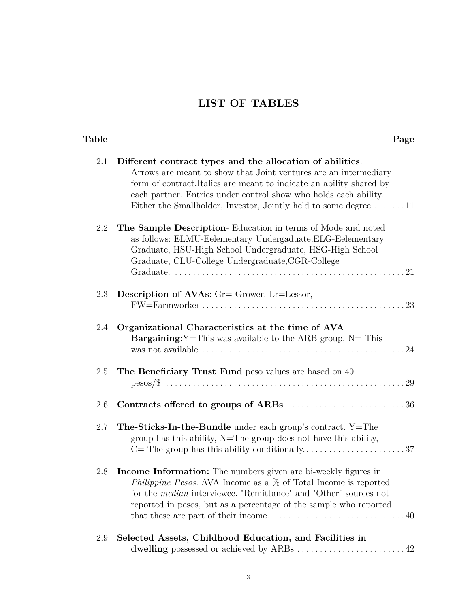# **LIST OF TABLES**

#### <span id="page-10-0"></span>**Table Page**

| 2.1 | Different contract types and the allocation of abilities.<br>Arrows are meant to show that Joint ventures are an intermediary<br>form of contract. Italics are meant to indicate an ability shared by<br>each partner. Entries under control show who holds each ability.<br>Either the Smallholder, Investor, Jointly held to some degree11                                            |
|-----|-----------------------------------------------------------------------------------------------------------------------------------------------------------------------------------------------------------------------------------------------------------------------------------------------------------------------------------------------------------------------------------------|
| 2.2 | The Sample Description-Education in terms of Mode and noted<br>as follows: ELMU-Eelementary Undergaduate, ELG-Eelementary<br>Graduate, HSU-High School Undergraduate, HSG-High School<br>Graduate, CLU-College Undergraduate, CGR-College                                                                                                                                               |
| 2.3 | Description of AVAs: $Gr = G$ rower, $Er = L \cdot e$ ssor,                                                                                                                                                                                                                                                                                                                             |
| 2.4 | Organizational Characteristics at the time of AVA<br><b>Bargaining:</b> Y=This was available to the ARB group, $N =$ This                                                                                                                                                                                                                                                               |
| 2.5 | The Beneficiary Trust Fund peso values are based on 40                                                                                                                                                                                                                                                                                                                                  |
| 2.6 | Contracts offered to groups of ARBs 36                                                                                                                                                                                                                                                                                                                                                  |
| 2.7 | The-Sticks-In-the-Bundle under each group's contract. Y=The<br>group has this ability, $N=$ The group does not have this ability,                                                                                                                                                                                                                                                       |
| 2.8 | Income Information: The numbers given are bi-weekly figures in<br>Philippine Pesos. AVA Income as a $\%$ of Total Income is reported<br>for the <i>median</i> interviewee. "Remittance" and "Other" sources not<br>reported in pesos, but as a percentage of the sample who reported<br>that these are part of their income. $\dots \dots \dots \dots \dots \dots \dots \dots \dots 40$ |
| 2.9 | Selected Assets, Childhood Education, and Facilities in<br>dwelling possessed or achieved by ARBs  42                                                                                                                                                                                                                                                                                   |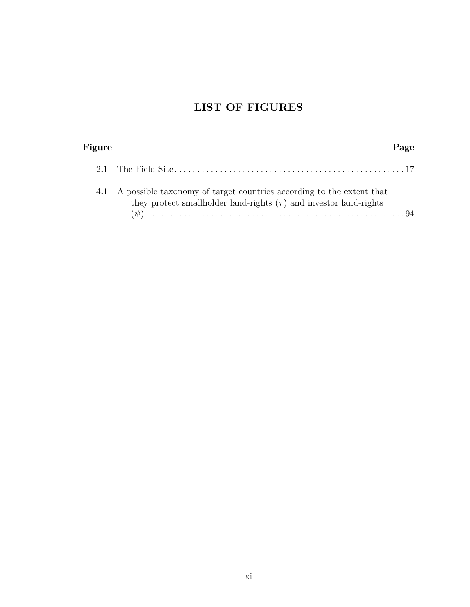# **LIST OF FIGURES**

<span id="page-11-0"></span>

| Figure | Page                                                                                                                                               |
|--------|----------------------------------------------------------------------------------------------------------------------------------------------------|
|        |                                                                                                                                                    |
|        | 4.1 A possible taxonomy of target countries according to the extent that<br>they protect smallholder land-rights $(\tau)$ and investor land-rights |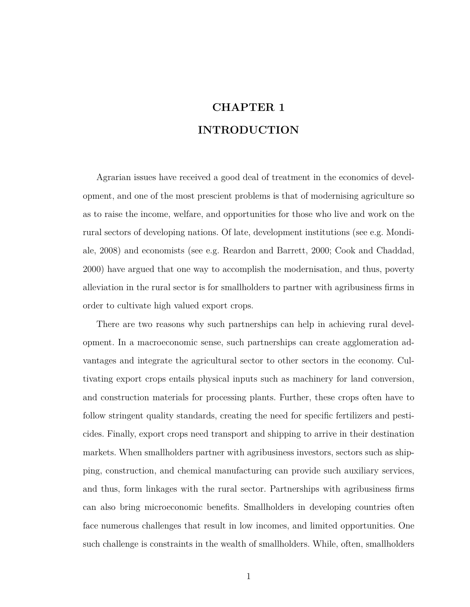# **CHAPTER 1 INTRODUCTION**

<span id="page-12-0"></span>Agrarian issues have received a good deal of treatment in the economics of development, and one of the most prescient problems is that of modernising agriculture so as to raise the income, welfare, and opportunities for those who live and work on the rural sectors of developing nations. Of late, development institutions (see e.g. [Mondi](#page-130-0)[ale, 2008\)](#page-130-0) and economists (see e.g. [Reardon and Barrett, 2000;](#page-130-1) [Cook and Chaddad,](#page-127-0) [2000\)](#page-127-0) have argued that one way to accomplish the modernisation, and thus, poverty alleviation in the rural sector is for smallholders to partner with agribusiness firms in order to cultivate high valued export crops.

There are two reasons why such partnerships can help in achieving rural development. In a macroeconomic sense, such partnerships can create agglomeration advantages and integrate the agricultural sector to other sectors in the economy. Cultivating export crops entails physical inputs such as machinery for land conversion, and construction materials for processing plants. Further, these crops often have to follow stringent quality standards, creating the need for specific fertilizers and pesticides. Finally, export crops need transport and shipping to arrive in their destination markets. When smallholders partner with agribusiness investors, sectors such as shipping, construction, and chemical manufacturing can provide such auxiliary services, and thus, form linkages with the rural sector. Partnerships with agribusiness firms can also bring microeconomic benefits. Smallholders in developing countries often face numerous challenges that result in low incomes, and limited opportunities. One such challenge is constraints in the wealth of smallholders. While, often, smallholders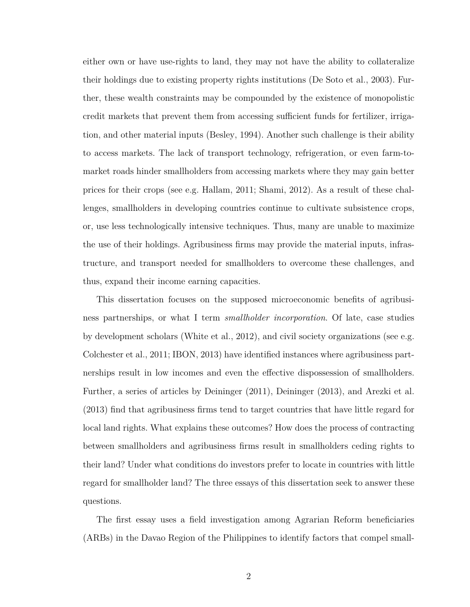either own or have use-rights to land, they may not have the ability to collateralize their holdings due to existing property rights institutions [\(De Soto et al., 2003\)](#page-128-0). Further, these wealth constraints may be compounded by the existence of monopolistic credit markets that prevent them from accessing sufficient funds for fertilizer, irrigation, and other material inputs [\(Besley, 1994\)](#page-126-1). Another such challenge is their ability to access markets. The lack of transport technology, refrigeration, or even farm-tomarket roads hinder smallholders from accessing markets where they may gain better prices for their crops (see e.g. [Hallam, 2011;](#page-129-0) [Shami, 2012\)](#page-131-0). As a result of these challenges, smallholders in developing countries continue to cultivate subsistence crops, or, use less technologically intensive techniques. Thus, many are unable to maximize the use of their holdings. Agribusiness firms may provide the material inputs, infrastructure, and transport needed for smallholders to overcome these challenges, and thus, expand their income earning capacities.

This dissertation focuses on the supposed microeconomic benefits of agribusiness partnerships, or what I term *smallholder incorporation*. Of late, case studies by development scholars [\(White et al., 2012\)](#page-131-1), and civil society organizations (see e.g. [Colchester et al., 2011;](#page-127-1) [IBON, 2013\)](#page-129-1) have identified instances where agribusiness partnerships result in low incomes and even the effective dispossession of smallholders. Further, a series of articles by [Deininger](#page-128-1) [\(2011\)](#page-128-1), [Deininger](#page-128-2) [\(2013\)](#page-128-2), and [Arezki et al.](#page-126-2) [\(2013\)](#page-126-2) find that agribusiness firms tend to target countries that have little regard for local land rights. What explains these outcomes? How does the process of contracting between smallholders and agribusiness firms result in smallholders ceding rights to their land? Under what conditions do investors prefer to locate in countries with little regard for smallholder land? The three essays of this dissertation seek to answer these questions.

The first essay uses a field investigation among Agrarian Reform beneficiaries (ARBs) in the Davao Region of the Philippines to identify factors that compel small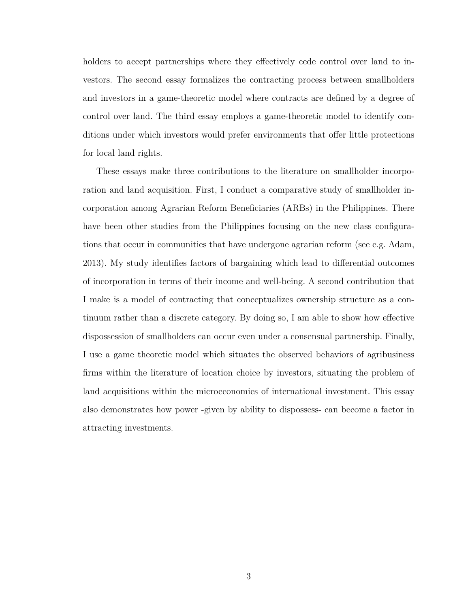holders to accept partnerships where they effectively cede control over land to investors. The second essay formalizes the contracting process between smallholders and investors in a game-theoretic model where contracts are defined by a degree of control over land. The third essay employs a game-theoretic model to identify conditions under which investors would prefer environments that offer little protections for local land rights.

These essays make three contributions to the literature on smallholder incorporation and land acquisition. First, I conduct a comparative study of smallholder incorporation among Agrarian Reform Beneficiaries (ARBs) in the Philippines. There have been other studies from the Philippines focusing on the new class configurations that occur in communities that have undergone agrarian reform (see e.g. [Adam,](#page-126-3) [2013\)](#page-126-3). My study identifies factors of bargaining which lead to differential outcomes of incorporation in terms of their income and well-being. A second contribution that I make is a model of contracting that conceptualizes ownership structure as a continuum rather than a discrete category. By doing so, I am able to show how effective dispossession of smallholders can occur even under a consensual partnership. Finally, I use a game theoretic model which situates the observed behaviors of agribusiness firms within the literature of location choice by investors, situating the problem of land acquisitions within the microeconomics of international investment. This essay also demonstrates how power -given by ability to dispossess- can become a factor in attracting investments.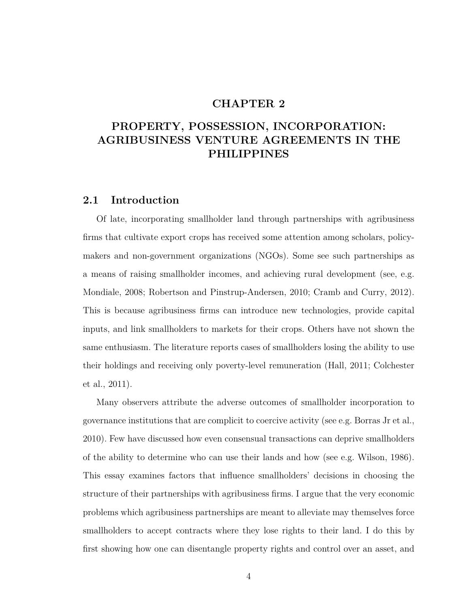#### **CHAPTER 2**

## <span id="page-15-0"></span>**PROPERTY, POSSESSION, INCORPORATION: AGRIBUSINESS VENTURE AGREEMENTS IN THE PHILIPPINES**

### <span id="page-15-1"></span>**2.1 Introduction**

Of late, incorporating smallholder land through partnerships with agribusiness firms that cultivate export crops has received some attention among scholars, policymakers and non-government organizations (NGOs). Some see such partnerships as a means of raising smallholder incomes, and achieving rural development (see, e.g. [Mondiale, 2008;](#page-130-0) [Robertson and Pinstrup-Andersen, 2010;](#page-130-2) [Cramb and Curry, 2012\)](#page-127-2). This is because agribusiness firms can introduce new technologies, provide capital inputs, and link smallholders to markets for their crops. Others have not shown the same enthusiasm. The literature reports cases of smallholders losing the ability to use their holdings and receiving only poverty-level remuneration [\(Hall, 2011;](#page-129-2) [Colchester](#page-127-1) [et al., 2011\)](#page-127-1).

Many observers attribute the adverse outcomes of smallholder incorporation to governance institutions that are complicit to coercive activity (see e.g. [Borras Jr et al.,](#page-127-3) [2010\)](#page-127-3). Few have discussed how even consensual transactions can deprive smallholders of the ability to determine who can use their lands and how (see e.g. [Wilson, 1986\)](#page-131-2). This essay examines factors that influence smallholders' decisions in choosing the structure of their partnerships with agribusiness firms. I argue that the very economic problems which agribusiness partnerships are meant to alleviate may themselves force smallholders to accept contracts where they lose rights to their land. I do this by first showing how one can disentangle property rights and control over an asset, and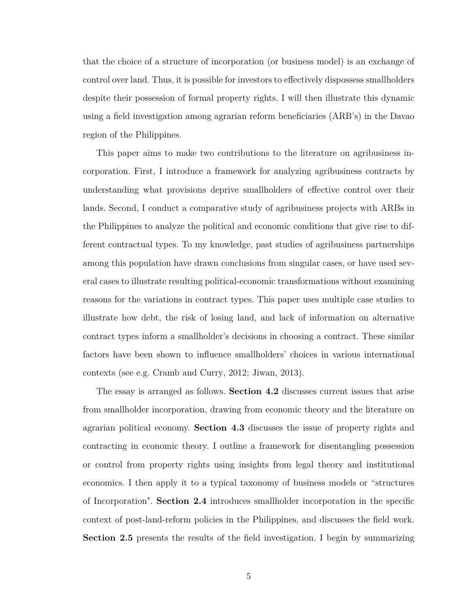that the choice of a structure of incorporation (or business model) is an exchange of control over land. Thus, it is possible for investors to effectively dispossess smallholders despite their possession of formal property rights. I will then illustrate this dynamic using a field investigation among agrarian reform beneficiaries (ARB's) in the Davao region of the Philippines.

This paper aims to make two contributions to the literature on agribusiness incorporation. First, I introduce a framework for analyzing agribusiness contracts by understanding what provisions deprive smallholders of effective control over their lands. Second, I conduct a comparative study of agribusiness projects with ARBs in the Philippines to analyze the political and economic conditions that give rise to different contractual types. To my knowledge, past studies of agribusiness partnerships among this population have drawn conclusions from singular cases, or have used several cases to illustrate resulting political-economic transformations without examining reasons for the variations in contract types. This paper uses multiple case studies to illustrate how debt, the risk of losing land, and lack of information on alternative contract types inform a smallholder's decisions in choosing a contract. These similar factors have been shown to influence smallholders' choices in various international contexts (see e.g. [Cramb and Curry, 2012;](#page-127-2) [Jiwan, 2013\)](#page-129-3).

The essay is arranged as follows. **Section [4.2](#page-91-0)** discusses current issues that arise from smallholder incorporation, drawing from economic theory and the literature on agrarian political economy. **Section [4.3](#page-105-0)** discusses the issue of property rights and contracting in economic theory. I outline a framework for disentangling possession or control from property rights using insights from legal theory and institutional economics. I then apply it to a typical taxonomy of business models or "structures of Incorporation". **Section [2.4](#page-23-0)** introduces smallholder incorporation in the specific context of post-land-reform policies in the Philippines, and discusses the field work. **Section [2.5](#page-31-0)** presents the results of the field investigation. I begin by summarizing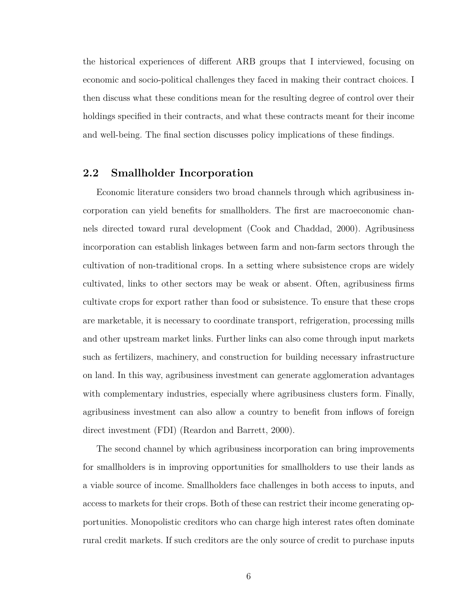the historical experiences of different ARB groups that I interviewed, focusing on economic and socio-political challenges they faced in making their contract choices. I then discuss what these conditions mean for the resulting degree of control over their holdings specified in their contracts, and what these contracts meant for their income and well-being. The final section discusses policy implications of these findings.

#### <span id="page-17-0"></span>**2.2 Smallholder Incorporation**

Economic literature considers two broad channels through which agribusiness incorporation can yield benefits for smallholders. The first are macroeconomic channels directed toward rural development [\(Cook and Chaddad, 2000\)](#page-127-0). Agribusiness incorporation can establish linkages between farm and non-farm sectors through the cultivation of non-traditional crops. In a setting where subsistence crops are widely cultivated, links to other sectors may be weak or absent. Often, agribusiness firms cultivate crops for export rather than food or subsistence. To ensure that these crops are marketable, it is necessary to coordinate transport, refrigeration, processing mills and other upstream market links. Further links can also come through input markets such as fertilizers, machinery, and construction for building necessary infrastructure on land. In this way, agribusiness investment can generate agglomeration advantages with complementary industries, especially where agribusiness clusters form. Finally, agribusiness investment can also allow a country to benefit from inflows of foreign direct investment (FDI) [\(Reardon and Barrett, 2000\)](#page-130-1).

The second channel by which agribusiness incorporation can bring improvements for smallholders is in improving opportunities for smallholders to use their lands as a viable source of income. Smallholders face challenges in both access to inputs, and access to markets for their crops. Both of these can restrict their income generating opportunities. Monopolistic creditors who can charge high interest rates often dominate rural credit markets. If such creditors are the only source of credit to purchase inputs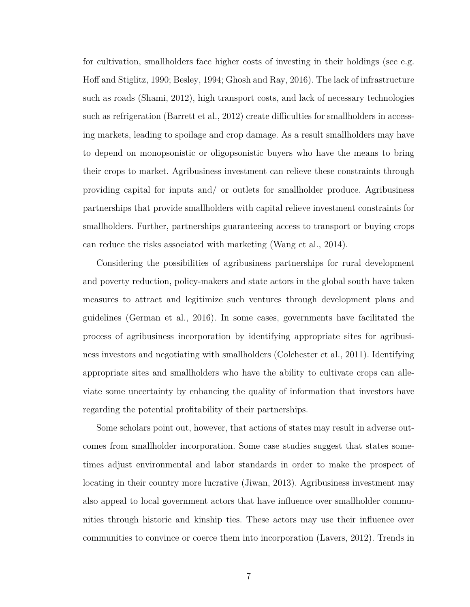for cultivation, smallholders face higher costs of investing in their holdings (see e.g. [Hoff and Stiglitz, 1990;](#page-129-4) [Besley, 1994;](#page-126-1) [Ghosh and Ray, 2016\)](#page-128-3). The lack of infrastructure such as roads [\(Shami, 2012\)](#page-131-0), high transport costs, and lack of necessary technologies such as refrigeration [\(Barrett et al., 2012\)](#page-126-4) create difficulties for smallholders in accessing markets, leading to spoilage and crop damage. As a result smallholders may have to depend on monopsonistic or oligopsonistic buyers who have the means to bring their crops to market. Agribusiness investment can relieve these constraints through providing capital for inputs and/ or outlets for smallholder produce. Agribusiness partnerships that provide smallholders with capital relieve investment constraints for smallholders. Further, partnerships guaranteeing access to transport or buying crops can reduce the risks associated with marketing [\(Wang et al., 2014\)](#page-131-3).

Considering the possibilities of agribusiness partnerships for rural development and poverty reduction, policy-makers and state actors in the global south have taken measures to attract and legitimize such ventures through development plans and guidelines [\(German et al., 2016\)](#page-128-4). In some cases, governments have facilitated the process of agribusiness incorporation by identifying appropriate sites for agribusiness investors and negotiating with smallholders [\(Colchester et al., 2011\)](#page-127-1). Identifying appropriate sites and smallholders who have the ability to cultivate crops can alleviate some uncertainty by enhancing the quality of information that investors have regarding the potential profitability of their partnerships.

Some scholars point out, however, that actions of states may result in adverse outcomes from smallholder incorporation. Some case studies suggest that states sometimes adjust environmental and labor standards in order to make the prospect of locating in their country more lucrative [\(Jiwan, 2013\)](#page-129-3). Agribusiness investment may also appeal to local government actors that have influence over smallholder communities through historic and kinship ties. These actors may use their influence over communities to convince or coerce them into incorporation [\(Lavers, 2012\)](#page-130-3). Trends in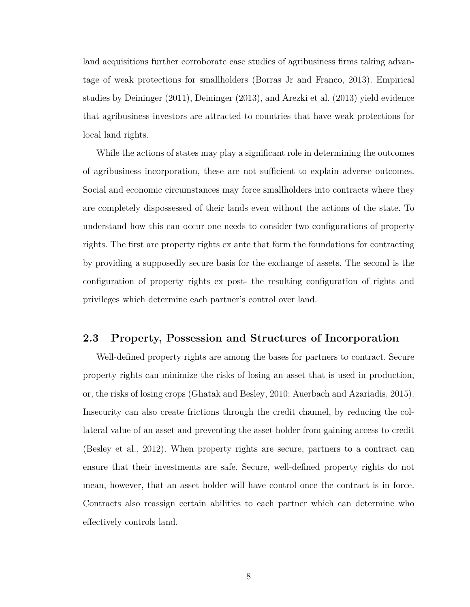land acquisitions further corroborate case studies of agribusiness firms taking advantage of weak protections for smallholders [\(Borras Jr and Franco, 2013\)](#page-127-4). Empirical studies by [Deininger](#page-128-1) [\(2011\)](#page-128-1), [Deininger](#page-128-2) [\(2013\)](#page-128-2), and [Arezki et al.](#page-126-2) [\(2013\)](#page-126-2) yield evidence that agribusiness investors are attracted to countries that have weak protections for local land rights.

While the actions of states may play a significant role in determining the outcomes of agribusiness incorporation, these are not sufficient to explain adverse outcomes. Social and economic circumstances may force smallholders into contracts where they are completely dispossessed of their lands even without the actions of the state. To understand how this can occur one needs to consider two configurations of property rights. The first are property rights ex ante that form the foundations for contracting by providing a supposedly secure basis for the exchange of assets. The second is the configuration of property rights ex post- the resulting configuration of rights and privileges which determine each partner's control over land.

### <span id="page-19-0"></span>**2.3 Property, Possession and Structures of Incorporation**

Well-defined property rights are among the bases for partners to contract. Secure property rights can minimize the risks of losing an asset that is used in production, or, the risks of losing crops [\(Ghatak and Besley, 2010;](#page-128-5) [Auerbach and Azariadis, 2015\)](#page-126-5). Insecurity can also create frictions through the credit channel, by reducing the collateral value of an asset and preventing the asset holder from gaining access to credit [\(Besley et al., 2012\)](#page-126-6). When property rights are secure, partners to a contract can ensure that their investments are safe. Secure, well-defined property rights do not mean, however, that an asset holder will have control once the contract is in force. Contracts also reassign certain abilities to each partner which can determine who effectively controls land.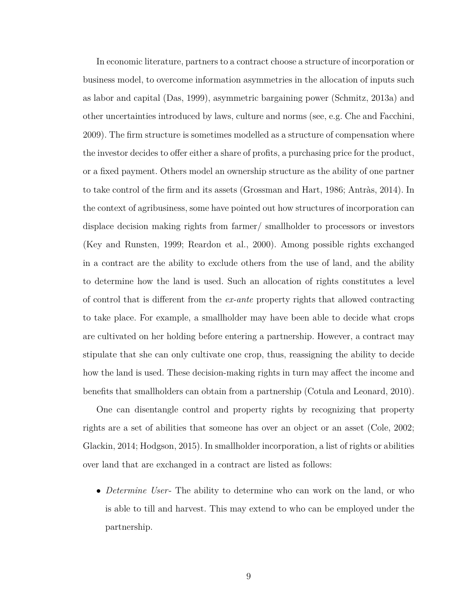In economic literature, partners to a contract choose a structure of incorporation or business model, to overcome information asymmetries in the allocation of inputs such as labor and capital [\(Das, 1999\)](#page-127-5), asymmetric bargaining power [\(Schmitz, 2013a\)](#page-131-4) and other uncertainties introduced by laws, culture and norms (see, e.g. [Che and Facchini,](#page-127-6) [2009\)](#page-127-6). The firm structure is sometimes modelled as a structure of compensation where the investor decides to offer either a share of profits, a purchasing price for the product, or a fixed payment. Others model an ownership structure as the ability of one partner to take control of the firm and its assets [\(Grossman and Hart, 1986;](#page-129-5) [Antràs, 2014\)](#page-126-7). In the context of agribusiness, some have pointed out how structures of incorporation can displace decision making rights from farmer/ smallholder to processors or investors [\(Key and Runsten, 1999;](#page-129-6) [Reardon et al., 2000\)](#page-130-4). Among possible rights exchanged in a contract are the ability to exclude others from the use of land, and the ability to determine how the land is used. Such an allocation of rights constitutes a level of control that is different from the *ex-ante* property rights that allowed contracting to take place. For example, a smallholder may have been able to decide what crops are cultivated on her holding before entering a partnership. However, a contract may stipulate that she can only cultivate one crop, thus, reassigning the ability to decide how the land is used. These decision-making rights in turn may affect the income and benefits that smallholders can obtain from a partnership [\(Cotula and Leonard, 2010\)](#page-127-7).

One can disentangle control and property rights by recognizing that property rights are a set of abilities that someone has over an object or an asset [\(Cole, 2002;](#page-127-8) [Glackin, 2014;](#page-128-6) [Hodgson, 2015\)](#page-129-7). In smallholder incorporation, a list of rights or abilities over land that are exchanged in a contract are listed as follows:

• *Determine User*- The ability to determine who can work on the land, or who is able to till and harvest. This may extend to who can be employed under the partnership.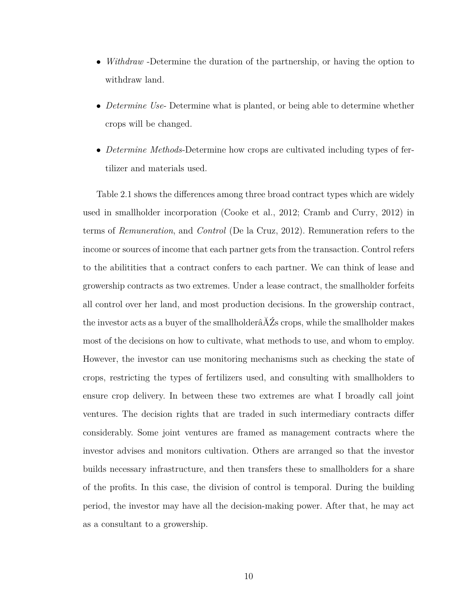- *Withdraw* -Determine the duration of the partnership, or having the option to withdraw land.
- *Determine Use* Determine what is planted, or being able to determine whether crops will be changed.
- *Determine Methods*-Determine how crops are cultivated including types of fertilizer and materials used.

Table [2.1](#page-22-0) shows the differences among three broad contract types which are widely used in smallholder incorporation [\(Cooke et al., 2012;](#page-127-9) [Cramb and Curry, 2012\)](#page-127-2) in terms of *Remuneration*, and *Control* [\(De la Cruz, 2012\)](#page-128-7). Remuneration refers to the income or sources of income that each partner gets from the transaction. Control refers to the abilitities that a contract confers to each partner. We can think of lease and growership contracts as two extremes. Under a lease contract, the smallholder forfeits all control over her land, and most production decisions. In the growership contract, the investor acts as a buyer of the smallholderâĂŹs crops, while the smallholder makes most of the decisions on how to cultivate, what methods to use, and whom to employ. However, the investor can use monitoring mechanisms such as checking the state of crops, restricting the types of fertilizers used, and consulting with smallholders to ensure crop delivery. In between these two extremes are what I broadly call joint ventures. The decision rights that are traded in such intermediary contracts differ considerably. Some joint ventures are framed as management contracts where the investor advises and monitors cultivation. Others are arranged so that the investor builds necessary infrastructure, and then transfers these to smallholders for a share of the profits. In this case, the division of control is temporal. During the building period, the investor may have all the decision-making power. After that, he may act as a consultant to a growership.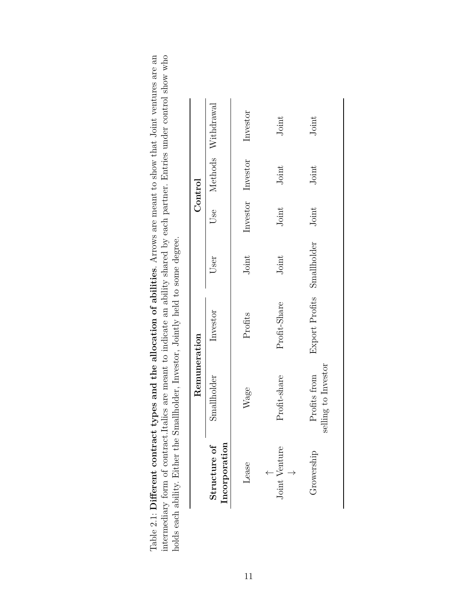<span id="page-22-0"></span>intermediary form of contract. Italics are meant to indicate an ability shared by each partner. Entries under control show who Table 2.1: Different contract types and the allocation of abilities. Arrows are meant to show that Joint ventures are an Table 2.1: Different contract types and the allocation of abilities. Arrows are meant to show that Joint ventures are an intermediary form of contract.Italics are meant to indicate an ability shared by each partner. Entries under control show who holds each ability. Either the Smallholder, Investor, Jointly held to some degree. holds each ability. Either the Smallholder, Investor, Jointly held to some degree.

|                               | Remuneration                        |                            |       |       | Control           |                    |
|-------------------------------|-------------------------------------|----------------------------|-------|-------|-------------------|--------------------|
| Incorporation<br>Structure of | Smallholder                         | Investor                   | User  | Use   |                   | Methods Withdrawal |
| Lease                         | Wage                                | Profits                    | Joint |       | Investor Investor | Investor           |
| Joint Venture                 | Profit-share                        | Profit-Share               | Joint | Joint | Joint             | Joint              |
| Growership                    | selling to Investor<br>Profits from | Export Profits Smallholder |       | Joint | Joint             | Joint              |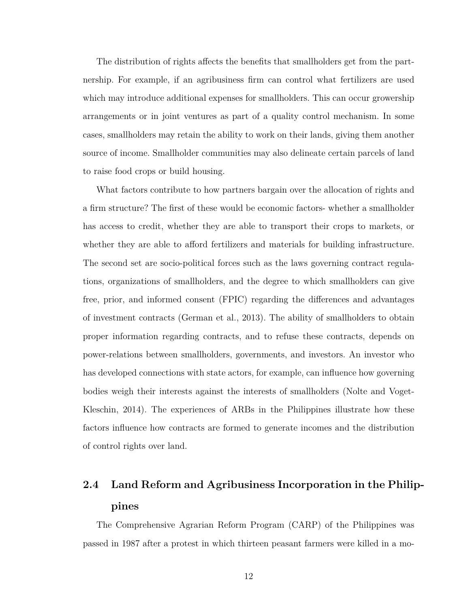The distribution of rights affects the benefits that smallholders get from the partnership. For example, if an agribusiness firm can control what fertilizers are used which may introduce additional expenses for smallholders. This can occur growership arrangements or in joint ventures as part of a quality control mechanism. In some cases, smallholders may retain the ability to work on their lands, giving them another source of income. Smallholder communities may also delineate certain parcels of land to raise food crops or build housing.

What factors contribute to how partners bargain over the allocation of rights and a firm structure? The first of these would be economic factors- whether a smallholder has access to credit, whether they are able to transport their crops to markets, or whether they are able to afford fertilizers and materials for building infrastructure. The second set are socio-political forces such as the laws governing contract regulations, organizations of smallholders, and the degree to which smallholders can give free, prior, and informed consent (FPIC) regarding the differences and advantages of investment contracts [\(German et al., 2013\)](#page-128-8). The ability of smallholders to obtain proper information regarding contracts, and to refuse these contracts, depends on power-relations between smallholders, governments, and investors. An investor who has developed connections with state actors, for example, can influence how governing bodies weigh their interests against the interests of smallholders [\(Nolte and Voget-](#page-130-5)[Kleschin, 2014\)](#page-130-5). The experiences of ARBs in the Philippines illustrate how these factors influence how contracts are formed to generate incomes and the distribution of control rights over land.

# <span id="page-23-0"></span>**2.4 Land Reform and Agribusiness Incorporation in the Philippines**

The Comprehensive Agrarian Reform Program (CARP) of the Philippines was passed in 1987 after a protest in which thirteen peasant farmers were killed in a mo-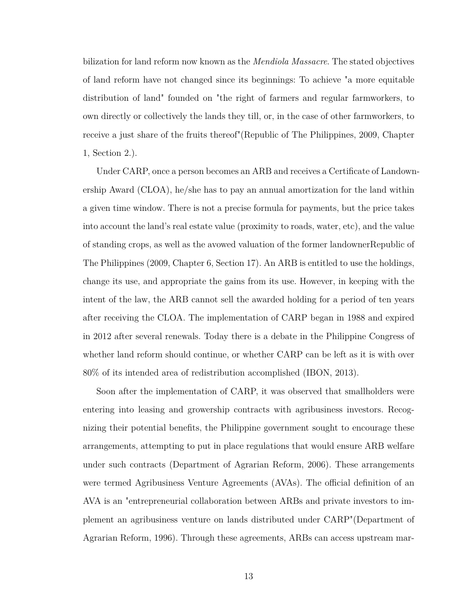bilization for land reform now known as the *Mendiola Massacre*. The stated objectives of land reform have not changed since its beginnings: To achieve "a more equitable distribution of land" founded on "the right of farmers and regular farmworkers, to own directly or collectively the lands they till, or, in the case of other farmworkers, to receive a just share of the fruits thereof"[\(Republic of The Philippines, 2009,](#page-130-6) Chapter 1, Section 2.).

Under CARP, once a person becomes an ARB and receives a Certificate of Landownership Award (CLOA), he/she has to pay an annual amortization for the land within a given time window. There is not a precise formula for payments, but the price takes into account the land's real estate value (proximity to roads, water, etc), and the value of standing crops, as well as the avowed valuation of the former landowne[rRepublic of](#page-130-6) [The Philippines](#page-130-6) [\(2009,](#page-130-6) Chapter 6, Section 17). An ARB is entitled to use the holdings, change its use, and appropriate the gains from its use. However, in keeping with the intent of the law, the ARB cannot sell the awarded holding for a period of ten years after receiving the CLOA. The implementation of CARP began in 1988 and expired in 2012 after several renewals. Today there is a debate in the Philippine Congress of whether land reform should continue, or whether CARP can be left as it is with over 80% of its intended area of redistribution accomplished [\(IBON, 2013\)](#page-129-1).

Soon after the implementation of CARP, it was observed that smallholders were entering into leasing and growership contracts with agribusiness investors. Recognizing their potential benefits, the Philippine government sought to encourage these arrangements, attempting to put in place regulations that would ensure ARB welfare under such contracts [\(Department of Agrarian Reform, 2006\)](#page-128-9). These arrangements were termed Agribusiness Venture Agreements (AVAs). The official definition of an AVA is an "entrepreneurial collaboration between ARBs and private investors to implement an agribusiness venture on lands distributed under CARP"[\(Department of](#page-128-10) [Agrarian Reform, 1996\)](#page-128-10). Through these agreements, ARBs can access upstream mar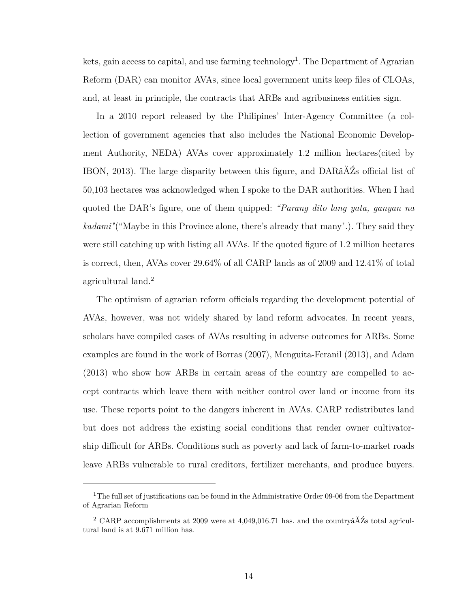kets, gain access to capital, and use farming technology<sup>[1](#page-25-0)</sup>. The Department of Agrarian Reform (DAR) can monitor AVAs, since local government units keep files of CLOAs, and, at least in principle, the contracts that ARBs and agribusiness entities sign.

In a 2010 report released by the Philipines' Inter-Agency Committee (a collection of government agencies that also includes the National Economic Development Authority, NEDA) AVAs cover approximately 1.2 million hectares(cited by [IBON, 2013\)](#page-129-1). The large disparity between this figure, and DARâĂŹs official list of 50,103 hectares was acknowledged when I spoke to the DAR authorities. When I had quoted the DAR's figure, one of them quipped: *"Parang dito lang yata, ganyan na kadami"*("Maybe in this Province alone, there's already that many".). They said they were still catching up with listing all AVAs. If the quoted figure of 1.2 million hectares is correct, then, AVAs cover 29.64% of all CARP lands as of 2009 and 12.41% of total agricultural land.<sup>[2](#page-25-1)</sup>

The optimism of agrarian reform officials regarding the development potential of AVAs, however, was not widely shared by land reform advocates. In recent years, scholars have compiled cases of AVAs resulting in adverse outcomes for ARBs. Some examples are found in the work of [Borras](#page-127-10) [\(2007\)](#page-127-10), [Menguita-Feranil](#page-130-7) [\(2013\)](#page-130-7), and [Adam](#page-126-3) [\(2013\)](#page-126-3) who show how ARBs in certain areas of the country are compelled to accept contracts which leave them with neither control over land or income from its use. These reports point to the dangers inherent in AVAs. CARP redistributes land but does not address the existing social conditions that render owner cultivatorship difficult for ARBs. Conditions such as poverty and lack of farm-to-market roads leave ARBs vulnerable to rural creditors, fertilizer merchants, and produce buyers.

<span id="page-25-0"></span><sup>&</sup>lt;sup>1</sup>The full set of justifications can be found in the Administrative Order 09-06 from the Department of Agrarian Reform

<span id="page-25-1"></span><sup>&</sup>lt;sup>2</sup> CARP accomplishments at 2009 were at 4,049,016.71 has. and the country $\tilde{A}Z$ s total agricultural land is at 9.671 million has.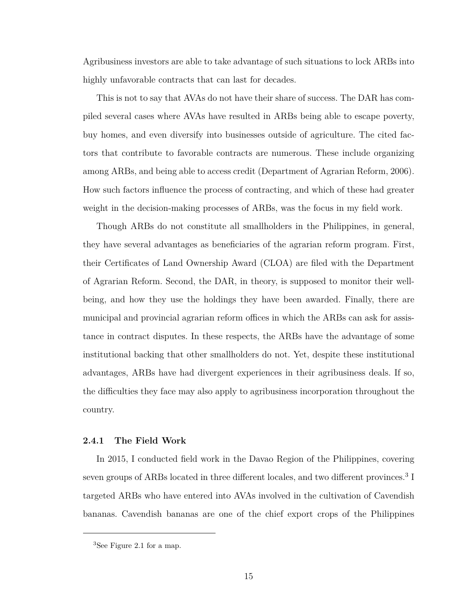Agribusiness investors are able to take advantage of such situations to lock ARBs into highly unfavorable contracts that can last for decades.

This is not to say that AVAs do not have their share of success. The DAR has compiled several cases where AVAs have resulted in ARBs being able to escape poverty, buy homes, and even diversify into businesses outside of agriculture. The cited factors that contribute to favorable contracts are numerous. These include organizing among ARBs, and being able to access credit [\(Department of Agrarian Reform, 2006\)](#page-128-9). How such factors influence the process of contracting, and which of these had greater weight in the decision-making processes of ARBs, was the focus in my field work.

Though ARBs do not constitute all smallholders in the Philippines, in general, they have several advantages as beneficiaries of the agrarian reform program. First, their Certificates of Land Ownership Award (CLOA) are filed with the Department of Agrarian Reform. Second, the DAR, in theory, is supposed to monitor their wellbeing, and how they use the holdings they have been awarded. Finally, there are municipal and provincial agrarian reform offices in which the ARBs can ask for assistance in contract disputes. In these respects, the ARBs have the advantage of some institutional backing that other smallholders do not. Yet, despite these institutional advantages, ARBs have had divergent experiences in their agribusiness deals. If so, the difficulties they face may also apply to agribusiness incorporation throughout the country.

#### <span id="page-26-0"></span>**2.4.1 The Field Work**

In 2015, I conducted field work in the Davao Region of the Philippines, covering seven groups of ARBs located in three different locales, and two different provinces.<sup>[3](#page-26-1)</sup> I targeted ARBs who have entered into AVAs involved in the cultivation of Cavendish bananas. Cavendish bananas are one of the chief export crops of the Philippines

<span id="page-26-1"></span><sup>3</sup>See Figure [2.1](#page-28-0) for a map.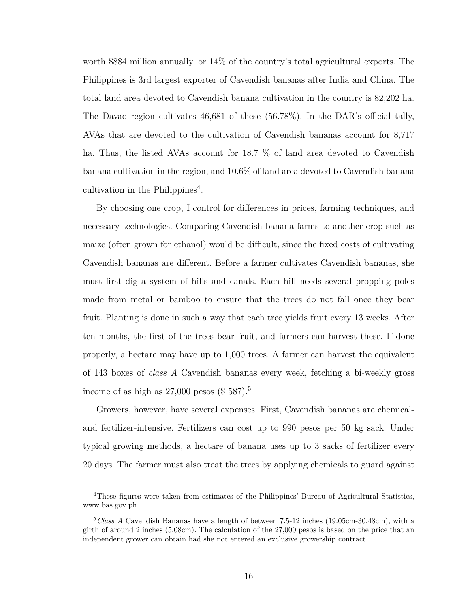worth \$884 million annually, or 14% of the country's total agricultural exports. The Philippines is 3rd largest exporter of Cavendish bananas after India and China. The total land area devoted to Cavendish banana cultivation in the country is 82,202 ha. The Davao region cultivates 46,681 of these (56.78%). In the DAR's official tally, AVAs that are devoted to the cultivation of Cavendish bananas account for 8,717 ha. Thus, the listed AVAs account for 18.7 % of land area devoted to Cavendish banana cultivation in the region, and 10.6% of land area devoted to Cavendish banana cultivation in the Philippines<sup>[4](#page-27-0)</sup>.

By choosing one crop, I control for differences in prices, farming techniques, and necessary technologies. Comparing Cavendish banana farms to another crop such as maize (often grown for ethanol) would be difficult, since the fixed costs of cultivating Cavendish bananas are different. Before a farmer cultivates Cavendish bananas, she must first dig a system of hills and canals. Each hill needs several propping poles made from metal or bamboo to ensure that the trees do not fall once they bear fruit. Planting is done in such a way that each tree yields fruit every 13 weeks. After ten months, the first of the trees bear fruit, and farmers can harvest these. If done properly, a hectare may have up to 1,000 trees. A farmer can harvest the equivalent of 143 boxes of *class A* Cavendish bananas every week, fetching a bi-weekly gross income of as high as  $27,000$  pesos (\$ [5](#page-27-1)87).<sup>5</sup>

Growers, however, have several expenses. First, Cavendish bananas are chemicaland fertilizer-intensive. Fertilizers can cost up to 990 pesos per 50 kg sack. Under typical growing methods, a hectare of banana uses up to 3 sacks of fertilizer every 20 days. The farmer must also treat the trees by applying chemicals to guard against

<span id="page-27-0"></span><sup>4</sup>These figures were taken from estimates of the Philippines' Bureau of Agricultural Statistics, www.bas.gov.ph

<span id="page-27-1"></span><sup>&</sup>lt;sup>5</sup>Class A Cavendish Bananas have a length of between 7.5-12 inches (19.05cm-30.48cm), with a girth of around 2 inches (5.08cm). The calculation of the 27,000 pesos is based on the price that an independent grower can obtain had she not entered an exclusive growership contract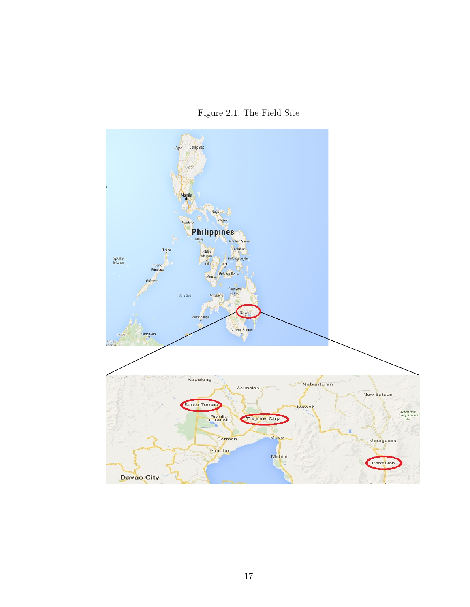Figure 2.1: The Field Site

<span id="page-28-0"></span>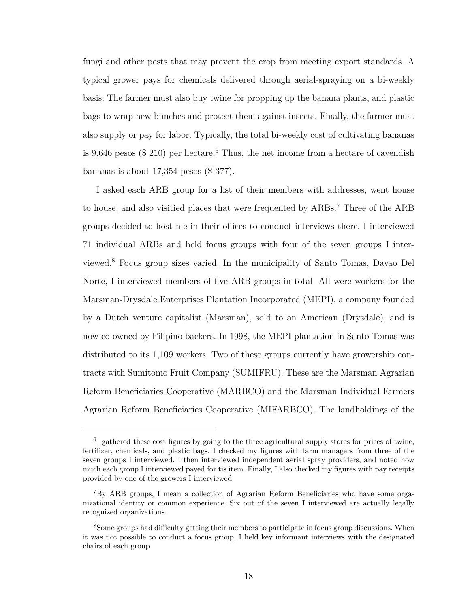fungi and other pests that may prevent the crop from meeting export standards. A typical grower pays for chemicals delivered through aerial-spraying on a bi-weekly basis. The farmer must also buy twine for propping up the banana plants, and plastic bags to wrap new bunches and protect them against insects. Finally, the farmer must also supply or pay for labor. Typically, the total bi-weekly cost of cultivating bananas is 9.[6](#page-29-0)46 pesos ( $$210$ ) per hectare.<sup>6</sup> Thus, the net income from a hectare of cavendish bananas is about 17,354 pesos (\$ 377).

I asked each ARB group for a list of their members with addresses, went house to house, and also visitied places that were frequented by ARBs.<sup>[7](#page-29-1)</sup> Three of the ARB groups decided to host me in their offices to conduct interviews there. I interviewed 71 individual ARBs and held focus groups with four of the seven groups I interviewed.[8](#page-29-2) Focus group sizes varied. In the municipality of Santo Tomas, Davao Del Norte, I interviewed members of five ARB groups in total. All were workers for the Marsman-Drysdale Enterprises Plantation Incorporated (MEPI), a company founded by a Dutch venture capitalist (Marsman), sold to an American (Drysdale), and is now co-owned by Filipino backers. In 1998, the MEPI plantation in Santo Tomas was distributed to its 1,109 workers. Two of these groups currently have growership contracts with Sumitomo Fruit Company (SUMIFRU). These are the Marsman Agrarian Reform Beneficiaries Cooperative (MARBCO) and the Marsman Individual Farmers Agrarian Reform Beneficiaries Cooperative (MIFARBCO). The landholdings of the

<span id="page-29-0"></span><sup>&</sup>lt;sup>6</sup>I gathered these cost figures by going to the three agricultural supply stores for prices of twine, fertilizer, chemicals, and plastic bags. I checked my figures with farm managers from three of the seven groups I interviewed. I then interviewed independent aerial spray providers, and noted how much each group I interviewed payed for tis item. Finally, I also checked my figures with pay receipts provided by one of the growers I interviewed.

<span id="page-29-1"></span><sup>7</sup>By ARB groups, I mean a collection of Agrarian Reform Beneficiaries who have some organizational identity or common experience. Six out of the seven I interviewed are actually legally recognized organizations.

<span id="page-29-2"></span><sup>8</sup>Some groups had difficulty getting their members to participate in focus group discussions. When it was not possible to conduct a focus group, I held key informant interviews with the designated chairs of each group.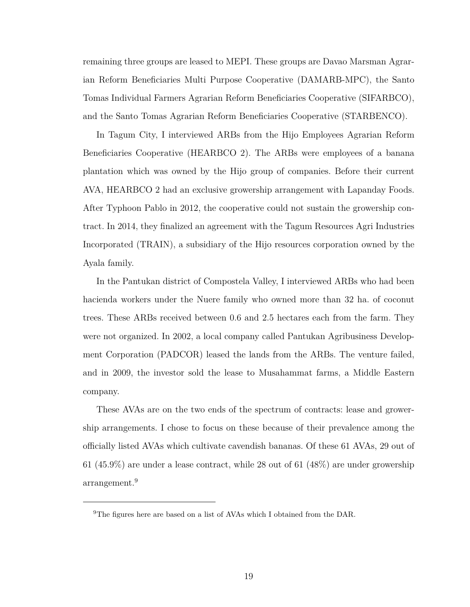remaining three groups are leased to MEPI. These groups are Davao Marsman Agrarian Reform Beneficiaries Multi Purpose Cooperative (DAMARB-MPC), the Santo Tomas Individual Farmers Agrarian Reform Beneficiaries Cooperative (SIFARBCO), and the Santo Tomas Agrarian Reform Beneficiaries Cooperative (STARBENCO).

In Tagum City, I interviewed ARBs from the Hijo Employees Agrarian Reform Beneficiaries Cooperative (HEARBCO 2). The ARBs were employees of a banana plantation which was owned by the Hijo group of companies. Before their current AVA, HEARBCO 2 had an exclusive growership arrangement with Lapanday Foods. After Typhoon Pablo in 2012, the cooperative could not sustain the growership contract. In 2014, they finalized an agreement with the Tagum Resources Agri Industries Incorporated (TRAIN), a subsidiary of the Hijo resources corporation owned by the Ayala family.

In the Pantukan district of Compostela Valley, I interviewed ARBs who had been hacienda workers under the Nuere family who owned more than 32 ha. of coconut trees. These ARBs received between 0.6 and 2.5 hectares each from the farm. They were not organized. In 2002, a local company called Pantukan Agribusiness Development Corporation (PADCOR) leased the lands from the ARBs. The venture failed, and in 2009, the investor sold the lease to Musahammat farms, a Middle Eastern company.

These AVAs are on the two ends of the spectrum of contracts: lease and growership arrangements. I chose to focus on these because of their prevalence among the officially listed AVAs which cultivate cavendish bananas. Of these 61 AVAs, 29 out of 61 (45.9%) are under a lease contract, while 28 out of 61 (48%) are under growership arrangement.[9](#page-30-0)

<span id="page-30-0"></span><sup>&</sup>lt;sup>9</sup>The figures here are based on a list of AVAs which I obtained from the DAR.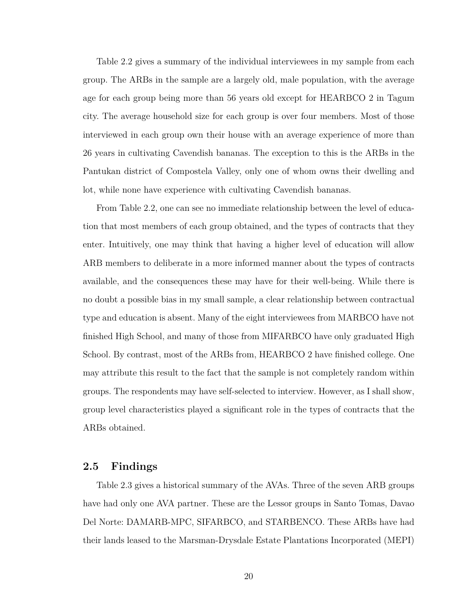Table [2.2](#page-32-0) gives a summary of the individual interviewees in my sample from each group. The ARBs in the sample are a largely old, male population, with the average age for each group being more than 56 years old except for HEARBCO 2 in Tagum city. The average household size for each group is over four members. Most of those interviewed in each group own their house with an average experience of more than 26 years in cultivating Cavendish bananas. The exception to this is the ARBs in the Pantukan district of Compostela Valley, only one of whom owns their dwelling and lot, while none have experience with cultivating Cavendish bananas.

From Table [2.2,](#page-32-0) one can see no immediate relationship between the level of education that most members of each group obtained, and the types of contracts that they enter. Intuitively, one may think that having a higher level of education will allow ARB members to deliberate in a more informed manner about the types of contracts available, and the consequences these may have for their well-being. While there is no doubt a possible bias in my small sample, a clear relationship between contractual type and education is absent. Many of the eight interviewees from MARBCO have not finished High School, and many of those from MIFARBCO have only graduated High School. By contrast, most of the ARBs from, HEARBCO 2 have finished college. One may attribute this result to the fact that the sample is not completely random within groups. The respondents may have self-selected to interview. However, as I shall show, group level characteristics played a significant role in the types of contracts that the ARBs obtained.

#### <span id="page-31-0"></span>**2.5 Findings**

Table [2.3](#page-34-0) gives a historical summary of the AVAs. Three of the seven ARB groups have had only one AVA partner. These are the Lessor groups in Santo Tomas, Davao Del Norte: DAMARB-MPC, SIFARBCO, and STARBENCO. These ARBs have had their lands leased to the Marsman-Drysdale Estate Plantations Incorporated (MEPI)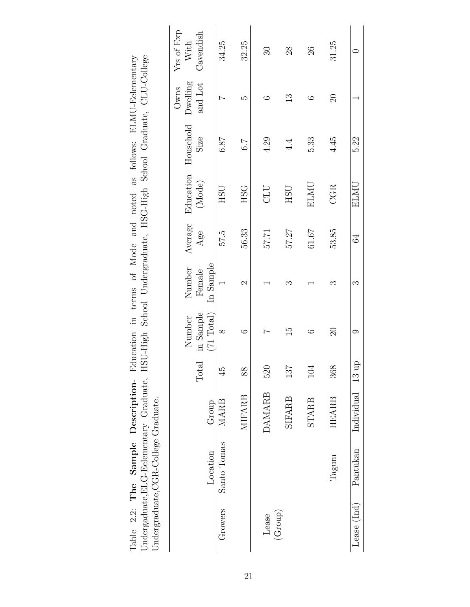|             | Undergraduate, CGR-College Graduate. |               |       |                                   |                               |         |                         |                                                                                             |              |                            |
|-------------|--------------------------------------|---------------|-------|-----------------------------------|-------------------------------|---------|-------------------------|---------------------------------------------------------------------------------------------|--------------|----------------------------|
|             |                                      |               |       | Number                            |                               | Average | Education               |                                                                                             | $\rm Owns$   | $\mathbf{Yrs}$ of Exp With |
|             | Location                             | Group         | Total | in Sample<br>$(71 \text{ Total})$ | In Sample<br>Number<br>Female | Age     | (Mode)                  | $\begin{tabular}{ll} \bf Household & \bf Dewelling \\ \bf Size & \bf and Lot \end{tabular}$ |              | Cavendish                  |
| Growers     | Santo Tomas                          | MARB          | 45    | $\infty$                          |                               | 5.75    | $\overline{\text{HSU}}$ | 6.87                                                                                        |              | 34.25                      |
|             |                                      | <b>MIFARB</b> | 88    | ం                                 | N                             | 56.33   | <b>HSG</b>              | 6.7                                                                                         | ω            | 32.25                      |
| Lease       |                                      | <b>DAMARB</b> | 520   |                                   |                               | 57.71   | UTC                     | 4.29                                                                                        |              | R                          |
| (Group)     |                                      | <b>SIFARB</b> | 187   | $\frac{1}{5}$                     | ಌ                             | 57.27   | <b>USH</b>              | 4.4                                                                                         | $\mathbb{C}$ | 28                         |
|             |                                      | <b>STARB</b>  | 104   | ం                                 |                               | 61.67   | <b>ELMU</b>             | 5.33                                                                                        |              | 26                         |
|             | $\rm Tagum$                          | <b>HEARB</b>  | 368   | $\Omega$                          | ౧                             | 53.85   | <b>CGR</b>              | 4.45                                                                                        | $\Omega$     | 31.25                      |
| Lease (Ind) | Pantukan                             | Individual    | 13up  | 0                                 | ఌ                             | 64      | ELMU                    | 5.22                                                                                        |              |                            |

<span id="page-32-0"></span>Table 2.2: The Sample Description- Education in terms of Mode and noted as follows: ELMU-Eelementary<br>Undergaduate,ELG-Eelementary Graduate, HSU-High School Undergraduate, HSG-High School Graduate, CLU-College Table 2.2: **The Sample Description**- Education in terms of Mode and noted as follows: ELMU-Eelementary Undergaduate,ELG-Eelementary Graduate, HSU-High School Undergraduate, HSG-High School Graduate, CLU-College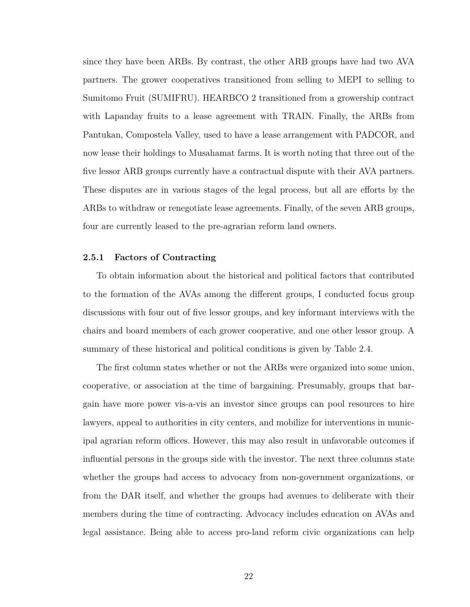since they have been ARBs. By contrast, the other ARB groups have had two AVA partners. The grower cooperatives transitioned from selling to MEPI to selling to Sumitomo Fruit (SUMIFRU). HEARBCO 2 transitioned from a growership contract with Lapanday fruits to a lease agreement with TRAIN. Finally, the ARBs from Pantukan, Compostela Valley, used to have a lease arrangement with PADCOR, and now lease their holdings to Musahamat farms. It is worth noting that three out of the five lessor ARB groups currently have a contractual dispute with their AVA partners. These disputes are in various stages of the legal process, but all are efforts by the ARBs to withdraw or renegotiate lease agreements. Finally, of the seven ARB groups, four are currently leased to the pre-agrarian reform land owners.

#### <span id="page-33-0"></span>**2.5.1 Factors of Contracting**

To obtain information about the historical and political factors that contributed to the formation of the AVAs among the different groups, I conducted focus group discussions with four out of five lessor groups, and key informant interviews with the chairs and board members of each grower cooperative, and one other lessor group. A summary of these historical and political conditions is given by Table [2.4.](#page-35-0)

The first column states whether or not the ARBs were organized into some union, cooperative, or association at the time of bargaining. Presumably, groups that bargain have more power vis-a-vis an investor since groups can pool resources to hire lawyers, appeal to authorities in city centers, and mobilize for interventions in municipal agrarian reform offices. However, this may also result in unfavorable outcomes if influential persons in the groups side with the investor. The next three columns state whether the groups had access to advocacy from non-government organizations, or from the DAR itself, and whether the groups had avenues to deliberate with their members during the time of contracting. Advocacy includes education on AVAs and legal assistance. Being able to access pro-land reform civic organizations can help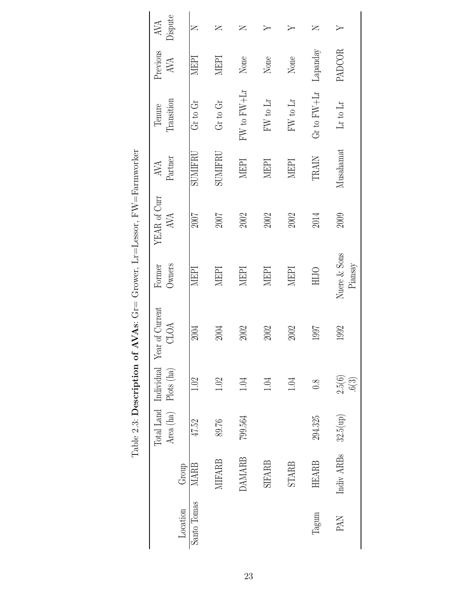|             |               |                   |                        | Total Land Individual Year of Current | Former                         | YEAR of Curr | AVA          | Tenure          | Previous | AVA      |
|-------------|---------------|-------------------|------------------------|---------------------------------------|--------------------------------|--------------|--------------|-----------------|----------|----------|
| Location    | Group         | Area (ha)         | Plots (ha)             | CLOA                                  | Owners                         | <b>AVA</b>   | Partner      | Transition      | AVA      | Dispute  |
| Santo Tomas | <b>MARB</b>   | 47.52             | 1.02                   | 2004                                  | MEPI                           | 2007         | SUMIFRI      | Gr to Gr        | MEPI     | $\simeq$ |
|             | <b>MIFARB</b> | 89.76             | 1.02                   | 2004                                  | MEPI                           | 2007         | SUMIFRU      | Gr to Gr        | MEPI     | Z        |
|             | <b>DAMARB</b> | 799.564           | 1.04                   | 2002                                  | MEPI                           | 2002         | MEPI         | FW to FW+Lr     | None     | $\succ$  |
|             | <b>SIFARB</b> |                   | 1.04                   | 2002                                  | NEPI                           | 2002         | NEPI         | FW to Lr        | None     |          |
|             | <b>STARB</b>  |                   | 1.04                   | 2002                                  | MEPI                           | 2002         | <b>NEPI</b>  | FW to Lr        | None     |          |
| Tagum       | <b>HEARB</b>  | 294.325           | $\overline{0.8}$       | 1997                                  | HIJO                           | 2014         | <b>TRAIN</b> | $Gr$ to $FW+Lr$ | Lapanday | Z        |
| <b>PAN</b>  | Indiv ARBs    | $32.5(\text{up})$ | $\frac{2.5(6)}{.6(3)}$ | 1992                                  | Nuere & Sons<br>$\rm{Piansay}$ | 2009         | Musahamat    | $Lr$ to $Lr$    | PADCOR   |          |

<span id="page-34-0"></span>Table 2.3: Description of AVAs: Gr= Grower, Lr=Lessor, FW=Farmworker Table 2.3: **Description of AVAs**: Gr= Grower, Lr=Lessor, FW=Farmworker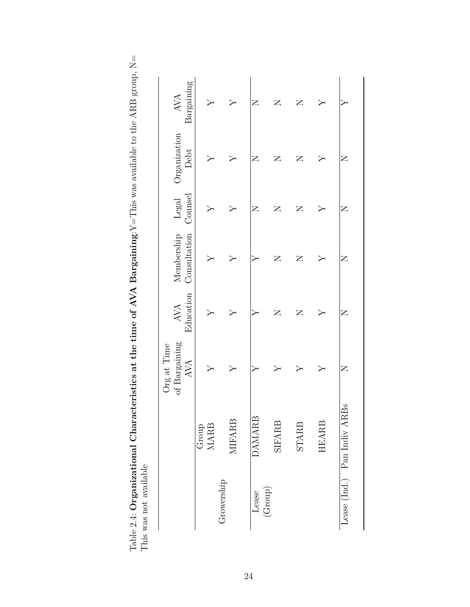<span id="page-35-0"></span>

| Bargaining<br><b>AVA</b><br>Z<br>Z<br>Z<br>Organization<br>Debt<br>Z<br>Z<br>Z<br>Z<br>Counsel<br>Legal<br>$\overline{Z}$<br>$\mathsf{Z}$<br>$\overline{\mathsf{Z}}$<br>Z<br>Consultation<br>Membership<br>$\square$<br>$\overline{Z}$<br>Z<br>Education<br>AVA<br>$\square$<br>$\overline{\mathsf{Z}}$<br>Z<br>of Bargaining<br>AVA<br>$\mathsf{Z}$<br>š<br>Lease (Ind.) Pan Indiv ARE<br><b>DAMARB</b><br><b>MIFARB</b><br><b>HEARB</b><br><b>SIFARB</b><br><b>STARB</b><br><b>MARB</b><br>Group<br>Growership<br>$(\text{Group})$<br>Lease |  | <b>Jrg</b> at Time |  |  |  |
|-----------------------------------------------------------------------------------------------------------------------------------------------------------------------------------------------------------------------------------------------------------------------------------------------------------------------------------------------------------------------------------------------------------------------------------------------------------------------------------------------------------------------------------------------|--|--------------------|--|--|--|
|                                                                                                                                                                                                                                                                                                                                                                                                                                                                                                                                               |  |                    |  |  |  |
|                                                                                                                                                                                                                                                                                                                                                                                                                                                                                                                                               |  |                    |  |  |  |
|                                                                                                                                                                                                                                                                                                                                                                                                                                                                                                                                               |  |                    |  |  |  |
|                                                                                                                                                                                                                                                                                                                                                                                                                                                                                                                                               |  |                    |  |  |  |
|                                                                                                                                                                                                                                                                                                                                                                                                                                                                                                                                               |  |                    |  |  |  |
|                                                                                                                                                                                                                                                                                                                                                                                                                                                                                                                                               |  |                    |  |  |  |
|                                                                                                                                                                                                                                                                                                                                                                                                                                                                                                                                               |  |                    |  |  |  |
|                                                                                                                                                                                                                                                                                                                                                                                                                                                                                                                                               |  |                    |  |  |  |

Table 2.4: Organizational Characteristics at the time of AVA Bargaining: $Y =$ This was available to the ARB group,  $N =$ This was not available Table 2.4: **Organizational Characteristics at the time of AVA Bargaining**:Y=This was available to the ARB group, N= This was not available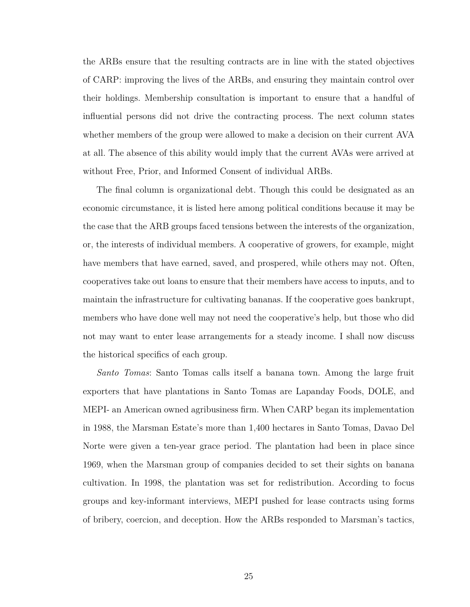the ARBs ensure that the resulting contracts are in line with the stated objectives of CARP: improving the lives of the ARBs, and ensuring they maintain control over their holdings. Membership consultation is important to ensure that a handful of influential persons did not drive the contracting process. The next column states whether members of the group were allowed to make a decision on their current AVA at all. The absence of this ability would imply that the current AVAs were arrived at without Free, Prior, and Informed Consent of individual ARBs.

The final column is organizational debt. Though this could be designated as an economic circumstance, it is listed here among political conditions because it may be the case that the ARB groups faced tensions between the interests of the organization, or, the interests of individual members. A cooperative of growers, for example, might have members that have earned, saved, and prospered, while others may not. Often, cooperatives take out loans to ensure that their members have access to inputs, and to maintain the infrastructure for cultivating bananas. If the cooperative goes bankrupt, members who have done well may not need the cooperative's help, but those who did not may want to enter lease arrangements for a steady income. I shall now discuss the historical specifics of each group.

*Santo Tomas*: Santo Tomas calls itself a banana town. Among the large fruit exporters that have plantations in Santo Tomas are Lapanday Foods, DOLE, and MEPI- an American owned agribusiness firm. When CARP began its implementation in 1988, the Marsman Estate's more than 1,400 hectares in Santo Tomas, Davao Del Norte were given a ten-year grace period. The plantation had been in place since 1969, when the Marsman group of companies decided to set their sights on banana cultivation. In 1998, the plantation was set for redistribution. According to focus groups and key-informant interviews, MEPI pushed for lease contracts using forms of bribery, coercion, and deception. How the ARBs responded to Marsman's tactics,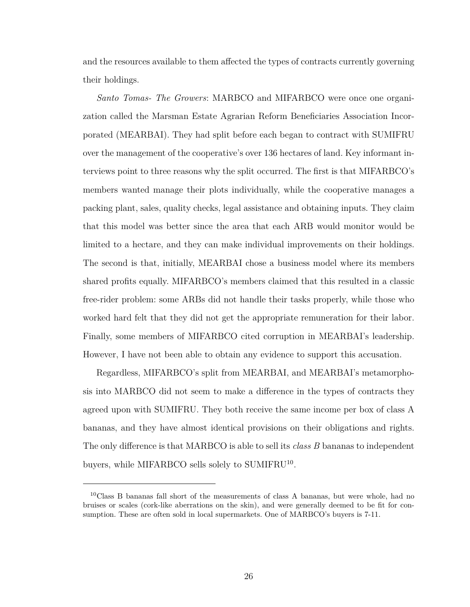and the resources available to them affected the types of contracts currently governing their holdings.

*Santo Tomas- The Growers*: MARBCO and MIFARBCO were once one organization called the Marsman Estate Agrarian Reform Beneficiaries Association Incorporated (MEARBAI). They had split before each began to contract with SUMIFRU over the management of the cooperative's over 136 hectares of land. Key informant interviews point to three reasons why the split occurred. The first is that MIFARBCO's members wanted manage their plots individually, while the cooperative manages a packing plant, sales, quality checks, legal assistance and obtaining inputs. They claim that this model was better since the area that each ARB would monitor would be limited to a hectare, and they can make individual improvements on their holdings. The second is that, initially, MEARBAI chose a business model where its members shared profits equally. MIFARBCO's members claimed that this resulted in a classic free-rider problem: some ARBs did not handle their tasks properly, while those who worked hard felt that they did not get the appropriate remuneration for their labor. Finally, some members of MIFARBCO cited corruption in MEARBAI's leadership. However, I have not been able to obtain any evidence to support this accusation.

Regardless, MIFARBCO's split from MEARBAI, and MEARBAI's metamorphosis into MARBCO did not seem to make a difference in the types of contracts they agreed upon with SUMIFRU. They both receive the same income per box of class A bananas, and they have almost identical provisions on their obligations and rights. The only difference is that MARBCO is able to sell its *class B* bananas to independent buyers, while MIFARBCO sells solely to SUMIFRU<sup>[10](#page-37-0)</sup>.

<span id="page-37-0"></span><sup>&</sup>lt;sup>10</sup>Class B bananas fall short of the measurements of class A bananas, but were whole, had no bruises or scales (cork-like aberrations on the skin), and were generally deemed to be fit for consumption. These are often sold in local supermarkets. One of MARBCO's buyers is 7-11.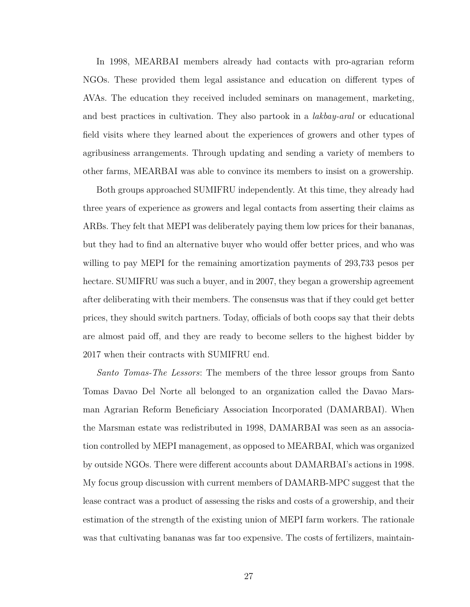In 1998, MEARBAI members already had contacts with pro-agrarian reform NGOs. These provided them legal assistance and education on different types of AVAs. The education they received included seminars on management, marketing, and best practices in cultivation. They also partook in a *lakbay-aral* or educational field visits where they learned about the experiences of growers and other types of agribusiness arrangements. Through updating and sending a variety of members to other farms, MEARBAI was able to convince its members to insist on a growership.

Both groups approached SUMIFRU independently. At this time, they already had three years of experience as growers and legal contacts from asserting their claims as ARBs. They felt that MEPI was deliberately paying them low prices for their bananas, but they had to find an alternative buyer who would offer better prices, and who was willing to pay MEPI for the remaining amortization payments of 293,733 pesos per hectare. SUMIFRU was such a buyer, and in 2007, they began a growership agreement after deliberating with their members. The consensus was that if they could get better prices, they should switch partners. Today, officials of both coops say that their debts are almost paid off, and they are ready to become sellers to the highest bidder by 2017 when their contracts with SUMIFRU end.

*Santo Tomas-The Lessors*: The members of the three lessor groups from Santo Tomas Davao Del Norte all belonged to an organization called the Davao Marsman Agrarian Reform Beneficiary Association Incorporated (DAMARBAI). When the Marsman estate was redistributed in 1998, DAMARBAI was seen as an association controlled by MEPI management, as opposed to MEARBAI, which was organized by outside NGOs. There were different accounts about DAMARBAI's actions in 1998. My focus group discussion with current members of DAMARB-MPC suggest that the lease contract was a product of assessing the risks and costs of a growership, and their estimation of the strength of the existing union of MEPI farm workers. The rationale was that cultivating bananas was far too expensive. The costs of fertilizers, maintain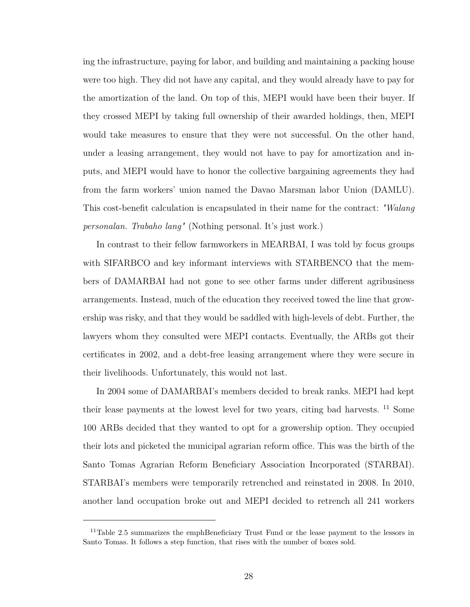ing the infrastructure, paying for labor, and building and maintaining a packing house were too high. They did not have any capital, and they would already have to pay for the amortization of the land. On top of this, MEPI would have been their buyer. If they crossed MEPI by taking full ownership of their awarded holdings, then, MEPI would take measures to ensure that they were not successful. On the other hand, under a leasing arrangement, they would not have to pay for amortization and inputs, and MEPI would have to honor the collective bargaining agreements they had from the farm workers' union named the Davao Marsman labor Union (DAMLU). This cost-benefit calculation is encapsulated in their name for the contract: *"Walang personalan. Trabaho lang"* (Nothing personal. It's just work.)

In contrast to their fellow farmworkers in MEARBAI, I was told by focus groups with SIFARBCO and key informant interviews with STARBENCO that the members of DAMARBAI had not gone to see other farms under different agribusiness arrangements. Instead, much of the education they received towed the line that growership was risky, and that they would be saddled with high-levels of debt. Further, the lawyers whom they consulted were MEPI contacts. Eventually, the ARBs got their certificates in 2002, and a debt-free leasing arrangement where they were secure in their livelihoods. Unfortunately, this would not last.

In 2004 some of DAMARBAI's members decided to break ranks. MEPI had kept their lease payments at the lowest level for two years, citing bad harvests. [11](#page-39-0) Some 100 ARBs decided that they wanted to opt for a growership option. They occupied their lots and picketed the municipal agrarian reform office. This was the birth of the Santo Tomas Agrarian Reform Beneficiary Association Incorporated (STARBAI). STARBAI's members were temporarily retrenched and reinstated in 2008. In 2010, another land occupation broke out and MEPI decided to retrench all 241 workers

<span id="page-39-0"></span><sup>&</sup>lt;sup>11</sup>Table [2.5](#page-40-0) summarizes the emphBeneficiary Trust Fund or the lease payment to the lessors in Santo Tomas. It follows a step function, that rises with the number of boxes sold.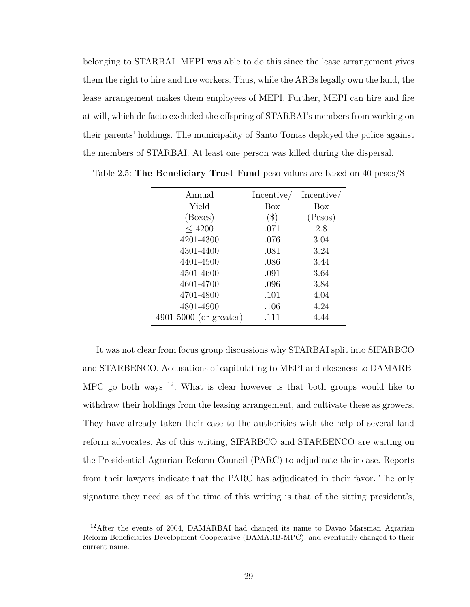belonging to STARBAI. MEPI was able to do this since the lease arrangement gives them the right to hire and fire workers. Thus, while the ARBs legally own the land, the lease arrangement makes them employees of MEPI. Further, MEPI can hire and fire at will, which de facto excluded the offspring of STARBAI's members from working on their parents' holdings. The municipality of Santo Tomas deployed the police against the members of STARBAI. At least one person was killed during the dispersal.

| Annual                   | Incentive/ | Incentive/ |
|--------------------------|------------|------------|
| Yield                    | Box        | Box        |
| (Boxes)                  | $(\$)$     | (Pesos)    |
| < 4200                   | .071       | 2.8        |
| 4201-4300                | .076       | 3.04       |
| 4301-4400                | .081       | 3.24       |
| 4401-4500                | .086       | 3.44       |
| 4501-4600                | .091       | 3.64       |
| 4601-4700                | .096       | 3.84       |
| 4701-4800                | .101       | 4.04       |
| 4801-4900                | .106       | 4.24       |
| $4901-5000$ (or greater) | .111       | 4.44       |

<span id="page-40-0"></span>Table 2.5: **The Beneficiary Trust Fund** peso values are based on 40 pesos/\$

It was not clear from focus group discussions why STARBAI split into SIFARBCO and STARBENCO. Accusations of capitulating to MEPI and closeness to DAMARB-MPC go both ways  $12$ . What is clear however is that both groups would like to withdraw their holdings from the leasing arrangement, and cultivate these as growers. They have already taken their case to the authorities with the help of several land reform advocates. As of this writing, SIFARBCO and STARBENCO are waiting on the Presidential Agrarian Reform Council (PARC) to adjudicate their case. Reports from their lawyers indicate that the PARC has adjudicated in their favor. The only signature they need as of the time of this writing is that of the sitting president's,

<span id="page-40-1"></span><sup>&</sup>lt;sup>12</sup>After the events of 2004, DAMARBAI had changed its name to Davao Marsman Agrarian Reform Beneficiaries Development Cooperative (DAMARB-MPC), and eventually changed to their current name.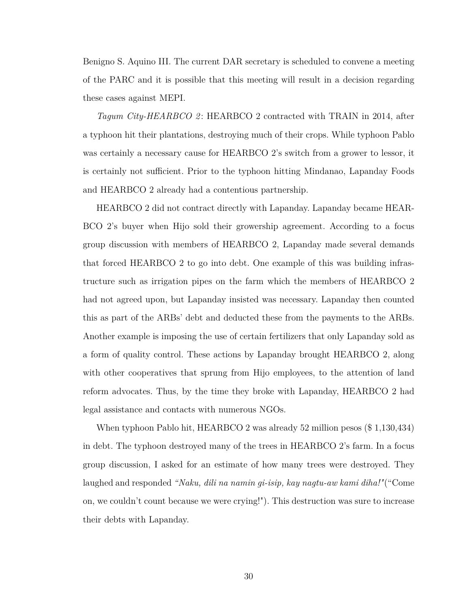Benigno S. Aquino III. The current DAR secretary is scheduled to convene a meeting of the PARC and it is possible that this meeting will result in a decision regarding these cases against MEPI.

*Tagum City-HEARBCO 2* : HEARBCO 2 contracted with TRAIN in 2014, after a typhoon hit their plantations, destroying much of their crops. While typhoon Pablo was certainly a necessary cause for HEARBCO 2's switch from a grower to lessor, it is certainly not sufficient. Prior to the typhoon hitting Mindanao, Lapanday Foods and HEARBCO 2 already had a contentious partnership.

HEARBCO 2 did not contract directly with Lapanday. Lapanday became HEAR-BCO 2's buyer when Hijo sold their growership agreement. According to a focus group discussion with members of HEARBCO 2, Lapanday made several demands that forced HEARBCO 2 to go into debt. One example of this was building infrastructure such as irrigation pipes on the farm which the members of HEARBCO 2 had not agreed upon, but Lapanday insisted was necessary. Lapanday then counted this as part of the ARBs' debt and deducted these from the payments to the ARBs. Another example is imposing the use of certain fertilizers that only Lapanday sold as a form of quality control. These actions by Lapanday brought HEARBCO 2, along with other cooperatives that sprung from Hijo employees, to the attention of land reform advocates. Thus, by the time they broke with Lapanday, HEARBCO 2 had legal assistance and contacts with numerous NGOs.

When typhoon Pablo hit, HEARBCO 2 was already 52 million pesos (\$1,130,434) in debt. The typhoon destroyed many of the trees in HEARBCO 2's farm. In a focus group discussion, I asked for an estimate of how many trees were destroyed. They laughed and responded *"Naku, dili na namin gi-isip, kay nagtu-aw kami diha!"*("Come on, we couldn't count because we were crying!"). This destruction was sure to increase their debts with Lapanday.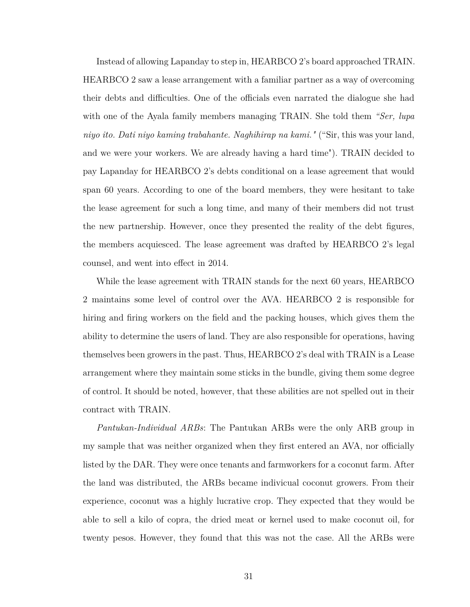Instead of allowing Lapanday to step in, HEARBCO 2's board approached TRAIN. HEARBCO 2 saw a lease arrangement with a familiar partner as a way of overcoming their debts and difficulties. One of the officials even narrated the dialogue she had with one of the Ayala family members managing TRAIN. She told them *"Ser, lupa niyo ito. Dati niyo kaming trabahante. Naghihirap na kami."* ("Sir, this was your land, and we were your workers. We are already having a hard time"). TRAIN decided to pay Lapanday for HEARBCO 2's debts conditional on a lease agreement that would span 60 years. According to one of the board members, they were hesitant to take the lease agreement for such a long time, and many of their members did not trust the new partnership. However, once they presented the reality of the debt figures, the members acquiesced. The lease agreement was drafted by HEARBCO 2's legal counsel, and went into effect in 2014.

While the lease agreement with TRAIN stands for the next 60 years, HEARBCO 2 maintains some level of control over the AVA. HEARBCO 2 is responsible for hiring and firing workers on the field and the packing houses, which gives them the ability to determine the users of land. They are also responsible for operations, having themselves been growers in the past. Thus, HEARBCO 2's deal with TRAIN is a Lease arrangement where they maintain some sticks in the bundle, giving them some degree of control. It should be noted, however, that these abilities are not spelled out in their contract with TRAIN.

*Pantukan-Individual ARBs*: The Pantukan ARBs were the only ARB group in my sample that was neither organized when they first entered an AVA, nor officially listed by the DAR. They were once tenants and farmworkers for a coconut farm. After the land was distributed, the ARBs became indivicual coconut growers. From their experience, coconut was a highly lucrative crop. They expected that they would be able to sell a kilo of copra, the dried meat or kernel used to make coconut oil, for twenty pesos. However, they found that this was not the case. All the ARBs were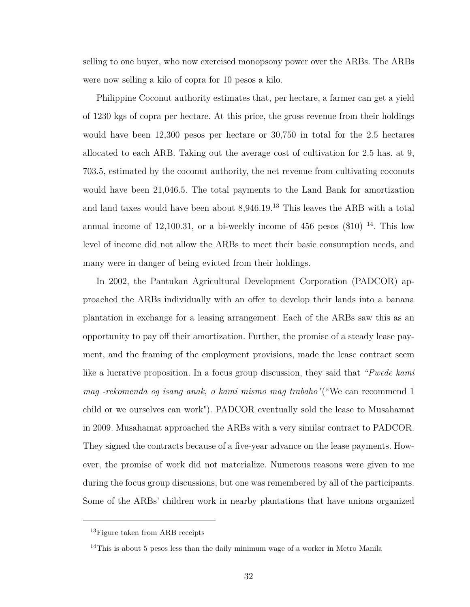selling to one buyer, who now exercised monopsony power over the ARBs. The ARBs were now selling a kilo of copra for 10 pesos a kilo.

Philippine Coconut authority estimates that, per hectare, a farmer can get a yield of 1230 kgs of copra per hectare. At this price, the gross revenue from their holdings would have been 12,300 pesos per hectare or 30,750 in total for the 2.5 hectares allocated to each ARB. Taking out the average cost of cultivation for 2.5 has. at 9, 703.5, estimated by the coconut authority, the net revenue from cultivating coconuts would have been 21,046.5. The total payments to the Land Bank for amortization and land taxes would have been about  $8,946.19$ .<sup>[13](#page-43-0)</sup> This leaves the ARB with a total annual income of 12,100.31, or a bi-weekly income of 456 pesos  $(\$10)$  <sup>[14](#page-43-1)</sup>. This low level of income did not allow the ARBs to meet their basic consumption needs, and many were in danger of being evicted from their holdings.

In 2002, the Pantukan Agricultural Development Corporation (PADCOR) approached the ARBs individually with an offer to develop their lands into a banana plantation in exchange for a leasing arrangement. Each of the ARBs saw this as an opportunity to pay off their amortization. Further, the promise of a steady lease payment, and the framing of the employment provisions, made the lease contract seem like a lucrative proposition. In a focus group discussion, they said that *"Pwede kami mag -rekomenda og isang anak, o kami mismo mag trabaho"*("We can recommend 1 child or we ourselves can work"). PADCOR eventually sold the lease to Musahamat in 2009. Musahamat approached the ARBs with a very similar contract to PADCOR. They signed the contracts because of a five-year advance on the lease payments. However, the promise of work did not materialize. Numerous reasons were given to me during the focus group discussions, but one was remembered by all of the participants. Some of the ARBs' children work in nearby plantations that have unions organized

<span id="page-43-0"></span><sup>&</sup>lt;sup>13</sup>Figure taken from ARB receipts

<span id="page-43-1"></span> $14$ This is about 5 pesos less than the daily minimum wage of a worker in Metro Manila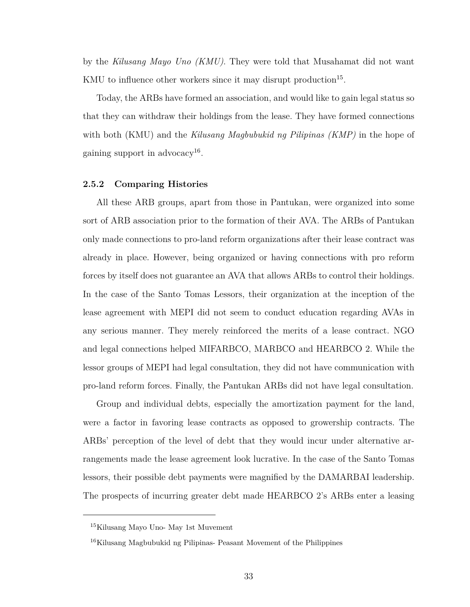by the *Kilusang Mayo Uno (KMU)*. They were told that Musahamat did not want KMU to influence other workers since it may disrupt production<sup>[15](#page-44-0)</sup>.

Today, the ARBs have formed an association, and would like to gain legal status so that they can withdraw their holdings from the lease. They have formed connections with both (KMU) and the *Kilusang Magbubukid ng Pilipinas (KMP)* in the hope of gaining support in advocacy<sup>[16](#page-44-1)</sup>.

#### **2.5.2 Comparing Histories**

All these ARB groups, apart from those in Pantukan, were organized into some sort of ARB association prior to the formation of their AVA. The ARBs of Pantukan only made connections to pro-land reform organizations after their lease contract was already in place. However, being organized or having connections with pro reform forces by itself does not guarantee an AVA that allows ARBs to control their holdings. In the case of the Santo Tomas Lessors, their organization at the inception of the lease agreement with MEPI did not seem to conduct education regarding AVAs in any serious manner. They merely reinforced the merits of a lease contract. NGO and legal connections helped MIFARBCO, MARBCO and HEARBCO 2. While the lessor groups of MEPI had legal consultation, they did not have communication with pro-land reform forces. Finally, the Pantukan ARBs did not have legal consultation.

Group and individual debts, especially the amortization payment for the land, were a factor in favoring lease contracts as opposed to growership contracts. The ARBs' perception of the level of debt that they would incur under alternative arrangements made the lease agreement look lucrative. In the case of the Santo Tomas lessors, their possible debt payments were magnified by the DAMARBAI leadership. The prospects of incurring greater debt made HEARBCO 2's ARBs enter a leasing

<span id="page-44-0"></span><sup>15</sup>Kilusang Mayo Uno- May 1st Muvement

<span id="page-44-1"></span><sup>16</sup>Kilusang Magbubukid ng Pilipinas- Peasant Movement of the Philippines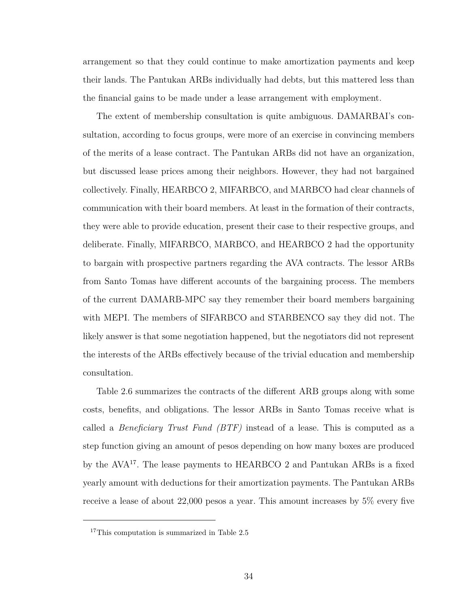arrangement so that they could continue to make amortization payments and keep their lands. The Pantukan ARBs individually had debts, but this mattered less than the financial gains to be made under a lease arrangement with employment.

The extent of membership consultation is quite ambiguous. DAMARBAI's consultation, according to focus groups, were more of an exercise in convincing members of the merits of a lease contract. The Pantukan ARBs did not have an organization, but discussed lease prices among their neighbors. However, they had not bargained collectively. Finally, HEARBCO 2, MIFARBCO, and MARBCO had clear channels of communication with their board members. At least in the formation of their contracts, they were able to provide education, present their case to their respective groups, and deliberate. Finally, MIFARBCO, MARBCO, and HEARBCO 2 had the opportunity to bargain with prospective partners regarding the AVA contracts. The lessor ARBs from Santo Tomas have different accounts of the bargaining process. The members of the current DAMARB-MPC say they remember their board members bargaining with MEPI. The members of SIFARBCO and STARBENCO say they did not. The likely answer is that some negotiation happened, but the negotiators did not represent the interests of the ARBs effectively because of the trivial education and membership consultation.

Table [2.6](#page-47-0) summarizes the contracts of the different ARB groups along with some costs, benefits, and obligations. The lessor ARBs in Santo Tomas receive what is called a *Beneficiary Trust Fund (BTF)* instead of a lease. This is computed as a step function giving an amount of pesos depending on how many boxes are produced by the AVA[17](#page-45-0). The lease payments to HEARBCO 2 and Pantukan ARBs is a fixed yearly amount with deductions for their amortization payments. The Pantukan ARBs receive a lease of about 22,000 pesos a year. This amount increases by 5% every five

<span id="page-45-0"></span><sup>&</sup>lt;sup>17</sup>This computation is summarized in Table [2.5](#page-40-0)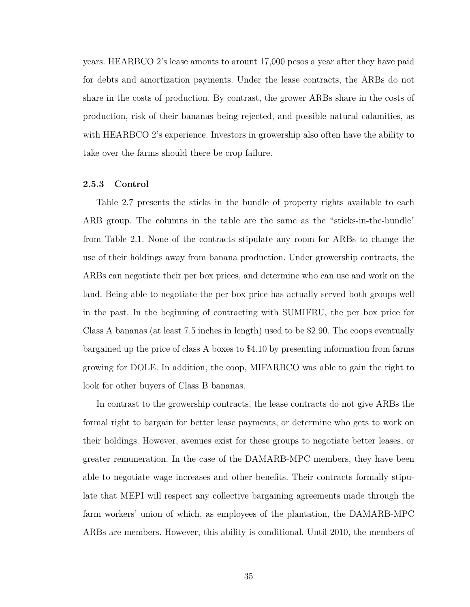years. HEARBCO 2's lease amonts to arount 17,000 pesos a year after they have paid for debts and amortization payments. Under the lease contracts, the ARBs do not share in the costs of production. By contrast, the grower ARBs share in the costs of production, risk of their bananas being rejected, and possible natural calamities, as with HEARBCO 2's experience. Investors in growership also often have the ability to take over the farms should there be crop failure.

#### **2.5.3 Control**

Table [2.7](#page-48-0) presents the sticks in the bundle of property rights available to each ARB group. The columns in the table are the same as the "sticks-in-the-bundle" from Table [2.1.](#page-22-0) None of the contracts stipulate any room for ARBs to change the use of their holdings away from banana production. Under growership contracts, the ARBs can negotiate their per box prices, and determine who can use and work on the land. Being able to negotiate the per box price has actually served both groups well in the past. In the beginning of contracting with SUMIFRU, the per box price for Class A bananas (at least 7.5 inches in length) used to be \$2.90. The coops eventually bargained up the price of class A boxes to \$4.10 by presenting information from farms growing for DOLE. In addition, the coop, MIFARBCO was able to gain the right to look for other buyers of Class B bananas.

In contrast to the growership contracts, the lease contracts do not give ARBs the formal right to bargain for better lease payments, or determine who gets to work on their holdings. However, avenues exist for these groups to negotiate better leases, or greater remuneration. In the case of the DAMARB-MPC members, they have been able to negotiate wage increases and other benefits. Their contracts formally stipulate that MEPI will respect any collective bargaining agreements made through the farm workers' union of which, as employees of the plantation, the DAMARB-MPC ARBs are members. However, this ability is conditional. Until 2010, the members of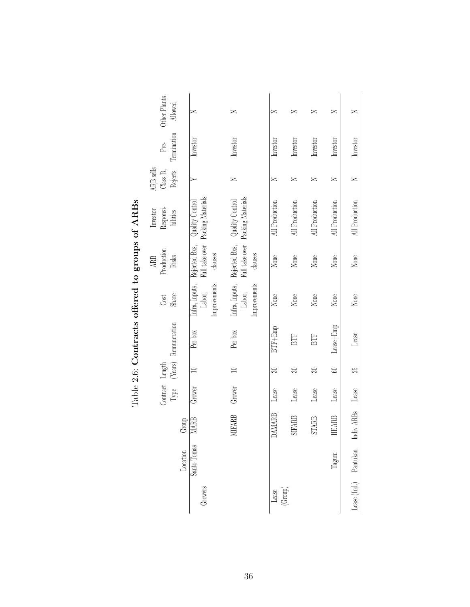<span id="page-47-0"></span>

|                   | Other Plants<br>Allowed            | z                                          | $\geq$                                     | z                | z              | z                         | ≍              | z                     |
|-------------------|------------------------------------|--------------------------------------------|--------------------------------------------|------------------|----------------|---------------------------|----------------|-----------------------|
|                   | Termination<br>Pre-                | Investor                                   | Investor                                   | Investor         | Investor       | $\operatorname{Investor}$ | Investor       | Investor              |
|                   | ARB sells<br>Class B,<br>Rejects   |                                            | z                                          | Z                | Z              | z                         | ≍              | Z                     |
|                   | Responsi-<br>Investor<br>bilities  | Packing Materials<br>Quality Control       | Packing Materials<br>Quality Control       | All Production   | All Production | All Production            | All Production | All Production        |
| $5^{\frac{1}{2}}$ | Production<br>Risks<br>ARB         | Rejected Bxs,<br>Full take over<br>clauses | Rejected Bxs,<br>Full take over<br>clauses | None             | None           | None                      | None           | None                  |
|                   | Share<br>Cost                      | Improvements<br>Infra, Inputs,<br>Labor,   | Improvements<br>Infra, Inputs,<br>Labor,   | None             | None           | None                      | None           | None                  |
|                   | (Years) Remuneration               | Per box                                    | Per box                                    | $BTF+Emp$        | BTF            | BTF                       | Lease+Emp      | Lease                 |
|                   |                                    |                                            | $\equiv$                                   | Z                | ≅              | ඝ                         | S              | 25                    |
| $\ddotsc$         | Contract Length<br>$\mathbf{Type}$ | Grower                                     | Grower                                     | Lease            | Lease          | Lease                     | Lease          | Lease                 |
|                   | Group                              | MARB                                       | <b>MIFARB</b>                              | DAMARB           | <b>SIFARB</b>  | <b>STARB</b>              | <b>HEARB</b>   | Indiv ARBs            |
|                   | Location                           | Santo Tomas                                |                                            |                  |                |                           | Tagum          |                       |
|                   |                                    | Growers                                    |                                            | (Group)<br>Lease |                |                           |                | Lease (Ind.) Pantukan |

Table 2.6: Contracts offered to groups of ARBs Table 2.6: **Contracts offered to groups of ARBs**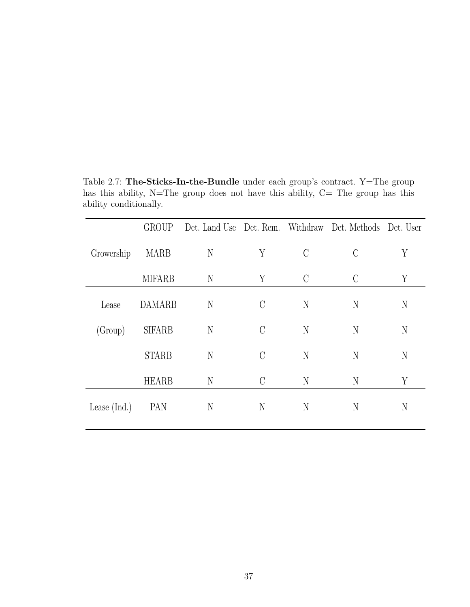Table 2.7: **The-Sticks-In-the-Bundle** under each group's contract. Y=The group has this ability, N=The group does not have this ability, C= The group has this ability conditionally.

<span id="page-48-0"></span>

|                | <b>GROUP</b>  |   |               |               | Det. Land Use Det. Rem. Withdraw Det. Methods Det. User |   |
|----------------|---------------|---|---------------|---------------|---------------------------------------------------------|---|
| Growership     | <b>MARB</b>   | N | Y             | $\mathcal{C}$ | $\Gamma$                                                | Y |
|                | <b>MIFARB</b> | N | Y             | $\mathcal{C}$ | $\mathcal{C}$                                           | Y |
| Lease          | <b>DAMARB</b> | N | $\mathcal{C}$ | N             | N                                                       | N |
| (Group)        | <b>SIFARB</b> | N | $\mathcal{C}$ | N             | N                                                       | N |
|                | <b>STARB</b>  | N | $\mathcal{C}$ | N             | N                                                       | N |
|                | <b>HEARB</b>  | N | $\mathcal{C}$ | N             | N                                                       | Y |
| Lease $(Ind.)$ | PAN           | N | N             | N             | N                                                       | N |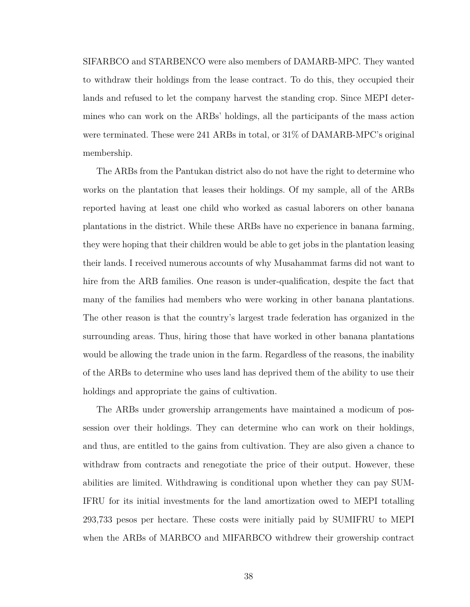SIFARBCO and STARBENCO were also members of DAMARB-MPC. They wanted to withdraw their holdings from the lease contract. To do this, they occupied their lands and refused to let the company harvest the standing crop. Since MEPI determines who can work on the ARBs' holdings, all the participants of the mass action were terminated. These were 241 ARBs in total, or 31% of DAMARB-MPC's original membership.

The ARBs from the Pantukan district also do not have the right to determine who works on the plantation that leases their holdings. Of my sample, all of the ARBs reported having at least one child who worked as casual laborers on other banana plantations in the district. While these ARBs have no experience in banana farming, they were hoping that their children would be able to get jobs in the plantation leasing their lands. I received numerous accounts of why Musahammat farms did not want to hire from the ARB families. One reason is under-qualification, despite the fact that many of the families had members who were working in other banana plantations. The other reason is that the country's largest trade federation has organized in the surrounding areas. Thus, hiring those that have worked in other banana plantations would be allowing the trade union in the farm. Regardless of the reasons, the inability of the ARBs to determine who uses land has deprived them of the ability to use their holdings and appropriate the gains of cultivation.

The ARBs under growership arrangements have maintained a modicum of possession over their holdings. They can determine who can work on their holdings, and thus, are entitled to the gains from cultivation. They are also given a chance to withdraw from contracts and renegotiate the price of their output. However, these abilities are limited. Withdrawing is conditional upon whether they can pay SUM-IFRU for its initial investments for the land amortization owed to MEPI totalling 293,733 pesos per hectare. These costs were initially paid by SUMIFRU to MEPI when the ARBs of MARBCO and MIFARBCO withdrew their growership contract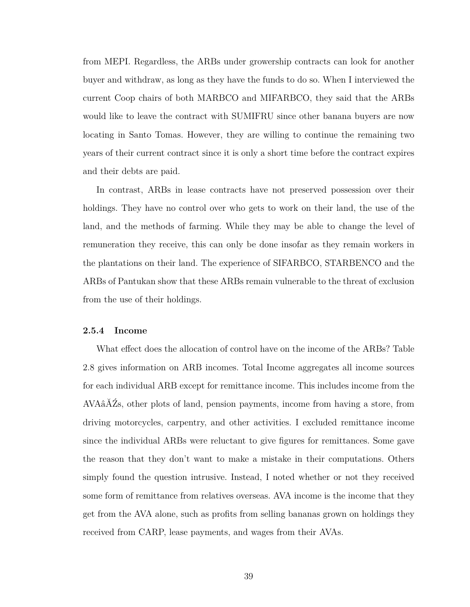from MEPI. Regardless, the ARBs under growership contracts can look for another buyer and withdraw, as long as they have the funds to do so. When I interviewed the current Coop chairs of both MARBCO and MIFARBCO, they said that the ARBs would like to leave the contract with SUMIFRU since other banana buyers are now locating in Santo Tomas. However, they are willing to continue the remaining two years of their current contract since it is only a short time before the contract expires and their debts are paid.

In contrast, ARBs in lease contracts have not preserved possession over their holdings. They have no control over who gets to work on their land, the use of the land, and the methods of farming. While they may be able to change the level of remuneration they receive, this can only be done insofar as they remain workers in the plantations on their land. The experience of SIFARBCO, STARBENCO and the ARBs of Pantukan show that these ARBs remain vulnerable to the threat of exclusion from the use of their holdings.

#### **2.5.4 Income**

What effect does the allocation of control have on the income of the ARBs? Table [2.8](#page-51-0) gives information on ARB incomes. Total Income aggregates all income sources for each individual ARB except for remittance income. This includes income from the AVAâĂŹs, other plots of land, pension payments, income from having a store, from driving motorcycles, carpentry, and other activities. I excluded remittance income since the individual ARBs were reluctant to give figures for remittances. Some gave the reason that they don't want to make a mistake in their computations. Others simply found the question intrusive. Instead, I noted whether or not they received some form of remittance from relatives overseas. AVA income is the income that they get from the AVA alone, such as profits from selling bananas grown on holdings they received from CARP, lease payments, and wages from their AVAs.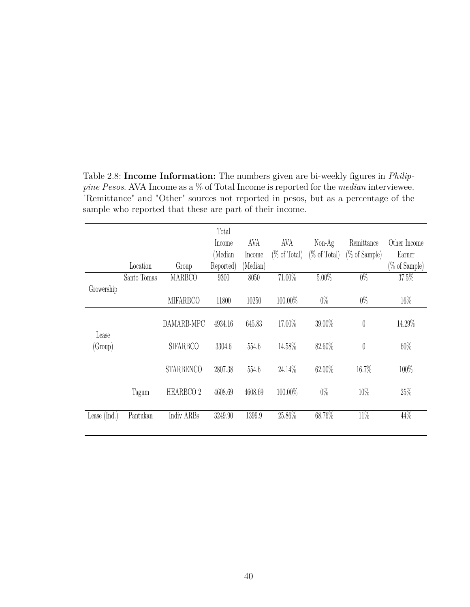<span id="page-51-0"></span>

|                |             |                      | Total<br>Income | AVA      | AVA          | $Non-Ag$     | Remittance    | Other Income     |
|----------------|-------------|----------------------|-----------------|----------|--------------|--------------|---------------|------------------|
|                |             |                      |                 |          |              |              |               |                  |
|                |             |                      | (Median         | Income   | (% of Total) | (% of Total) | (% of Sample) | Earner           |
|                | Location    | Group                | Reported)       | (Median) |              |              |               | $(\%$ of Sample) |
|                | Santo Tomas | <b>MARBCO</b>        | 9300            | 8050     | 71.00%       | $5.00\%$     | $0\%$         | 37.5%            |
| Growership     |             |                      |                 |          |              |              |               |                  |
|                |             | <b>MIFARBCO</b>      | 11800           | 10250    | 100.00%      | $0\%$        | $0\%$         | 16\%             |
| Lease          |             | DAMARB-MPC           | 4934.16         | 645.83   | 17.00%       | 39.00%       | $\theta$      | 14.29%           |
| (Group)        |             | <b>SIFARBCO</b>      | 3304.6          | 554.6    | 14.58%       | 82.60%       | $\theta$      | 60%              |
|                |             | <b>STARBENCO</b>     | 2807.38         | 554.6    | 24.14\%      | 62.00%       | 16.7%         | 100%             |
|                | Tagum       | HEARBCO <sub>2</sub> | 4608.69         | 4608.69  | 100.00%      | $0\%$        | 10%           | 25%              |
| Lease $(Ind.)$ | Pantukan    | Indiv ARBs           | 3249.90         | 1399.9   | 25.86%       | $68.76\%$    | $11\%$        | 44%              |

Table 2.8: **Income Information:** The numbers given are bi-weekly figures in *Philippine Pesos*. AVA Income as a % of Total Income is reported for the *median* interviewee. "Remittance" and "Other" sources not reported in pesos, but as a percentage of the sample who reported that these are part of their income.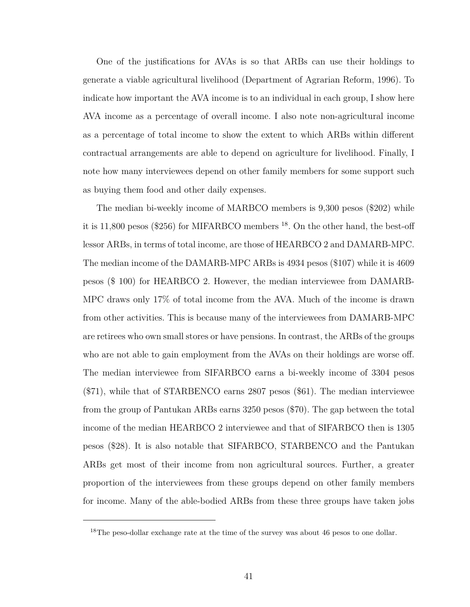One of the justifications for AVAs is so that ARBs can use their holdings to generate a viable agricultural livelihood [\(Department of Agrarian Reform, 1996\)](#page-128-0). To indicate how important the AVA income is to an individual in each group, I show here AVA income as a percentage of overall income. I also note non-agricultural income as a percentage of total income to show the extent to which ARBs within different contractual arrangements are able to depend on agriculture for livelihood. Finally, I note how many interviewees depend on other family members for some support such as buying them food and other daily expenses.

The median bi-weekly income of MARBCO members is 9,300 pesos (\$202) while it is 11,800 pesos (\$256) for MIFARBCO members  $^{18}$  $^{18}$  $^{18}$ . On the other hand, the best-off lessor ARBs, in terms of total income, are those of HEARBCO 2 and DAMARB-MPC. The median income of the DAMARB-MPC ARBs is 4934 pesos (\$107) while it is 4609 pesos (\$ 100) for HEARBCO 2. However, the median interviewee from DAMARB-MPC draws only 17% of total income from the AVA. Much of the income is drawn from other activities. This is because many of the interviewees from DAMARB-MPC are retirees who own small stores or have pensions. In contrast, the ARBs of the groups who are not able to gain employment from the AVAs on their holdings are worse off. The median interviewee from SIFARBCO earns a bi-weekly income of 3304 pesos (\$71), while that of STARBENCO earns 2807 pesos (\$61). The median interviewee from the group of Pantukan ARBs earns 3250 pesos (\$70). The gap between the total income of the median HEARBCO 2 interviewee and that of SIFARBCO then is 1305 pesos (\$28). It is also notable that SIFARBCO, STARBENCO and the Pantukan ARBs get most of their income from non agricultural sources. Further, a greater proportion of the interviewees from these groups depend on other family members for income. Many of the able-bodied ARBs from these three groups have taken jobs

<span id="page-52-0"></span><sup>&</sup>lt;sup>18</sup>The peso-dollar exchange rate at the time of the survey was about 46 pesos to one dollar.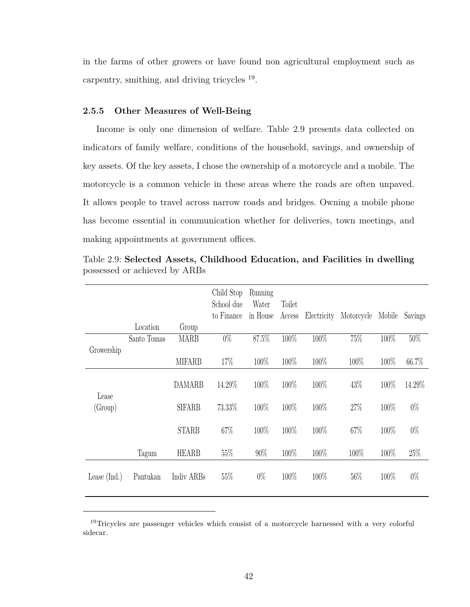in the farms of other growers or have found non agricultural employment such as carpentry, smithing, and driving tricycles <sup>[19](#page-53-0)</sup>.

#### **2.5.5 Other Measures of Well-Being**

Income is only one dimension of welfare. Table [2.9](#page-53-1) presents data collected on indicators of family welfare, conditions of the household, savings, and ownership of key assets. Of the key assets, I chose the ownership of a motorcycle and a mobile. The motorcycle is a common vehicle in these areas where the roads are often unpaved. It allows people to travel across narrow roads and bridges. Owning a mobile phone has become essential in communication whether for deliveries, town meetings, and making appointments at government offices.

<span id="page-53-1"></span>

|                |             |               | Child Stop<br>School due<br>to Finance | Running<br>Water<br>in House | Toilet<br>Access | Electricity | Motorcycle | Mobile | Savings |
|----------------|-------------|---------------|----------------------------------------|------------------------------|------------------|-------------|------------|--------|---------|
|                | Location    | Group         |                                        | 87.5%                        | 100%             | 100%        | 75%        |        |         |
|                | Santo Tomas | <b>MARB</b>   | $0\%$                                  |                              |                  |             |            | 100%   | $50\%$  |
| Growership     |             | <b>MIFARB</b> | 17%                                    | 100%                         | 100%             | 100%        | 100%       | 100\%  | 66.7%   |
| Lease          |             | <b>DAMARB</b> | 14.29%                                 | 100%                         | 100%             | 100%        | 43%        | 100%   | 14.29%  |
| (Group)        |             | <b>SIFARB</b> | 73.33%                                 | 100%                         | 100%             | 100%        | 27%        | 100%   | $0\%$   |
|                |             | <b>STARB</b>  | 67%                                    | 100%                         | 100%             | 100%        | 67%        | 100%   | $0\%$   |
|                | Tagum       | <b>HEARB</b>  | 55%                                    | 90%                          | 100%             | 100%        | 100%       | 100%   | 25%     |
| Lease $(Ind.)$ | Pantukan    | Indiv ARBs    | 55\%                                   | $0\%$                        | 100%             | 100%        | 56%        | 100%   | $0\%$   |

Table 2.9: **Selected Assets, Childhood Education, and Facilities in dwelling** possessed or achieved by ARBs

<span id="page-53-0"></span><sup>&</sup>lt;sup>19</sup>Tricycles are passenger vehicles which consist of a motorcycle harnessed with a very colorful sidecar.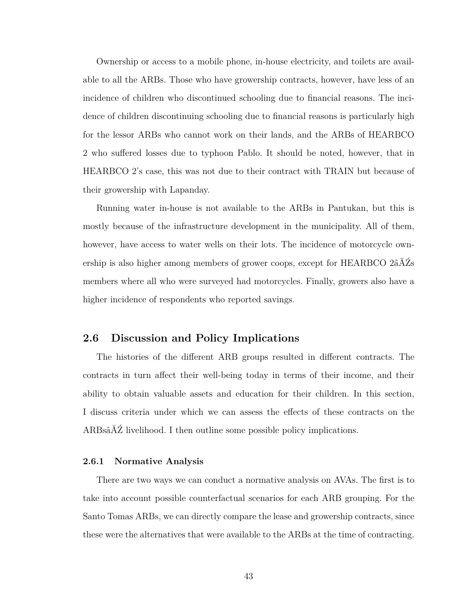Ownership or access to a mobile phone, in-house electricity, and toilets are available to all the ARBs. Those who have growership contracts, however, have less of an incidence of children who discontinued schooling due to financial reasons. The incidence of children discontinuing schooling due to financial reasons is particularly high for the lessor ARBs who cannot work on their lands, and the ARBs of HEARBCO 2 who suffered losses due to typhoon Pablo. It should be noted, however, that in HEARBCO 2's case, this was not due to their contract with TRAIN but because of their growership with Lapanday.

Running water in-house is not available to the ARBs in Pantukan, but this is mostly because of the infrastructure development in the municipality. All of them, however, have access to water wells on their lots. The incidence of motorcycle ownership is also higher among members of grower coops, except for HEARBCO 2âĂŹs members where all who were surveyed had motorcycles. Finally, growers also have a higher incidence of respondents who reported savings.

## **2.6 Discussion and Policy Implications**

The histories of the different ARB groups resulted in different contracts. The contracts in turn affect their well-being today in terms of their income, and their ability to obtain valuable assets and education for their children. In this section, I discuss criteria under which we can assess the effects of these contracts on the ARBsâĂŹ livelihood. I then outline some possible policy implications.

#### **2.6.1 Normative Analysis**

There are two ways we can conduct a normative analysis on AVAs. The first is to take into account possible counterfactual scenarios for each ARB grouping. For the Santo Tomas ARBs, we can directly compare the lease and growership contracts, since these were the alternatives that were available to the ARBs at the time of contracting.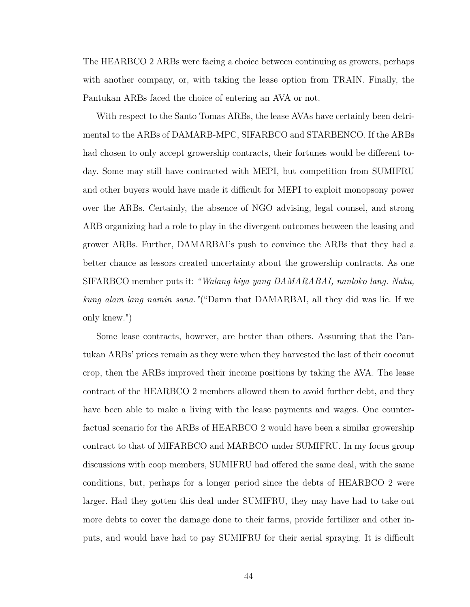The HEARBCO 2 ARBs were facing a choice between continuing as growers, perhaps with another company, or, with taking the lease option from TRAIN. Finally, the Pantukan ARBs faced the choice of entering an AVA or not.

With respect to the Santo Tomas ARBs, the lease AVAs have certainly been detrimental to the ARBs of DAMARB-MPC, SIFARBCO and STARBENCO. If the ARBs had chosen to only accept growership contracts, their fortunes would be different today. Some may still have contracted with MEPI, but competition from SUMIFRU and other buyers would have made it difficult for MEPI to exploit monopsony power over the ARBs. Certainly, the absence of NGO advising, legal counsel, and strong ARB organizing had a role to play in the divergent outcomes between the leasing and grower ARBs. Further, DAMARBAI's push to convince the ARBs that they had a better chance as lessors created uncertainty about the growership contracts. As one SIFARBCO member puts it: *"Walang hiya yang DAMARABAI, nanloko lang. Naku, kung alam lang namin sana."*("Damn that DAMARBAI, all they did was lie. If we only knew.")

Some lease contracts, however, are better than others. Assuming that the Pantukan ARBs' prices remain as they were when they harvested the last of their coconut crop, then the ARBs improved their income positions by taking the AVA. The lease contract of the HEARBCO 2 members allowed them to avoid further debt, and they have been able to make a living with the lease payments and wages. One counterfactual scenario for the ARBs of HEARBCO 2 would have been a similar growership contract to that of MIFARBCO and MARBCO under SUMIFRU. In my focus group discussions with coop members, SUMIFRU had offered the same deal, with the same conditions, but, perhaps for a longer period since the debts of HEARBCO 2 were larger. Had they gotten this deal under SUMIFRU, they may have had to take out more debts to cover the damage done to their farms, provide fertilizer and other inputs, and would have had to pay SUMIFRU for their aerial spraying. It is difficult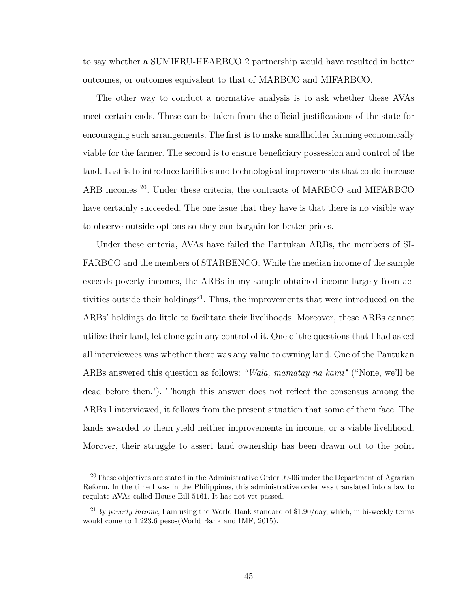to say whether a SUMIFRU-HEARBCO 2 partnership would have resulted in better outcomes, or outcomes equivalent to that of MARBCO and MIFARBCO.

The other way to conduct a normative analysis is to ask whether these AVAs meet certain ends. These can be taken from the official justifications of the state for encouraging such arrangements. The first is to make smallholder farming economically viable for the farmer. The second is to ensure beneficiary possession and control of the land. Last is to introduce facilities and technological improvements that could increase ARB incomes [20](#page-56-0). Under these criteria, the contracts of MARBCO and MIFARBCO have certainly succeeded. The one issue that they have is that there is no visible way to observe outside options so they can bargain for better prices.

Under these criteria, AVAs have failed the Pantukan ARBs, the members of SI-FARBCO and the members of STARBENCO. While the median income of the sample exceeds poverty incomes, the ARBs in my sample obtained income largely from ac-tivities outside their holdings<sup>[21](#page-56-1)</sup>. Thus, the improvements that were introduced on the ARBs' holdings do little to facilitate their livelihoods. Moreover, these ARBs cannot utilize their land, let alone gain any control of it. One of the questions that I had asked all interviewees was whether there was any value to owning land. One of the Pantukan ARBs answered this question as follows: *"Wala, mamatay na kami"* ("None, we'll be dead before then."). Though this answer does not reflect the consensus among the ARBs I interviewed, it follows from the present situation that some of them face. The lands awarded to them yield neither improvements in income, or a viable livelihood. Morover, their struggle to assert land ownership has been drawn out to the point

<span id="page-56-0"></span><sup>&</sup>lt;sup>20</sup>These objectives are stated in the Administrative Order 09-06 under the Department of Agrarian Reform. In the time I was in the Philippines, this administrative order was translated into a law to regulate AVAs called House Bill 5161. It has not yet passed.

<span id="page-56-1"></span><sup>21</sup>By *poverty income*, I am using the World Bank standard of \$1.90/day, which, in bi-weekly terms would come to 1,223.6 pesos[\(World Bank and IMF, 2015\)](#page-131-0).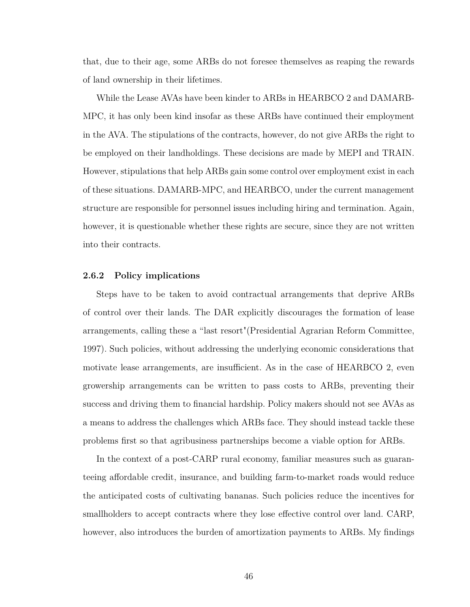that, due to their age, some ARBs do not foresee themselves as reaping the rewards of land ownership in their lifetimes.

While the Lease AVAs have been kinder to ARBs in HEARBCO 2 and DAMARB-MPC, it has only been kind insofar as these ARBs have continued their employment in the AVA. The stipulations of the contracts, however, do not give ARBs the right to be employed on their landholdings. These decisions are made by MEPI and TRAIN. However, stipulations that help ARBs gain some control over employment exist in each of these situations. DAMARB-MPC, and HEARBCO, under the current management structure are responsible for personnel issues including hiring and termination. Again, however, it is questionable whether these rights are secure, since they are not written into their contracts.

#### **2.6.2 Policy implications**

Steps have to be taken to avoid contractual arrangements that deprive ARBs of control over their lands. The DAR explicitly discourages the formation of lease arrangements, calling these a "last resort"[\(Presidential Agrarian Reform Committee,](#page-130-0) [1997\)](#page-130-0). Such policies, without addressing the underlying economic considerations that motivate lease arrangements, are insufficient. As in the case of HEARBCO 2, even growership arrangements can be written to pass costs to ARBs, preventing their success and driving them to financial hardship. Policy makers should not see AVAs as a means to address the challenges which ARBs face. They should instead tackle these problems first so that agribusiness partnerships become a viable option for ARBs.

In the context of a post-CARP rural economy, familiar measures such as guaranteeing affordable credit, insurance, and building farm-to-market roads would reduce the anticipated costs of cultivating bananas. Such policies reduce the incentives for smallholders to accept contracts where they lose effective control over land. CARP, however, also introduces the burden of amortization payments to ARBs. My findings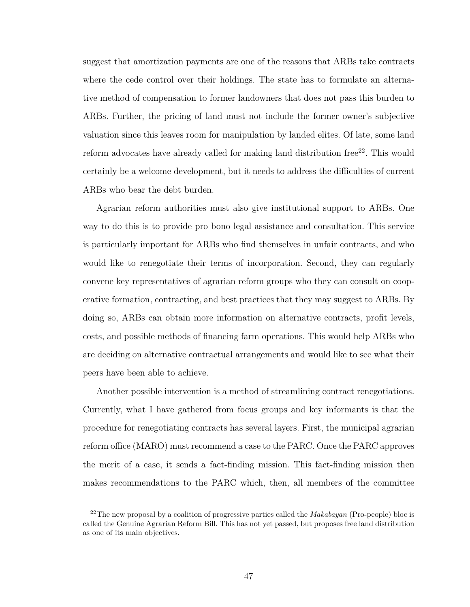suggest that amortization payments are one of the reasons that ARBs take contracts where the cede control over their holdings. The state has to formulate an alternative method of compensation to former landowners that does not pass this burden to ARBs. Further, the pricing of land must not include the former owner's subjective valuation since this leaves room for manipulation by landed elites. Of late, some land reform advocates have already called for making land distribution free<sup>[22](#page-58-0)</sup>. This would certainly be a welcome development, but it needs to address the difficulties of current ARBs who bear the debt burden.

Agrarian reform authorities must also give institutional support to ARBs. One way to do this is to provide pro bono legal assistance and consultation. This service is particularly important for ARBs who find themselves in unfair contracts, and who would like to renegotiate their terms of incorporation. Second, they can regularly convene key representatives of agrarian reform groups who they can consult on cooperative formation, contracting, and best practices that they may suggest to ARBs. By doing so, ARBs can obtain more information on alternative contracts, profit levels, costs, and possible methods of financing farm operations. This would help ARBs who are deciding on alternative contractual arrangements and would like to see what their peers have been able to achieve.

Another possible intervention is a method of streamlining contract renegotiations. Currently, what I have gathered from focus groups and key informants is that the procedure for renegotiating contracts has several layers. First, the municipal agrarian reform office (MARO) must recommend a case to the PARC. Once the PARC approves the merit of a case, it sends a fact-finding mission. This fact-finding mission then makes recommendations to the PARC which, then, all members of the committee

<span id="page-58-0"></span><sup>22</sup>The new proposal by a coalition of progressive parties called the *Makabayan* (Pro-people) bloc is called the Genuine Agrarian Reform Bill. This has not yet passed, but proposes free land distribution as one of its main objectives.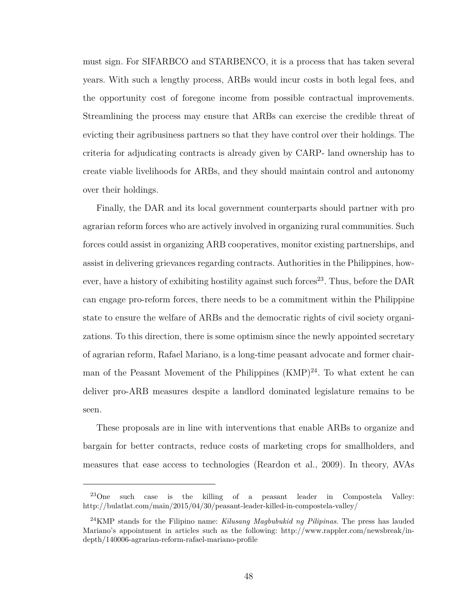must sign. For SIFARBCO and STARBENCO, it is a process that has taken several years. With such a lengthy process, ARBs would incur costs in both legal fees, and the opportunity cost of foregone income from possible contractual improvements. Streamlining the process may ensure that ARBs can exercise the credible threat of evicting their agribusiness partners so that they have control over their holdings. The criteria for adjudicating contracts is already given by CARP- land ownership has to create viable livelihoods for ARBs, and they should maintain control and autonomy over their holdings.

Finally, the DAR and its local government counterparts should partner with pro agrarian reform forces who are actively involved in organizing rural communities. Such forces could assist in organizing ARB cooperatives, monitor existing partnerships, and assist in delivering grievances regarding contracts. Authorities in the Philippines, how-ever, have a history of exhibiting hostility against such forces<sup>[23](#page-59-0)</sup>. Thus, before the DAR can engage pro-reform forces, there needs to be a commitment within the Philippine state to ensure the welfare of ARBs and the democratic rights of civil society organizations. To this direction, there is some optimism since the newly appointed secretary of agrarian reform, Rafael Mariano, is a long-time peasant advocate and former chairman of the Peasant Movement of the Philippines  $(KMP)^{24}$  $(KMP)^{24}$  $(KMP)^{24}$ . To what extent he can deliver pro-ARB measures despite a landlord dominated legislature remains to be seen.

These proposals are in line with interventions that enable ARBs to organize and bargain for better contracts, reduce costs of marketing crops for smallholders, and measures that ease access to technologies [\(Reardon et al., 2009\)](#page-130-1). In theory, AVAs

<span id="page-59-0"></span><sup>23</sup>One such case is the killing of a peasant leader in Compostela Valley: http://bulatlat.com/main/2015/04/30/peasant-leader-killed-in-compostela-valley/

<span id="page-59-1"></span><sup>24</sup>KMP stands for the Filipino name: *Kilusang Magbubukid ng Pilipinas*. The press has lauded Mariano's appointment in articles such as the following: http://www.rappler.com/newsbreak/indepth/140006-agrarian-reform-rafael-mariano-profile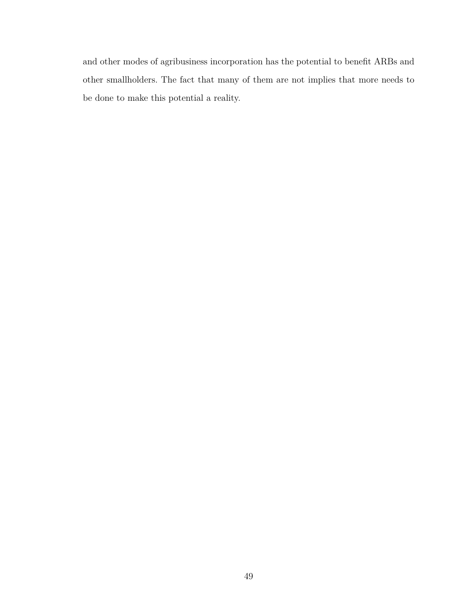and other modes of agribusiness incorporation has the potential to benefit ARBs and other smallholders. The fact that many of them are not implies that more needs to be done to make this potential a reality.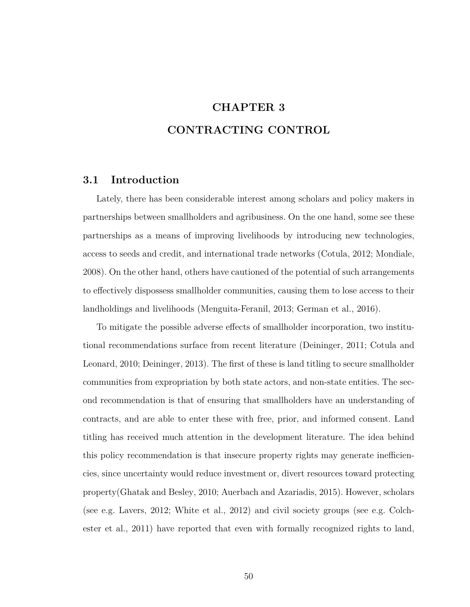# **CHAPTER 3 CONTRACTING CONTROL**

## **3.1 Introduction**

Lately, there has been considerable interest among scholars and policy makers in partnerships between smallholders and agribusiness. On the one hand, some see these partnerships as a means of improving livelihoods by introducing new technologies, access to seeds and credit, and international trade networks [\(Cotula, 2012;](#page-127-0) [Mondiale,](#page-130-2) [2008\)](#page-130-2). On the other hand, others have cautioned of the potential of such arrangements to effectively dispossess smallholder communities, causing them to lose access to their landholdings and livelihoods [\(Menguita-Feranil, 2013;](#page-130-3) [German et al., 2016\)](#page-128-1).

To mitigate the possible adverse effects of smallholder incorporation, two institutional recommendations surface from recent literature [\(Deininger, 2011;](#page-128-2) [Cotula and](#page-127-1) [Leonard, 2010;](#page-127-1) [Deininger, 2013\)](#page-128-3). The first of these is land titling to secure smallholder communities from expropriation by both state actors, and non-state entities. The second recommendation is that of ensuring that smallholders have an understanding of contracts, and are able to enter these with free, prior, and informed consent. Land titling has received much attention in the development literature. The idea behind this policy recommendation is that insecure property rights may generate inefficiencies, since uncertainty would reduce investment or, divert resources toward protecting property[\(Ghatak and Besley, 2010;](#page-128-4) [Auerbach and Azariadis, 2015\)](#page-126-0). However, scholars (see e.g. [Lavers, 2012;](#page-130-4) [White et al., 2012\)](#page-131-1) and civil society groups (see e.g. [Colch](#page-127-2)[ester et al., 2011\)](#page-127-2) have reported that even with formally recognized rights to land,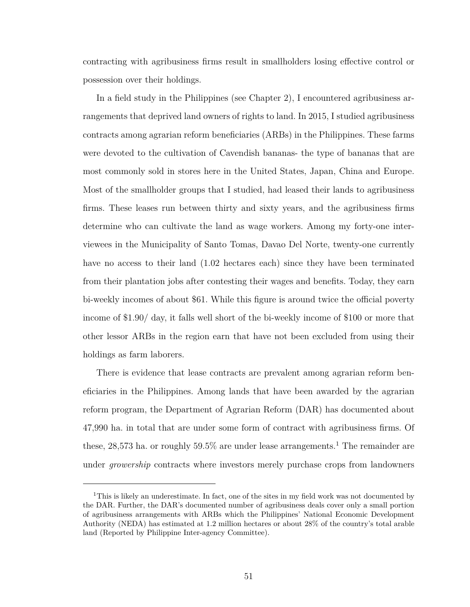contracting with agribusiness firms result in smallholders losing effective control or possession over their holdings.

In a field study in the Philippines (see Chapter [2\)](#page-15-0), I encountered agribusiness arrangements that deprived land owners of rights to land. In 2015, I studied agribusiness contracts among agrarian reform beneficiaries (ARBs) in the Philippines. These farms were devoted to the cultivation of Cavendish bananas- the type of bananas that are most commonly sold in stores here in the United States, Japan, China and Europe. Most of the smallholder groups that I studied, had leased their lands to agribusiness firms. These leases run between thirty and sixty years, and the agribusiness firms determine who can cultivate the land as wage workers. Among my forty-one interviewees in the Municipality of Santo Tomas, Davao Del Norte, twenty-one currently have no access to their land  $(1.02 \text{ hectares each})$  since they have been terminated from their plantation jobs after contesting their wages and benefits. Today, they earn bi-weekly incomes of about \$61. While this figure is around twice the official poverty income of \$1.90/ day, it falls well short of the bi-weekly income of \$100 or more that other lessor ARBs in the region earn that have not been excluded from using their holdings as farm laborers.

There is evidence that lease contracts are prevalent among agrarian reform beneficiaries in the Philippines. Among lands that have been awarded by the agrarian reform program, the Department of Agrarian Reform (DAR) has documented about 47,990 ha. in total that are under some form of contract with agribusiness firms. Of these, 28,573 ha. or roughly 59.5% are under lease arrangements.<sup>[1](#page-62-0)</sup> The remainder are under *growership* contracts where investors merely purchase crops from landowners

<span id="page-62-0"></span><sup>&</sup>lt;sup>1</sup>This is likely an underestimate. In fact, one of the sites in my field work was not documented by the DAR. Further, the DAR's documented number of agribusiness deals cover only a small portion of agribusiness arrangements with ARBs which the Philippines' National Economic Development Authority (NEDA) has estimated at 1.2 million hectares or about 28% of the country's total arable land (Reported by Philippine Inter-agency Committee).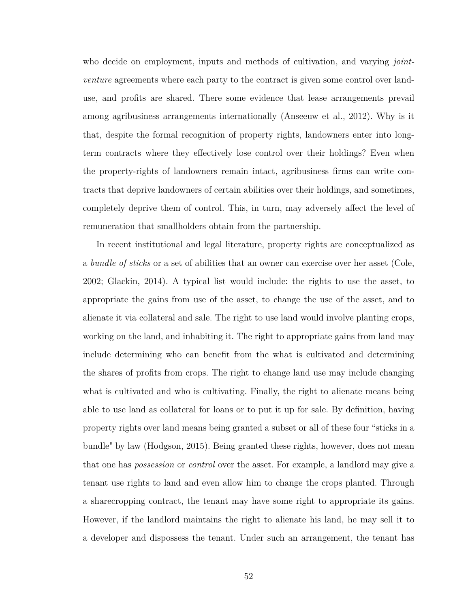who decide on employment, inputs and methods of cultivation, and varying *jointventure* agreements where each party to the contract is given some control over landuse, and profits are shared. There some evidence that lease arrangements prevail among agribusiness arrangements internationally [\(Anseeuw et al., 2012\)](#page-126-1). Why is it that, despite the formal recognition of property rights, landowners enter into longterm contracts where they effectively lose control over their holdings? Even when the property-rights of landowners remain intact, agribusiness firms can write contracts that deprive landowners of certain abilities over their holdings, and sometimes, completely deprive them of control. This, in turn, may adversely affect the level of remuneration that smallholders obtain from the partnership.

In recent institutional and legal literature, property rights are conceptualized as a *bundle of sticks* or a set of abilities that an owner can exercise over her asset [\(Cole,](#page-127-3) [2002;](#page-127-3) [Glackin, 2014\)](#page-128-5). A typical list would include: the rights to use the asset, to appropriate the gains from use of the asset, to change the use of the asset, and to alienate it via collateral and sale. The right to use land would involve planting crops, working on the land, and inhabiting it. The right to appropriate gains from land may include determining who can benefit from the what is cultivated and determining the shares of profits from crops. The right to change land use may include changing what is cultivated and who is cultivating. Finally, the right to alienate means being able to use land as collateral for loans or to put it up for sale. By definition, having property rights over land means being granted a subset or all of these four "sticks in a bundle" by law [\(Hodgson, 2015\)](#page-129-0). Being granted these rights, however, does not mean that one has *possession* or *control* over the asset. For example, a landlord may give a tenant use rights to land and even allow him to change the crops planted. Through a sharecropping contract, the tenant may have some right to appropriate its gains. However, if the landlord maintains the right to alienate his land, he may sell it to a developer and dispossess the tenant. Under such an arrangement, the tenant has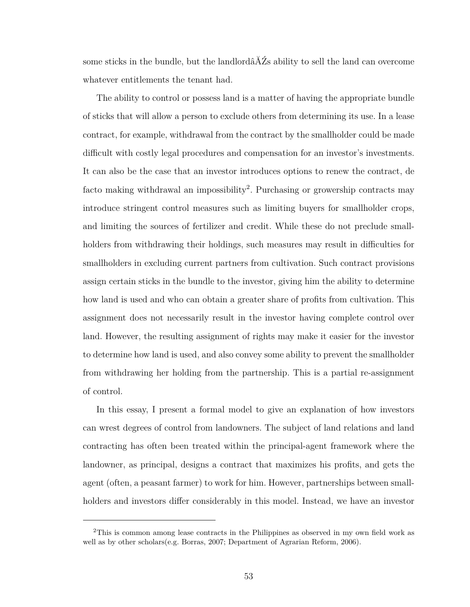some sticks in the bundle, but the landlordâĂŹs ability to sell the land can overcome whatever entitlements the tenant had.

The ability to control or possess land is a matter of having the appropriate bundle of sticks that will allow a person to exclude others from determining its use. In a lease contract, for example, withdrawal from the contract by the smallholder could be made difficult with costly legal procedures and compensation for an investor's investments. It can also be the case that an investor introduces options to renew the contract, de facto making withdrawal an impossibility<sup>[2](#page-64-0)</sup>. Purchasing or growership contracts may introduce stringent control measures such as limiting buyers for smallholder crops, and limiting the sources of fertilizer and credit. While these do not preclude smallholders from withdrawing their holdings, such measures may result in difficulties for smallholders in excluding current partners from cultivation. Such contract provisions assign certain sticks in the bundle to the investor, giving him the ability to determine how land is used and who can obtain a greater share of profits from cultivation. This assignment does not necessarily result in the investor having complete control over land. However, the resulting assignment of rights may make it easier for the investor to determine how land is used, and also convey some ability to prevent the smallholder from withdrawing her holding from the partnership. This is a partial re-assignment of control.

In this essay, I present a formal model to give an explanation of how investors can wrest degrees of control from landowners. The subject of land relations and land contracting has often been treated within the principal-agent framework where the landowner, as principal, designs a contract that maximizes his profits, and gets the agent (often, a peasant farmer) to work for him. However, partnerships between smallholders and investors differ considerably in this model. Instead, we have an investor

<span id="page-64-0"></span><sup>2</sup>This is common among lease contracts in the Philippines as observed in my own field work as well as by other scholars(e.g. [Borras, 2007;](#page-127-4) [Department of Agrarian Reform, 2006\)](#page-128-6).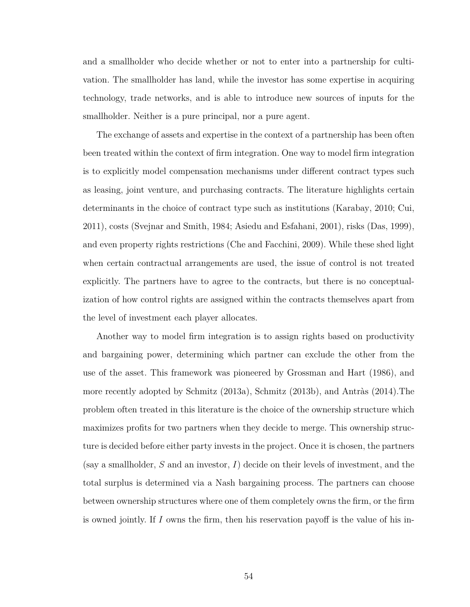and a smallholder who decide whether or not to enter into a partnership for cultivation. The smallholder has land, while the investor has some expertise in acquiring technology, trade networks, and is able to introduce new sources of inputs for the smallholder. Neither is a pure principal, nor a pure agent.

The exchange of assets and expertise in the context of a partnership has been often been treated within the context of firm integration. One way to model firm integration is to explicitly model compensation mechanisms under different contract types such as leasing, joint venture, and purchasing contracts. The literature highlights certain determinants in the choice of contract type such as institutions [\(Karabay, 2010;](#page-129-1) [Cui,](#page-127-5) [2011\)](#page-127-5), costs [\(Svejnar and Smith, 1984;](#page-131-2) [Asiedu and Esfahani, 2001\)](#page-126-2), risks [\(Das, 1999\)](#page-127-6), and even property rights restrictions [\(Che and Facchini, 2009\)](#page-127-7). While these shed light when certain contractual arrangements are used, the issue of control is not treated explicitly. The partners have to agree to the contracts, but there is no conceptualization of how control rights are assigned within the contracts themselves apart from the level of investment each player allocates.

Another way to model firm integration is to assign rights based on productivity and bargaining power, determining which partner can exclude the other from the use of the asset. This framework was pioneered by [Grossman and Hart](#page-129-2) [\(1986\)](#page-129-2), and more recently adopted by [Schmitz](#page-131-3) [\(2013a\)](#page-131-3), [Schmitz](#page-131-4) [\(2013b\)](#page-131-4), and [Antràs](#page-126-3) [\(2014\)](#page-126-3).The problem often treated in this literature is the choice of the ownership structure which maximizes profits for two partners when they decide to merge. This ownership structure is decided before either party invests in the project. Once it is chosen, the partners (say a smallholder, *S* and an investor, *I*) decide on their levels of investment, and the total surplus is determined via a Nash bargaining process. The partners can choose between ownership structures where one of them completely owns the firm, or the firm is owned jointly. If *I* owns the firm, then his reservation payoff is the value of his in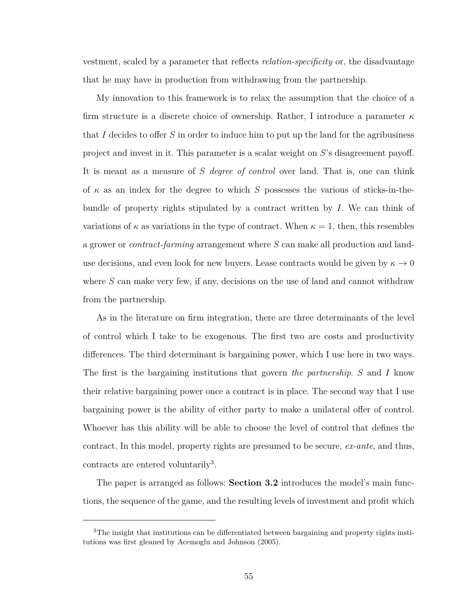vestment, scaled by a parameter that reflects *relation-specificity* or, the disadvantage that he may have in production from withdrawing from the partnership.

My innovation to this framework is to relax the assumption that the choice of a firm structure is a discrete choice of ownership. Rather, I introduce a parameter *κ* that *I* decides to offer *S* in order to induce him to put up the land for the agribusiness project and invest in it. This parameter is a scalar weight on *S*'s disagreement payoff. It is meant as a measure of *S degree of control* over land. That is, one can think of *κ* as an index for the degree to which *S* possesses the various of sticks-in-thebundle of property rights stipulated by a contract written by *I*. We can think of variations of  $\kappa$  as variations in the type of contract. When  $\kappa = 1$ , then, this resembles a grower or *contract-farming* arrangement where *S* can make all production and landuse decisions, and even look for new buyers. Lease contracts would be given by  $\kappa \to 0$ where *S* can make very few, if any, decisions on the use of land and cannot withdraw from the partnership.

As in the literature on firm integration, there are three determinants of the level of control which I take to be exogenous. The first two are costs and productivity differences. The third determinant is bargaining power, which I use here in two ways. The first is the bargaining institutions that govern *the partnership*. *S* and *I* know their relative bargaining power once a contract is in place. The second way that I use bargaining power is the ability of either party to make a unilateral offer of control. Whoever has this ability will be able to choose the level of control that defines the contract. In this model, property rights are presumed to be secure, *ex-ante*, and thus, contracts are entered voluntarily<sup>[3](#page-66-0)</sup>.

The paper is arranged as follows: **Section [3.2](#page-67-0)** introduces the model's main functions, the sequence of the game, and the resulting levels of investment and profit which

<span id="page-66-0"></span><sup>&</sup>lt;sup>3</sup>The insight that institutions can be differentiated between bargaining and property rights institutions was first gleaned by [Acemoglu and Johnson](#page-126-4) [\(2005\)](#page-126-4).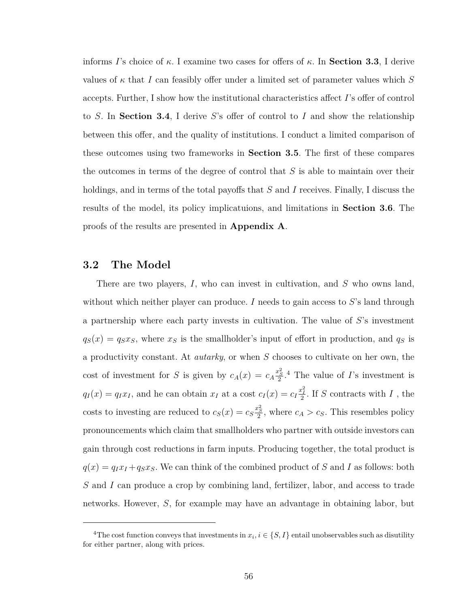informs *I*'s choice of *κ*. I examine two cases for offers of *κ*. In **Section [3.3](#page-72-0)**, I derive values of  $\kappa$  that *I* can feasibly offer under a limited set of parameter values which *S* accepts. Further, I show how the institutional characteristics affect *I*'s offer of control to *S*. In **Section [3.4](#page-77-0)**, I derive *S*'s offer of control to *I* and show the relationship between this offer, and the quality of institutions. I conduct a limited comparison of these outcomes using two frameworks in **Section [3.5](#page-80-0)**. The first of these compares the outcomes in terms of the degree of control that *S* is able to maintain over their holdings, and in terms of the total payoffs that *S* and *I* receives. Finally, I discuss the results of the model, its policy implicatuions, and limitations in **Section [3.6](#page-84-0)**. The proofs of the results are presented in **Appendix [A](#page-111-0)**.

# <span id="page-67-0"></span>**3.2 The Model**

There are two players, *I*, who can invest in cultivation, and *S* who owns land, without which neither player can produce. *I* needs to gain access to *S*'s land through a partnership where each party invests in cultivation. The value of *S*'s investment  $q_S(x) = q_S x_S$ , where  $x_S$  is the smallholder's input of effort in production, and  $q_S$  is a productivity constant. At *autarky*, or when *S* chooses to cultivate on her own, the cost of investment for *S* is given by  $c_A(x) = c_A \frac{x_S^2}{2}$ .<sup>[4](#page-67-1)</sup> The value of *I*'s investment is  $q_I(x) = q_I x_I$ , and he can obtain  $x_I$  at a cost  $c_I(x) = c_I \frac{x_I^2}{2}$ . If *S* contracts with *I*, the costs to investing are reduced to  $c_S(x) = c_S \frac{x_S^2}{2}$ , where  $c_A > c_S$ . This resembles policy pronouncements which claim that smallholders who partner with outside investors can gain through cost reductions in farm inputs. Producing together, the total product is  $q(x) = q_I x_I + q_S x_S$ . We can think of the combined product of *S* and *I* as follows: both *S* and *I* can produce a crop by combining land, fertilizer, labor, and access to trade networks. However, *S*, for example may have an advantage in obtaining labor, but

<span id="page-67-1"></span><sup>&</sup>lt;sup>4</sup>The cost function conveys that investments in  $x_i, i \in \{S, I\}$  entail unobservables such as disutility for either partner, along with prices.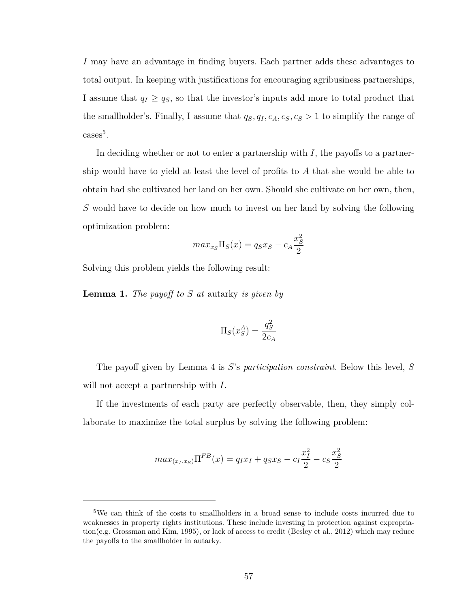*I* may have an advantage in finding buyers. Each partner adds these advantages to total output. In keeping with justifications for encouraging agribusiness partnerships, I assume that  $q_I \ge q_S$ , so that the investor's inputs add more to total product that the smallholder's. Finally, I assume that  $q_S, q_I, c_A, c_S, c_S > 1$  to simplify the range of  $\csc^5$  $\csc^5$ .

In deciding whether or not to enter a partnership with  $I$ , the payoffs to a partnership would have to yield at least the level of profits to *A* that she would be able to obtain had she cultivated her land on her own. Should she cultivate on her own, then, *S* would have to decide on how much to invest on her land by solving the following optimization problem:

$$
max_{x_S} \Pi_S(x) = q_S x_S - c_A \frac{x_S^2}{2}
$$

Solving this problem yields the following result:

**Lemma 1.** *The payoff to S at* autarky *is given by*

$$
\Pi_S(x_S^A) = \frac{q_S^2}{2c_A}
$$

The payoff given by Lemma [4](#page-94-0) is *S*'s *participation constraint*. Below this level, *S* will not accept a partnership with *I*.

If the investments of each party are perfectly observable, then, they simply collaborate to maximize the total surplus by solving the following problem:

$$
max_{(x_I, x_S)} \Pi^{FB}(x) = q_I x_I + q_S x_S - c_I \frac{x_I^2}{2} - c_S \frac{x_S^2}{2}
$$

<span id="page-68-0"></span><sup>5</sup>We can think of the costs to smallholders in a broad sense to include costs incurred due to weaknesses in property rights institutions. These include investing in protection against expropriation(e.g. [Grossman and Kim, 1995\)](#page-129-3), or lack of access to credit [\(Besley et al., 2012\)](#page-126-5) which may reduce the payoffs to the smallholder in autarky.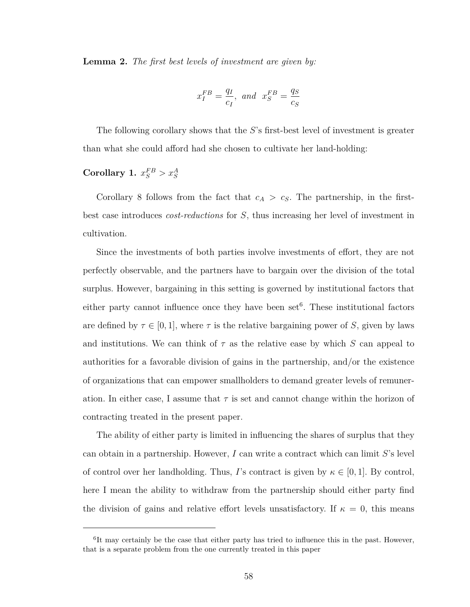**Lemma 2.** *The first best levels of investment are given by:*

$$
x_I^{FB} = \frac{q_I}{c_I}, \text{ and } x_S^{FB} = \frac{q_S}{c_S}
$$

The following corollary shows that the *S*'s first-best level of investment is greater than what she could afford had she chosen to cultivate her land-holding:

# **Corollary 1.**  $x_S^{FB} > x_S^A$

Corollary [8](#page-94-1) follows from the fact that  $c_A > c_S$ . The partnership, in the firstbest case introduces *cost-reductions* for *S*, thus increasing her level of investment in cultivation.

Since the investments of both parties involve investments of effort, they are not perfectly observable, and the partners have to bargain over the division of the total surplus. However, bargaining in this setting is governed by institutional factors that either party cannot influence once they have been set<sup>[6](#page-69-0)</sup>. These institutional factors are defined by  $\tau \in [0, 1]$ , where  $\tau$  is the relative bargaining power of *S*, given by laws and institutions. We can think of  $\tau$  as the relative ease by which *S* can appeal to authorities for a favorable division of gains in the partnership, and/or the existence of organizations that can empower smallholders to demand greater levels of remuneration. In either case, I assume that  $\tau$  is set and cannot change within the horizon of contracting treated in the present paper.

The ability of either party is limited in influencing the shares of surplus that they can obtain in a partnership. However, *I* can write a contract which can limit *S*'s level of control over her landholding. Thus, *I*'s contract is given by  $\kappa \in [0,1]$ . By control, here I mean the ability to withdraw from the partnership should either party find the division of gains and relative effort levels unsatisfactory. If  $\kappa = 0$ , this means

<span id="page-69-0"></span><sup>&</sup>lt;sup>6</sup>It may certainly be the case that either party has tried to influence this in the past. However, that is a separate problem from the one currently treated in this paper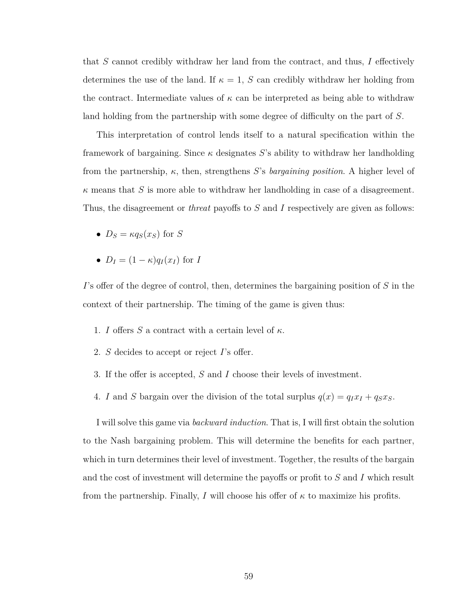that *S* cannot credibly withdraw her land from the contract, and thus, *I* effectively determines the use of the land. If  $\kappa = 1$ , *S* can credibly withdraw her holding from the contract. Intermediate values of *κ* can be interpreted as being able to withdraw land holding from the partnership with some degree of difficulty on the part of *S*.

This interpretation of control lends itself to a natural specification within the framework of bargaining. Since  $\kappa$  designates *S*'s ability to withdraw her landholding from the partnership, *κ*, then, strengthens *S*'s *bargaining position*. A higher level of  $\kappa$  means that *S* is more able to withdraw her landholding in case of a disagreement. Thus, the disagreement or *threat* payoffs to *S* and *I* respectively are given as follows:

- $D_S = \kappa q_S(x_S)$  for *S*
- $D_I = (1 \kappa)q_I(x_I)$  for *I*

*I*'s offer of the degree of control, then, determines the bargaining position of *S* in the context of their partnership. The timing of the game is given thus:

- 1. *I* offers *S* a contract with a certain level of  $\kappa$ .
- 2. *S* decides to accept or reject *I*'s offer.
- 3. If the offer is accepted, *S* and *I* choose their levels of investment.
- 4. *I* and *S* bargain over the division of the total surplus  $q(x) = q_I x_I + q_S x_S$ .

I will solve this game via *backward induction*. That is, I will first obtain the solution to the Nash bargaining problem. This will determine the benefits for each partner, which in turn determines their level of investment. Together, the results of the bargain and the cost of investment will determine the payoffs or profit to *S* and *I* which result from the partnership. Finally, *I* will choose his offer of  $\kappa$  to maximize his profits.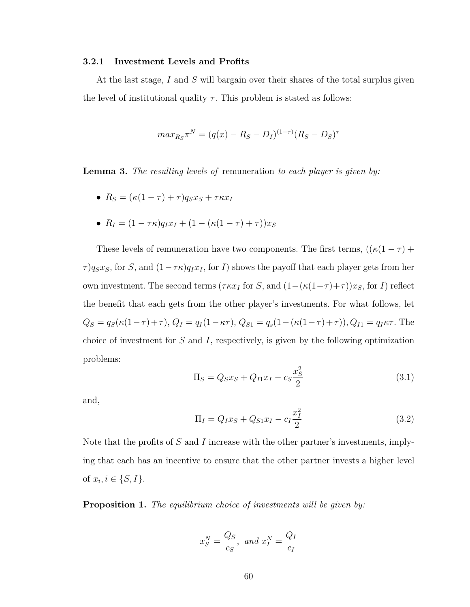#### **3.2.1 Investment Levels and Profits**

At the last stage, *I* and *S* will bargain over their shares of the total surplus given the level of institutional quality  $\tau$ . This problem is stated as follows:

$$
max_{R_S} \pi^N = (q(x) - R_S - D_I)^{(1-\tau)} (R_S - D_S)^{\tau}
$$

**Lemma 3.** *The resulting levels of* remuneration *to each player is given by:*

- $R_S = (\kappa(1 \tau) + \tau)q_Sx_S + \tau\kappa x_I$
- $R_I = (1 \tau \kappa) q_I x_I + (1 (\kappa(1 \tau) + \tau)) x_S$

These levels of remuneration have two components. The first terms,  $((\kappa(1-\tau)+$ *τ*) $q_S x_S$ , for *S*, and  $(1 - \tau \kappa) q_I x_I$ , for *I*) shows the payoff that each player gets from her own investment. The second terms ( $\tau \kappa x_I$  for *S*, and  $(1 - (\kappa(1-\tau) + \tau))x_S$ , for *I*) reflect the benefit that each gets from the other player's investments. For what follows, let  $Q_S = q_S(\kappa(1-\tau)+\tau), Q_I = q_I(1-\kappa\tau), Q_{S1} = q_s(1-(\kappa(1-\tau)+\tau)), Q_{I1} = q_I\kappa\tau.$  The choice of investment for *S* and *I*, respectively, is given by the following optimization problems:

$$
\Pi_S = Q_S x_S + Q_{I1} x_I - c_S \frac{x_S^2}{2}
$$
\n(3.1)

and,

$$
\Pi_I = Q_I x_S + Q_{S1} x_I - c_I \frac{x_I^2}{2}
$$
\n(3.2)

Note that the profits of *S* and *I* increase with the other partner's investments, implying that each has an incentive to ensure that the other partner invests a higher level of  $x_i, i \in \{S, I\}.$ 

**Proposition 1.** *The equilibrium choice of investments will be given by:*

$$
x_S^N = \frac{Q_S}{c_S}, \text{ and } x_I^N = \frac{Q_I}{c_I}
$$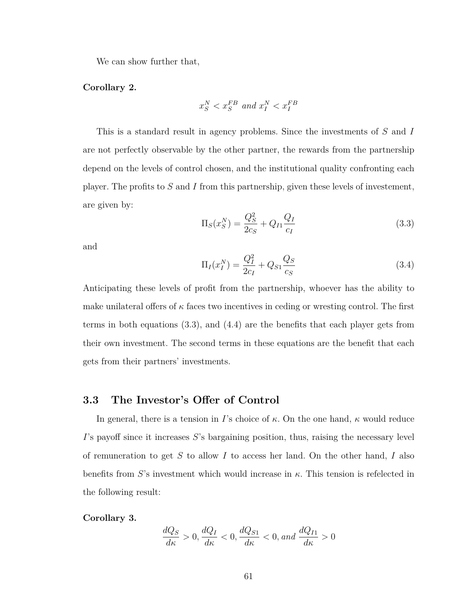We can show further that,

#### **Corollary 2.**

$$
x_S^N < x_S^{FB} \text{ and } x_I^N < x_I^{FB}
$$

This is a standard result in agency problems. Since the investments of *S* and *I* are not perfectly observable by the other partner, the rewards from the partnership depend on the levels of control chosen, and the institutional quality confronting each player. The profits to *S* and *I* from this partnership, given these levels of investement, are given by:

<span id="page-72-0"></span>
$$
\Pi_S(x_S^N) = \frac{Q_S^2}{2c_S} + Q_{I1} \frac{Q_I}{c_I}
$$
\n(3.3)

and

$$
\Pi_I(x_I^N) = \frac{Q_I^2}{2c_I} + Q_{S1} \frac{Q_S}{c_S}
$$
\n(3.4)

Anticipating these levels of profit from the partnership, whoever has the ability to make unilateral offers of  $\kappa$  faces two incentives in ceding or wresting control. The first terms in both equations [\(3.3\)](#page-72-0), and [\(4.4\)](#page-96-0) are the benefits that each player gets from their own investment. The second terms in these equations are the benefit that each gets from their partners' investments.

### **3.3 The Investor's Offer of Control**

In general, there is a tension in *I*'s choice of *κ*. On the one hand, *κ* would reduce *I*'s payoff since it increases *S*'s bargaining position, thus, raising the necessary level of remuneration to get *S* to allow *I* to access her land. On the other hand, *I* also benefits from *S*'s investment which would increase in *κ*. This tension is refelected in the following result:

**Corollary 3.**

$$
\frac{dQ_S}{d\kappa} > 0, \frac{dQ_I}{d\kappa} < 0, \frac{dQ_{S1}}{d\kappa} < 0, and \frac{dQ_{I1}}{d\kappa} > 0
$$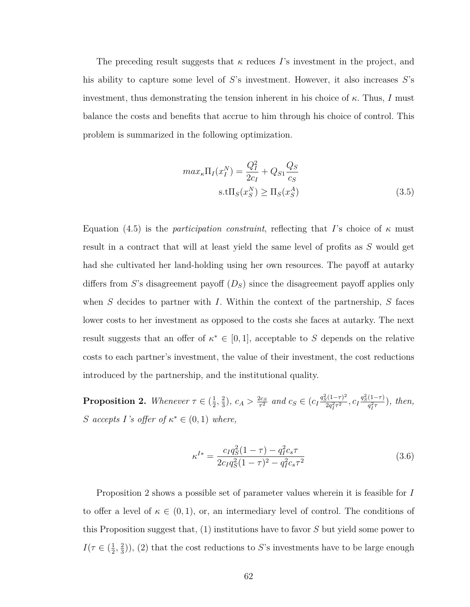The preceding result suggests that *κ* reduces *I*'s investment in the project, and his ability to capture some level of *S*'s investment. However, it also increases *S*'s investment, thus demonstrating the tension inherent in his choice of  $\kappa$ . Thus, *I* must balance the costs and benefits that accrue to him through his choice of control. This problem is summarized in the following optimization.

$$
max_{\kappa} \Pi_I(x_I^N) = \frac{Q_I^2}{2c_I} + Q_{S1} \frac{Q_S}{c_S}
$$
  
s.t $\Pi_S(x_S^N) \ge \Pi_S(x_S^A)$  (3.5)

Equation [\(4.5\)](#page-100-0) is the *participation constraint*, reflecting that *I*'s choice of *κ* must result in a contract that will at least yield the same level of profits as *S* would get had she cultivated her land-holding using her own resources. The payoff at autarky differs from *S*'s disagreement payoff (*DS*) since the disagreement payoff applies only when *S* decides to partner with *I*. Within the context of the partnership, *S* faces lower costs to her investment as opposed to the costs she faces at autarky. The next result suggests that an offer of  $\kappa^* \in [0,1]$ , acceptable to *S* depends on the relative costs to each partner's investment, the value of their investment, the cost reductions introduced by the partnership, and the institutional quality.

<span id="page-73-0"></span>**Proposition 2.** *Whenever*  $\tau \in \left(\frac{1}{2}\right)$  $\frac{1}{2}$ ,  $\frac{2}{3}$  $(\frac{2}{3}), c_A > \frac{2c_S}{\tau^2}$  $\frac{2c_S}{\tau^2}$  *and*  $c_S \in (c_I \frac{q_S^2 (1-\tau)^2}{2q_I^2 \tau^2})$  $\frac{q_S^2(1-\tau)^2}{2q_I^2\tau^2}, C_I \frac{q_S^2(1-\tau)}{q_I^2\tau}$  $\frac{q_1^{(1-\tau)}}{q_1^{2\tau}}$ ), then, *S accepts I*<sup>'s</sup> offer of  $\kappa^* \in (0,1)$  where,

<span id="page-73-1"></span>
$$
\kappa^{I*} = \frac{c_I q_S^2 (1 - \tau) - q_I^2 c_s \tau}{2 c_I q_S^2 (1 - \tau)^2 - q_I^2 c_s \tau^2}
$$
\n(3.6)

Proposition [2](#page-73-0) shows a possible set of parameter values wherein it is feasible for *I* to offer a level of  $\kappa \in (0,1)$ , or, an intermediary level of control. The conditions of this Proposition suggest that, (1) institutions have to favor *S* but yield some power to  $I(\tau \in (\frac{1}{2})$  $\frac{1}{2}$ ,  $\frac{2}{3}$  $\frac{2}{3}$ ), (2) that the cost reductions to *S*'s investments have to be large enough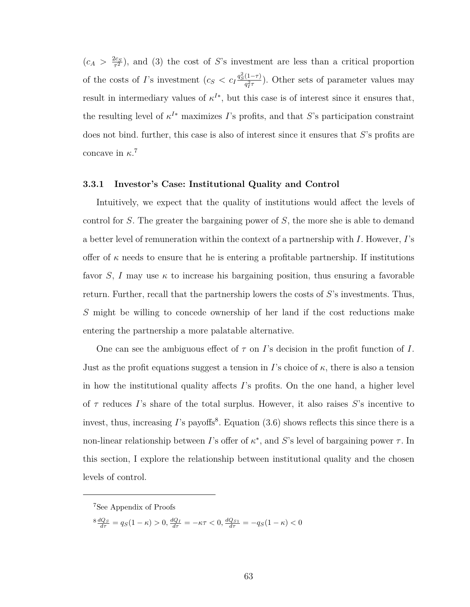$\left(c_A > \frac{2c_S}{\tau^2}\right)$  $\frac{2c_S}{\tau^2}$ , and (3) the cost of *S*'s investment are less than a critical proportion of the costs of *I*'s investment  $(c_S < c_I \frac{q_S^2(1-\tau)}{q_Z^2\tau})$  $\frac{(1-\tau)}{q_T^2 \tau}$ ). Other sets of parameter values may result in intermediary values of  $\kappa^{I*}$ , but this case is of interest since it ensures that, the resulting level of  $\kappa^{I*}$  maximizes *I*'s profits, and that *S*'s participation constraint does not bind. further, this case is also of interest since it ensures that *S*'s profits are concave in  $\kappa$ <sup>[7](#page-74-0)</sup>

#### **3.3.1 Investor's Case: Institutional Quality and Control**

Intuitively, we expect that the quality of institutions would affect the levels of control for *S*. The greater the bargaining power of *S*, the more she is able to demand a better level of remuneration within the context of a partnership with *I*. However, *I*'s offer of  $\kappa$  needs to ensure that he is entering a profitable partnership. If institutions favor *S*, *I* may use  $\kappa$  to increase his bargaining position, thus ensuring a favorable return. Further, recall that the partnership lowers the costs of *S*'s investments. Thus, *S* might be willing to concede ownership of her land if the cost reductions make entering the partnership a more palatable alternative.

One can see the ambiguous effect of *τ* on *I*'s decision in the profit function of *I*. Just as the profit equations suggest a tension in *I*'s choice of  $\kappa$ , there is also a tension in how the institutional quality affects *I*'s profits. On the one hand, a higher level of *τ* reduces *I*'s share of the total surplus. However, it also raises *S*'s incentive to invest, thus, increasing  $I$ 's payoffs<sup>[8](#page-74-1)</sup>. Equation  $(3.6)$  shows reflects this since there is a non-linear relationship between *I*'s offer of  $\kappa^*$ , and *S*'s level of bargaining power  $\tau$ . In this section, I explore the relationship between institutional quality and the chosen levels of control.

<span id="page-74-1"></span> $\frac{8}{d\sigma} \frac{dQ_S}{d\tau} = q_S(1 - \kappa) > 0, \frac{dQ_I}{d\tau} = -\kappa \tau < 0, \frac{dQ_{S1}}{d\tau} = -q_S(1 - \kappa) < 0$ 

<span id="page-74-0"></span><sup>7</sup>See Appendix of Proofs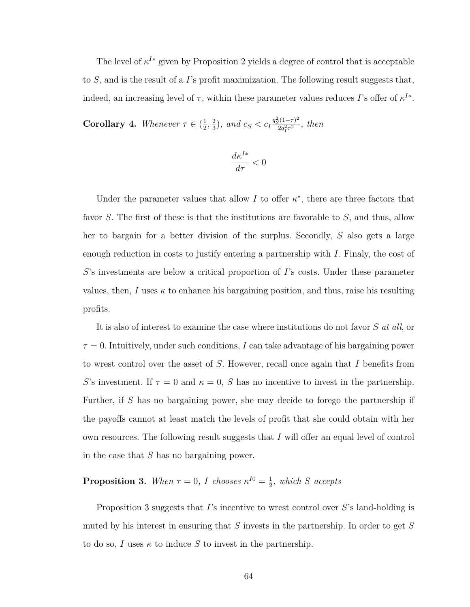The level of  $\kappa^{I*}$  given by Proposition [2](#page-73-0) yields a degree of control that is acceptable to *S*, and is the result of a *I*'s profit maximization. The following result suggests that, indeed, an increasing level of  $\tau$ , within these parameter values reduces *I*'s offer of  $\kappa^{I*}$ .

**Corollary 4.** *Whenever*  $\tau \in \left(\frac{1}{2}\right)$  $\frac{1}{2}$ ,  $\frac{2}{3}$  $\left(\frac{2}{3}\right)$ *, and c<sub>S</sub>* < c<sub>I</sub> $\frac{q_S^2(1-\tau)^2}{2q_f^2\tau^2}$  $\frac{f_2(1-\tau)}{2q_I^2 \tau^2}$ , then

$$
\frac{d\kappa^{I*}}{d\tau}<0
$$

Under the parameter values that allow  $I$  to offer  $\kappa^*$ , there are three factors that favor *S*. The first of these is that the institutions are favorable to *S*, and thus, allow her to bargain for a better division of the surplus. Secondly, *S* also gets a large enough reduction in costs to justify entering a partnership with *I*. Finaly, the cost of *S*'s investments are below a critical proportion of *I*'s costs. Under these parameter values, then, *I* uses  $\kappa$  to enhance his bargaining position, and thus, raise his resulting profits.

It is also of interest to examine the case where institutions do not favor *S at all*, or  $\tau = 0$ . Intuitively, under such conditions, *I* can take advantage of his bargaining power to wrest control over the asset of *S*. However, recall once again that *I* benefits from *S*'s investment. If  $\tau = 0$  and  $\kappa = 0$ , *S* has no incentive to invest in the partnership. Further, if *S* has no bargaining power, she may decide to forego the partnership if the payoffs cannot at least match the levels of profit that she could obtain with her own resources. The following result suggests that *I* will offer an equal level of control in the case that *S* has no bargaining power.

#### <span id="page-75-0"></span>**Proposition 3.** When  $\tau = 0$ , *I* chooses  $\kappa^{I0} = \frac{1}{2}$  $\frac{1}{2}$ *, which S accepts*

Proposition [3](#page-75-0) suggests that *I*'s incentive to wrest control over *S*'s land-holding is muted by his interest in ensuring that *S* invests in the partnership. In order to get *S* to do so, *I* uses  $\kappa$  to induce *S* to invest in the partnership.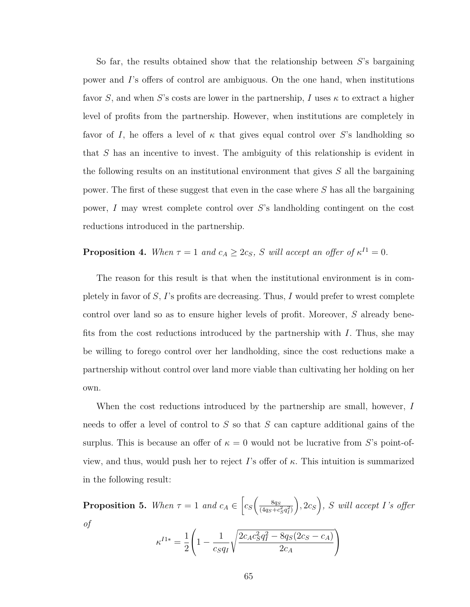So far, the results obtained show that the relationship between *S*'s bargaining power and *I*'s offers of control are ambiguous. On the one hand, when institutions favor *S*, and when *S*'s costs are lower in the partnership, *I* uses  $\kappa$  to extract a higher level of profits from the partnership. However, when institutions are completely in favor of *I*, he offers a level of  $\kappa$  that gives equal control over *S*'s landholding so that *S* has an incentive to invest. The ambiguity of this relationship is evident in the following results on an institutional environment that gives *S* all the bargaining power. The first of these suggest that even in the case where *S* has all the bargaining power, *I* may wrest complete control over *S*'s landholding contingent on the cost reductions introduced in the partnership.

## **Proposition 4.** When  $\tau = 1$  and  $c_A \geq 2c_S$ , *S* will accept an offer of  $\kappa^{I1} = 0$ .

The reason for this result is that when the institutional environment is in completely in favor of *S*, *I*'s profits are decreasing. Thus, *I* would prefer to wrest complete control over land so as to ensure higher levels of profit. Moreover, *S* already benefits from the cost reductions introduced by the partnership with *I*. Thus, she may be willing to forego control over her landholding, since the cost reductions make a partnership without control over land more viable than cultivating her holding on her own.

When the cost reductions introduced by the partnership are small, however, *I* needs to offer a level of control to *S* so that *S* can capture additional gains of the surplus. This is because an offer of  $\kappa = 0$  would not be lucrative from *S*'s point-ofview, and thus, would push her to reject *I*'s offer of *κ*. This intuition is summarized in the following result:

**Proposition 5.** When  $\tau = 1$  and  $c_A \in \left[c_S\left(\frac{8qs}{(4qs+cr)}\right)\right]$  $\sqrt{(4q_S+c_S^2q_I^2)}$  $\left( \frac{1}{2} c_S \right)$ , *S* will accept *I*'s offer *of*  $\sqrt{ }$ s 2 2 ).

$$
\kappa^{I1*} = \frac{1}{2} \left( 1 - \frac{1}{c_S q_I} \sqrt{\frac{2c_A c_S^2 q_I^2 - 8q_S(2c_S - c_A)}{2c_A}} \right)
$$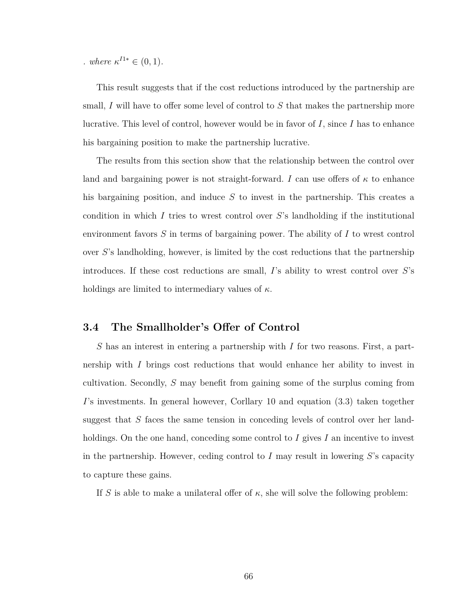*.* where  $\kappa^{I1*} \in (0,1)$ *.* 

This result suggests that if the cost reductions introduced by the partnership are small, *I* will have to offer some level of control to *S* that makes the partnership more lucrative. This level of control, however would be in favor of *I*, since *I* has to enhance his bargaining position to make the partnership lucrative.

The results from this section show that the relationship between the control over land and bargaining power is not straight-forward. *I* can use offers of  $\kappa$  to enhance his bargaining position, and induce *S* to invest in the partnership. This creates a condition in which *I* tries to wrest control over *S*'s landholding if the institutional environment favors *S* in terms of bargaining power. The ability of *I* to wrest control over *S*'s landholding, however, is limited by the cost reductions that the partnership introduces. If these cost reductions are small, *I*'s ability to wrest control over *S*'s holdings are limited to intermediary values of *κ*.

### **3.4 The Smallholder's Offer of Control**

*S* has an interest in entering a partnership with *I* for two reasons. First, a partnership with *I* brings cost reductions that would enhance her ability to invest in cultivation. Secondly, *S* may benefit from gaining some of the surplus coming from *I*'s investments. In general however, Corllary [10](#page-102-0) and equation [\(3.3\)](#page-72-0) taken together suggest that *S* faces the same tension in conceding levels of control over her landholdings. On the one hand, conceding some control to *I* gives *I* an incentive to invest in the partnership. However, ceding control to *I* may result in lowering *S*'s capacity to capture these gains.

If *S* is able to make a unilateral offer of  $\kappa$ , she will solve the following problem: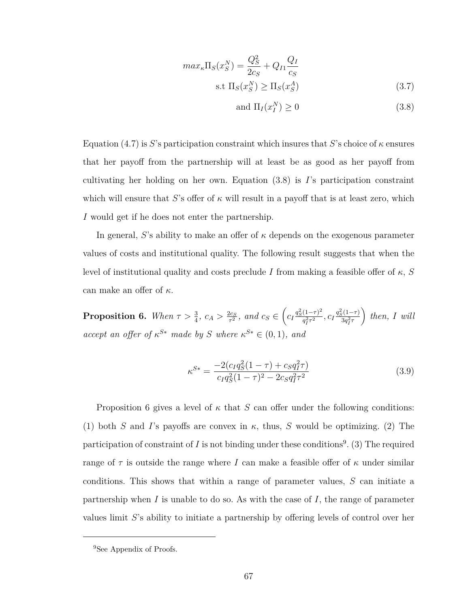<span id="page-78-0"></span>
$$
max_{\kappa} \Pi_S(x_S^N) = \frac{Q_S^2}{2c_S} + Q_{I1} \frac{Q_I}{c_S}
$$
  
s.t  $\Pi_S(x_S^N) \ge \Pi_S(x_S^A)$  (3.7)

$$
and \Pi_I(x_I^N) \ge 0 \tag{3.8}
$$

Equation [\(4.7\)](#page-102-1) is *S*'s participation constraint which insures that *S*'s choice of *κ* ensures that her payoff from the partnership will at least be as good as her payoff from cultivating her holding on her own. Equation [\(3.8\)](#page-78-0) is *I*'s participation constraint which will ensure that *S*'s offer of  $\kappa$  will result in a payoff that is at least zero, which *I* would get if he does not enter the partnership.

In general, *S*'s ability to make an offer of  $\kappa$  depends on the exogenous parameter values of costs and institutional quality. The following result suggests that when the level of institutional quality and costs preclude *I* from making a feasible offer of *κ*, *S* can make an offer of *κ*.

<span id="page-78-1"></span>**Proposition 6.** *When*  $\tau > \frac{3}{4}$ ,  $c_A > \frac{2c_S}{\tau^2}$  $\frac{2c_S}{\tau^2}$ , and  $c_S \in \left(c_I \frac{q_S^2 (1-\tau)^2}{q_I^2 \tau^2}\right)$  $q_I^{2\tau^2}$ ,  $c_I \frac{q_S^2(1-\tau)}{3q_I^2\tau}$  $3q_I^2 \tau$  $\left\{ \right.$ *then, I* will *accept an offer of*  $\kappa^{S*}$  *made by S where*  $\kappa^{S*} \in (0,1)$ *, and* 

$$
\kappa^{S*} = \frac{-2(c_I q_S^2 (1 - \tau) + c_S q_I^2 \tau)}{c_I q_S^2 (1 - \tau)^2 - 2c_S q_I^2 \tau^2}
$$
\n(3.9)

Proposition [6](#page-78-1) gives a level of  $\kappa$  that  $S$  can offer under the following conditions: (1) both *S* and *I*'s payoffs are convex in  $\kappa$ , thus, *S* would be optimizing. (2) The participation of constraint of  $I$  is not binding under these conditions<sup>[9](#page-78-2)</sup>. (3) The required range of  $\tau$  is outside the range where *I* can make a feasible offer of  $\kappa$  under similar conditions. This shows that within a range of parameter values, *S* can initiate a partnership when *I* is unable to do so. As with the case of *I*, the range of parameter values limit *S*'s ability to initiate a partnership by offering levels of control over her

<span id="page-78-2"></span><sup>&</sup>lt;sup>9</sup>See Appendix of Proofs.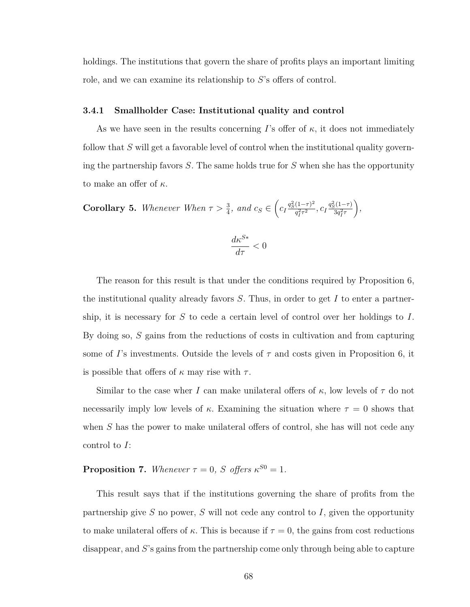holdings. The institutions that govern the share of profits plays an important limiting role, and we can examine its relationship to *S*'s offers of control.

#### **3.4.1 Smallholder Case: Institutional quality and control**

As we have seen in the results concerning *I*'s offer of  $\kappa$ , it does not immediately follow that *S* will get a favorable level of control when the institutional quality governing the partnership favors *S*. The same holds true for *S* when she has the opportunity to make an offer of *κ*.

**Corollary 5.** *Whenever When*  $\tau > \frac{3}{4}$ *, and*  $c_S \in \left(c_I \frac{q_S^2 (1-\tau)^2}{q_I^2 \tau^2}\right)$  $q_I^{2} \tau^2$ ,  $c_I \frac{q_S^2 (1 - \tau)}{3 q_I^2 \tau}$  $3q_I^2 \tau$ *,*

$$
\frac{d\kappa^{S*}}{d\tau}<0
$$

The reason for this result is that under the conditions required by Proposition [6,](#page-78-1) the institutional quality already favors *S*. Thus, in order to get *I* to enter a partnership, it is necessary for *S* to cede a certain level of control over her holdings to *I*. By doing so, *S* gains from the reductions of costs in cultivation and from capturing some of *I*'s investments. Outside the levels of *τ* and costs given in Proposition [6,](#page-78-1) it is possible that offers of  $\kappa$  may rise with  $\tau$ .

Similar to the case wher *I* can make unilateral offers of  $\kappa$ , low levels of  $\tau$  do not necessarily imply low levels of  $\kappa$ . Examining the situation where  $\tau = 0$  shows that when *S* has the power to make unilateral offers of control, she has will not cede any control to *I*:

**Proposition 7.** *Whenever*  $\tau = 0$ *, S offers*  $\kappa^{S0} = 1$ *.* 

This result says that if the institutions governing the share of profits from the partnership give *S* no power, *S* will not cede any control to *I*, given the opportunity to make unilateral offers of  $\kappa$ . This is because if  $\tau = 0$ , the gains from cost reductions disappear, and *S*'s gains from the partnership come only through being able to capture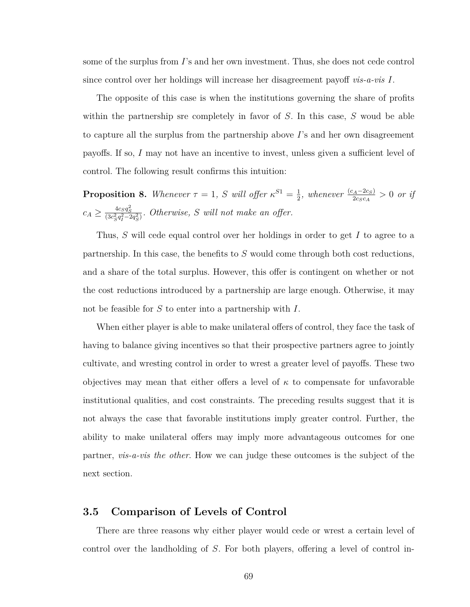some of the surplus from *I*'s and her own investment. Thus, she does not cede control since control over her holdings will increase her disagreement payoff *vis-a-vis I*.

The opposite of this case is when the institutions governing the share of profits within the partnership sre completely in favor of *S*. In this case, *S* woud be able to capture all the surplus from the partnership above *I*'s and her own disagreement payoffs. If so, *I* may not have an incentive to invest, unless given a sufficient level of control. The following result confirms this intuition:

**Proposition 8.** Whenever  $\tau = 1$ , *S* will offer  $\kappa^{S1} = \frac{1}{2}$  $\frac{1}{2}$ *, whenever*  $\frac{(c_A - 2c_S)}{2c_Sc_A} > 0$  *or if*  $c_A \geq \frac{4c_Sq_S^2}{(3c_S^2q_I^2-2q_S^2)}$ *. Otherwise, S will not make an offer.* 

Thus, *S* will cede equal control over her holdings in order to get *I* to agree to a partnership. In this case, the benefits to *S* would come through both cost reductions, and a share of the total surplus. However, this offer is contingent on whether or not the cost reductions introduced by a partnership are large enough. Otherwise, it may not be feasible for *S* to enter into a partnership with *I*.

When either player is able to make unilateral offers of control, they face the task of having to balance giving incentives so that their prospective partners agree to jointly cultivate, and wresting control in order to wrest a greater level of payoffs. These two objectives may mean that either offers a level of  $\kappa$  to compensate for unfavorable institutional qualities, and cost constraints. The preceding results suggest that it is not always the case that favorable institutions imply greater control. Further, the ability to make unilateral offers may imply more advantageous outcomes for one partner, *vis-a-vis the other*. How we can judge these outcomes is the subject of the next section.

### **3.5 Comparison of Levels of Control**

There are three reasons why either player would cede or wrest a certain level of control over the landholding of *S*. For both players, offering a level of control in-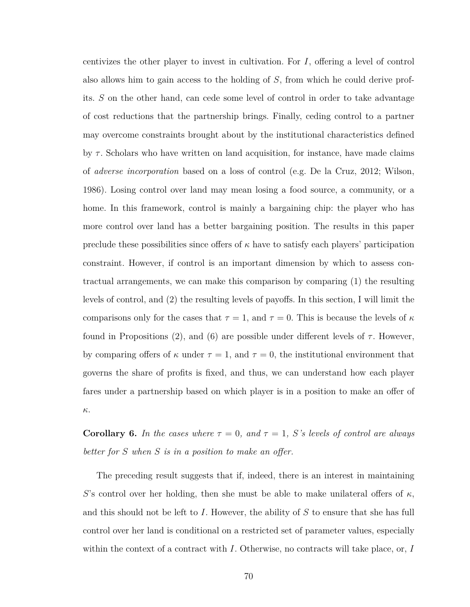centivizes the other player to invest in cultivation. For *I*, offering a level of control also allows him to gain access to the holding of *S*, from which he could derive profits. *S* on the other hand, can cede some level of control in order to take advantage of cost reductions that the partnership brings. Finally, ceding control to a partner may overcome constraints brought about by the institutional characteristics defined by *τ* . Scholars who have written on land acquisition, for instance, have made claims of *adverse incorporation* based on a loss of control (e.g. [De la Cruz, 2012;](#page-128-0) [Wilson,](#page-131-0) [1986\)](#page-131-0). Losing control over land may mean losing a food source, a community, or a home. In this framework, control is mainly a bargaining chip: the player who has more control over land has a better bargaining position. The results in this paper preclude these possibilities since offers of  $\kappa$  have to satisfy each players' participation constraint. However, if control is an important dimension by which to assess contractual arrangements, we can make this comparison by comparing (1) the resulting levels of control, and (2) the resulting levels of payoffs. In this section, I will limit the comparisons only for the cases that  $\tau = 1$ , and  $\tau = 0$ . This is because the levels of  $\kappa$ found in Propositions [\(2\)](#page-73-0), and [\(6\)](#page-78-1) are possible under different levels of  $\tau$ . However, by comparing offers of  $\kappa$  under  $\tau = 1$ , and  $\tau = 0$ , the institutional environment that governs the share of profits is fixed, and thus, we can understand how each player fares under a partnership based on which player is in a position to make an offer of *κ*.

<span id="page-81-0"></span>**Corollary 6.** *In the cases where*  $\tau = 0$ *, and*  $\tau = 1$ *, S*<sup>*'s*</sup> *levels of control are always better for S when S is in a position to make an offer.*

The preceding result suggests that if, indeed, there is an interest in maintaining *S*'s control over her holding, then she must be able to make unilateral offers of  $\kappa$ , and this should not be left to *I*. However, the ability of *S* to ensure that she has full control over her land is conditional on a restricted set of parameter values, especially within the context of a contract with *I*. Otherwise, no contracts will take place, or, *I*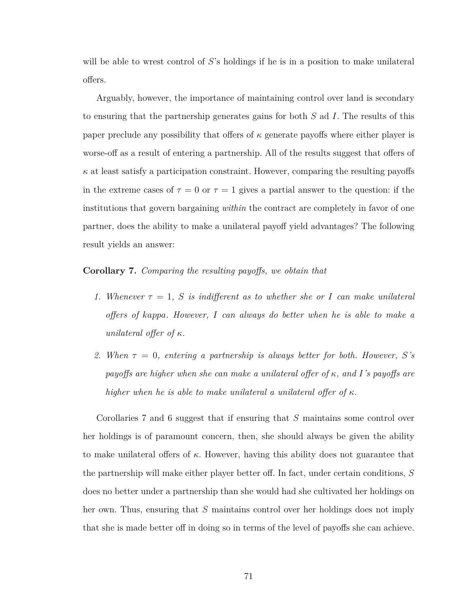will be able to wrest control of *S*'s holdings if he is in a position to make unilateral offers.

Arguably, however, the importance of maintaining control over land is secondary to ensuring that the partnership generates gains for both *S* ad *I*. The results of this paper preclude any possibility that offers of *κ* generate payoffs where either player is worse-off as a result of entering a partnership. All of the results suggest that offers of  $\kappa$  at least satisfy a participation constraint. However, comparing the resulting payoffs in the extreme cases of  $\tau = 0$  or  $\tau = 1$  gives a partial answer to the question: if the institutions that govern bargaining *within* the contract are completely in favor of one partner, does the ability to make a unilateral payoff yield advantages? The following result yields an answer:

#### <span id="page-82-0"></span>**Corollary 7.** *Comparing the resulting payoffs, we obtain that*

- *1. Whenever*  $\tau = 1$ , *S is indifferent as to whether she or I can make unilateral offers of kappa. However, I can always do better when he is able to make a unilateral offer of κ.*
- 2. When  $\tau = 0$ , entering a partnership is always better for both. However, S's *payoffs are higher when she can make a unilateral offer of κ, and I's payoffs are higher when he is able to make unilateral a unilateral offer of κ.*

Corollaries [7](#page-82-0) and [6](#page-81-0) suggest that if ensuring that *S* maintains some control over her holdings is of paramount concern, then, she should always be given the ability to make unilateral offers of *κ*. However, having this ability does not guarantee that the partnership will make either player better off. In fact, under certain conditions, *S* does no better under a partnership than she would had she cultivated her holdings on her own. Thus, ensuring that *S* maintains control over her holdings does not imply that she is made better off in doing so in terms of the level of payoffs she can achieve.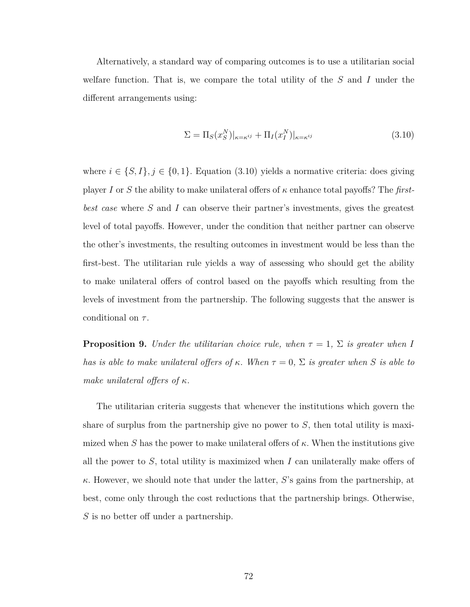Alternatively, a standard way of comparing outcomes is to use a utilitarian social welfare function. That is, we compare the total utility of the *S* and *I* under the different arrangements using:

<span id="page-83-0"></span>
$$
\Sigma = \Pi_S(x_S^N)|_{\kappa = \kappa^{ij}} + \Pi_I(x_I^N)|_{\kappa = \kappa^{ij}} \tag{3.10}
$$

where  $i \in \{S, I\}, j \in \{0, 1\}$ . Equation [\(3.10\)](#page-83-0) yields a normative criteria: does giving player *I* or *S* the ability to make unilateral offers of *κ* enhance total payoffs? The *firstbest case* where *S* and *I* can observe their partner's investments, gives the greatest level of total payoffs. However, under the condition that neither partner can observe the other's investments, the resulting outcomes in investment would be less than the first-best. The utilitarian rule yields a way of assessing who should get the ability to make unilateral offers of control based on the payoffs which resulting from the levels of investment from the partnership. The following suggests that the answer is conditional on *τ* .

**Proposition 9.** *Under the utilitarian choice rule, when*  $\tau = 1$ ,  $\Sigma$  *is greater when I has is able to make unilateral offers of*  $\kappa$ *. When*  $\tau = 0$ ,  $\Sigma$  *is greater when S is able to make unilateral offers of κ.*

The utilitarian criteria suggests that whenever the institutions which govern the share of surplus from the partnership give no power to *S*, then total utility is maximized when *S* has the power to make unilateral offers of  $\kappa$ . When the institutions give all the power to *S*, total utility is maximized when *I* can unilaterally make offers of *κ*. However, we should note that under the latter, *S*'s gains from the partnership, at best, come only through the cost reductions that the partnership brings. Otherwise, *S* is no better off under a partnership.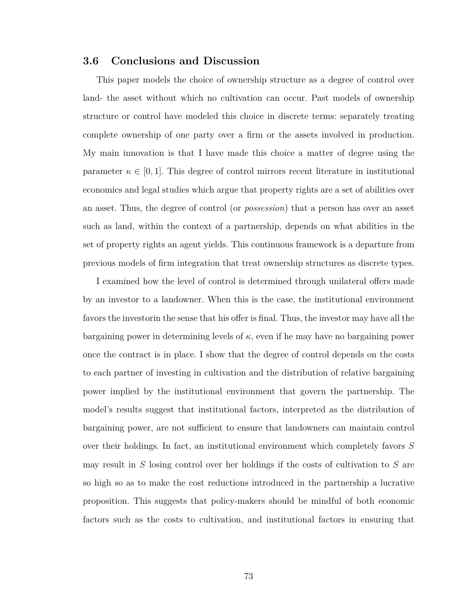### **3.6 Conclusions and Discussion**

This paper models the choice of ownership structure as a degree of control over land- the asset without which no cultivation can occur. Past models of ownership structure or control have modeled this choice in discrete terms: separately treating complete ownership of one party over a firm or the assets involved in production. My main innovation is that I have made this choice a matter of degree using the parameter  $\kappa \in [0,1]$ . This degree of control mirrors recent literature in institutional economics and legal studies which argue that property rights are a set of abilities over an asset. Thus, the degree of control (or *possession*) that a person has over an asset such as land, within the context of a partnership, depends on what abilities in the set of property rights an agent yields. This continuous framework is a departure from previous models of firm integration that treat ownership structures as discrete types.

I examined how the level of control is determined through unilateral offers made by an investor to a landowner. When this is the case, the institutional environment favors the investorin the sense that his offer is final. Thus, the investor may have all the bargaining power in determining levels of *κ*, even if he may have no bargaining power once the contract is in place. I show that the degree of control depends on the costs to each partner of investing in cultivation and the distribution of relative bargaining power implied by the institutional environment that govern the partnership. The model's results suggest that institutional factors, interpreted as the distribution of bargaining power, are not sufficient to ensure that landowners can maintain control over their holdings. In fact, an institutional environment which completely favors *S* may result in *S* losing control over her holdings if the costs of cultivation to *S* are so high so as to make the cost reductions introduced in the partnership a lucrative proposition. This suggests that policy-makers should be mindful of both economic factors such as the costs to cultivation, and institutional factors in ensuring that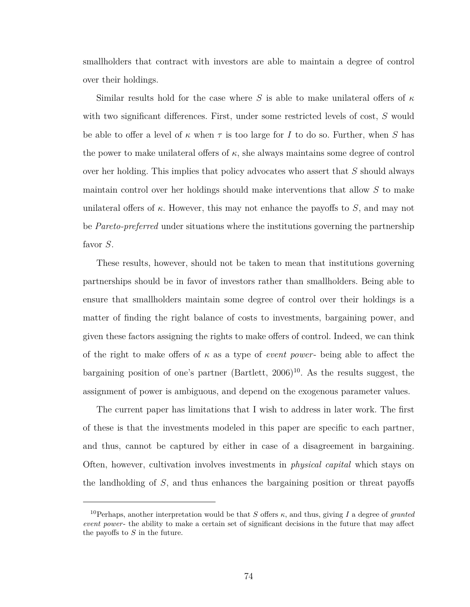smallholders that contract with investors are able to maintain a degree of control over their holdings.

Similar results hold for the case where *S* is able to make unilateral offers of  $\kappa$ with two significant differences. First, under some restricted levels of cost, *S* would be able to offer a level of  $\kappa$  when  $\tau$  is too large for *I* to do so. Further, when *S* has the power to make unilateral offers of  $\kappa$ , she always maintains some degree of control over her holding. This implies that policy advocates who assert that *S* should always maintain control over her holdings should make interventions that allow *S* to make unilateral offers of  $\kappa$ . However, this may not enhance the payoffs to *S*, and may not be *Pareto-preferred* under situations where the institutions governing the partnership favor *S*.

These results, however, should not be taken to mean that institutions governing partnerships should be in favor of investors rather than smallholders. Being able to ensure that smallholders maintain some degree of control over their holdings is a matter of finding the right balance of costs to investments, bargaining power, and given these factors assigning the rights to make offers of control. Indeed, we can think of the right to make offers of *κ* as a type of *event power*- being able to affect the bargaining position of one's partner  $(Bartlett, 2006)^{10}$  $(Bartlett, 2006)^{10}$  $(Bartlett, 2006)^{10}$  $(Bartlett, 2006)^{10}$ . As the results suggest, the assignment of power is ambiguous, and depend on the exogenous parameter values.

The current paper has limitations that I wish to address in later work. The first of these is that the investments modeled in this paper are specific to each partner, and thus, cannot be captured by either in case of a disagreement in bargaining. Often, however, cultivation involves investments in *physical capital* which stays on the landholding of *S*, and thus enhances the bargaining position or threat payoffs

<span id="page-85-0"></span><sup>&</sup>lt;sup>10</sup>Perhaps, another interpretation would be that *S* offers  $\kappa$ , and thus, giving *I* a degree of *granted event power*- the ability to make a certain set of significant decisions in the future that may affect the payoffs to *S* in the future.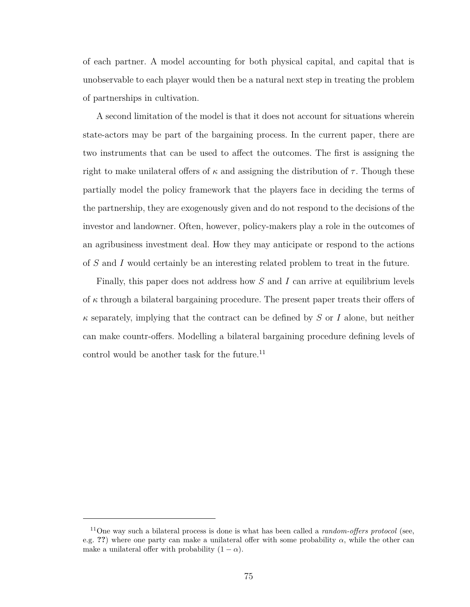of each partner. A model accounting for both physical capital, and capital that is unobservable to each player would then be a natural next step in treating the problem of partnerships in cultivation.

A second limitation of the model is that it does not account for situations wherein state-actors may be part of the bargaining process. In the current paper, there are two instruments that can be used to affect the outcomes. The first is assigning the right to make unilateral offers of  $\kappa$  and assigning the distribution of  $\tau$ . Though these partially model the policy framework that the players face in deciding the terms of the partnership, they are exogenously given and do not respond to the decisions of the investor and landowner. Often, however, policy-makers play a role in the outcomes of an agribusiness investment deal. How they may anticipate or respond to the actions of *S* and *I* would certainly be an interesting related problem to treat in the future.

Finally, this paper does not address how *S* and *I* can arrive at equilibrium levels of *κ* through a bilateral bargaining procedure. The present paper treats their offers of *κ* separately, implying that the contract can be defined by *S* or *I* alone, but neither can make countr-offers. Modelling a bilateral bargaining procedure defining levels of control would be another task for the future.<sup>[11](#page-86-0)</sup>

<span id="page-86-0"></span><sup>11</sup>One way such a bilateral process is done is what has been called a *random-offers protocol* (see, e.g. **??**) where one party can make a unilateral offer with some probability  $\alpha$ , while the other can make a unilateral offer with probability  $(1 - \alpha)$ .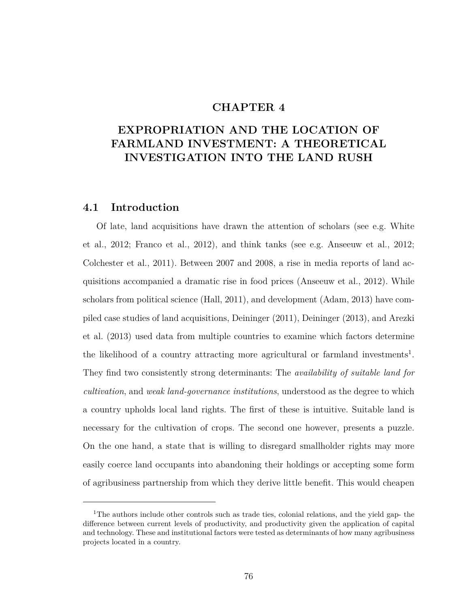### **CHAPTER 4**

# **EXPROPRIATION AND THE LOCATION OF FARMLAND INVESTMENT: A THEORETICAL INVESTIGATION INTO THE LAND RUSH**

### **4.1 Introduction**

Of late, land acquisitions have drawn the attention of scholars (see e.g. [White](#page-131-1) [et al., 2012;](#page-131-1) [Franco et al., 2012\)](#page-128-1), and think tanks (see e.g. [Anseeuw et al., 2012;](#page-126-1) [Colchester et al., 2011\)](#page-127-0). Between 2007 and 2008, a rise in media reports of land acquisitions accompanied a dramatic rise in food prices [\(Anseeuw et al., 2012\)](#page-126-1). While scholars from political science [\(Hall, 2011\)](#page-129-0), and development [\(Adam, 2013\)](#page-126-2) have compiled case studies of land acquisitions, [Deininger](#page-128-2) [\(2011\)](#page-128-2), [Deininger](#page-128-3) [\(2013\)](#page-128-3), and [Arezki](#page-126-3) [et al.](#page-126-3) [\(2013\)](#page-126-3) used data from multiple countries to examine which factors determine the likelihood of a country attracting more agricultural or farmland investments<sup>[1](#page-87-0)</sup>. They find two consistently strong determinants: The *availability of suitable land for cultivation*, and *weak land-governance institutions*, understood as the degree to which a country upholds local land rights. The first of these is intuitive. Suitable land is necessary for the cultivation of crops. The second one however, presents a puzzle. On the one hand, a state that is willing to disregard smallholder rights may more easily coerce land occupants into abandoning their holdings or accepting some form of agribusiness partnership from which they derive little benefit. This would cheapen

<span id="page-87-0"></span><sup>&</sup>lt;sup>1</sup>The authors include other controls such as trade ties, colonial relations, and the yield gap- the difference between current levels of productivity, and productivity given the application of capital and technology. These and institutional factors were tested as determinants of how many agribusiness projects located in a country.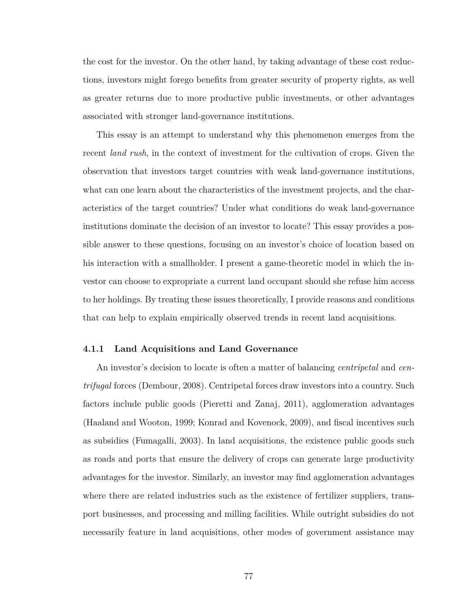the cost for the investor. On the other hand, by taking advantage of these cost reductions, investors might forego benefits from greater security of property rights, as well as greater returns due to more productive public investments, or other advantages associated with stronger land-governance institutions.

This essay is an attempt to understand why this phenomenon emerges from the recent *land rush*, in the context of investment for the cultivation of crops. Given the observation that investors target countries with weak land-governance institutions, what can one learn about the characteristics of the investment projects, and the characteristics of the target countries? Under what conditions do weak land-governance institutions dominate the decision of an investor to locate? This essay provides a possible answer to these questions, focusing on an investor's choice of location based on his interaction with a smallholder. I present a game-theoretic model in which the investor can choose to expropriate a current land occupant should she refuse him access to her holdings. By treating these issues theoretically, I provide reasons and conditions that can help to explain empirically observed trends in recent land acquisitions.

#### **4.1.1 Land Acquisitions and Land Governance**

An investor's decision to locate is often a matter of balancing *centripetal* and *centrifugal* forces [\(Dembour, 2008\)](#page-128-4). Centripetal forces draw investors into a country. Such factors include public goods [\(Pieretti and Zanaj, 2011\)](#page-130-0), agglomeration advantages [\(Haaland and Wooton, 1999;](#page-129-1) [Konrad and Kovenock, 2009\)](#page-130-1), and fiscal incentives such as subsidies [\(Fumagalli, 2003\)](#page-128-5). In land acquisitions, the existence public goods such as roads and ports that ensure the delivery of crops can generate large productivity advantages for the investor. Similarly, an investor may find agglomeration advantages where there are related industries such as the existence of fertilizer suppliers, transport businesses, and processing and milling facilities. While outright subsidies do not necessarily feature in land acquisitions, other modes of government assistance may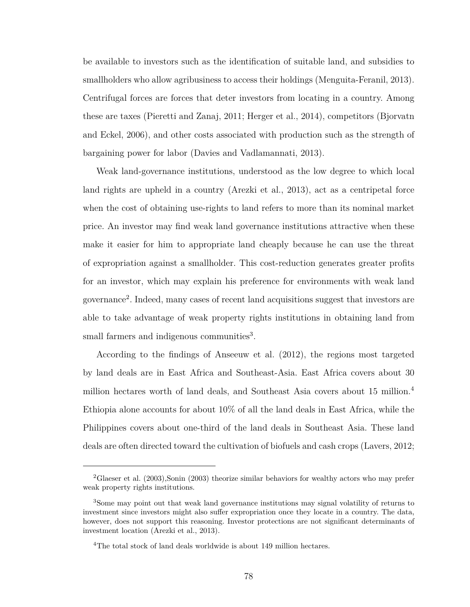be available to investors such as the identification of suitable land, and subsidies to smallholders who allow agribusiness to access their holdings [\(Menguita-Feranil, 2013\)](#page-130-2). Centrifugal forces are forces that deter investors from locating in a country. Among these are taxes [\(Pieretti and Zanaj, 2011;](#page-130-0) [Herger et al., 2014\)](#page-129-2), competitors [\(Bjorvatn](#page-126-4) [and Eckel, 2006\)](#page-126-4), and other costs associated with production such as the strength of bargaining power for labor [\(Davies and Vadlamannati, 2013\)](#page-128-6).

Weak land-governance institutions, understood as the low degree to which local land rights are upheld in a country [\(Arezki et al., 2013\)](#page-126-3), act as a centripetal force when the cost of obtaining use-rights to land refers to more than its nominal market price. An investor may find weak land governance institutions attractive when these make it easier for him to appropriate land cheaply because he can use the threat of expropriation against a smallholder. This cost-reduction generates greater profits for an investor, which may explain his preference for environments with weak land governance[2](#page-89-0) . Indeed, many cases of recent land acquisitions suggest that investors are able to take advantage of weak property rights institutions in obtaining land from small farmers and indigenous communities<sup>[3](#page-89-1)</sup>.

According to the findings of [Anseeuw et al.](#page-126-1) [\(2012\)](#page-126-1), the regions most targeted by land deals are in East Africa and Southeast-Asia. East Africa covers about 30 million hectares worth of land deals, and Southeast Asia covers about 15 million.[4](#page-89-2) Ethiopia alone accounts for about 10% of all the land deals in East Africa, while the Philippines covers about one-third of the land deals in Southeast Asia. These land deals are often directed toward the cultivation of biofuels and cash crops [\(Lavers, 2012;](#page-130-3)

<span id="page-89-0"></span><sup>2</sup>[Glaeser et al.](#page-128-7) [\(2003\)](#page-128-7)[,Sonin](#page-131-2) [\(2003\)](#page-131-2) theorize similar behaviors for wealthy actors who may prefer weak property rights institutions.

<span id="page-89-1"></span><sup>3</sup>Some may point out that weak land governance institutions may signal volatility of returns to investment since investors might also suffer expropriation once they locate in a country. The data, however, does not support this reasoning. Investor protections are not significant determinants of investment location [\(Arezki et al., 2013\)](#page-126-3).

<span id="page-89-2"></span><sup>&</sup>lt;sup>4</sup>The total stock of land deals worldwide is about 149 million hectares.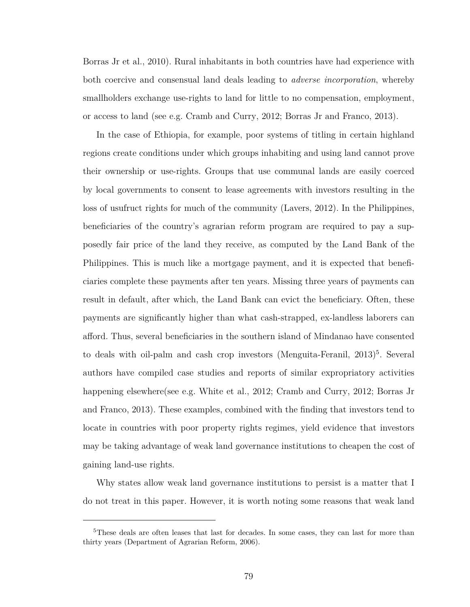[Borras Jr et al., 2010\)](#page-127-1). Rural inhabitants in both countries have had experience with both coercive and consensual land deals leading to *adverse incorporation*, whereby smallholders exchange use-rights to land for little to no compensation, employment, or access to land (see e.g. [Cramb and Curry, 2012;](#page-127-2) [Borras Jr and Franco, 2013\)](#page-127-3).

In the case of Ethiopia, for example, poor systems of titling in certain highland regions create conditions under which groups inhabiting and using land cannot prove their ownership or use-rights. Groups that use communal lands are easily coerced by local governments to consent to lease agreements with investors resulting in the loss of usufruct rights for much of the community [\(Lavers, 2012\)](#page-130-3). In the Philippines, beneficiaries of the country's agrarian reform program are required to pay a supposedly fair price of the land they receive, as computed by the Land Bank of the Philippines. This is much like a mortgage payment, and it is expected that beneficiaries complete these payments after ten years. Missing three years of payments can result in default, after which, the Land Bank can evict the beneficiary. Often, these payments are significantly higher than what cash-strapped, ex-landless laborers can afford. Thus, several beneficiaries in the southern island of Mindanao have consented to deals with oil-palm and cash crop investors [\(Menguita-Feranil, 2013\)](#page-130-2)<sup>[5](#page-90-0)</sup>. Several authors have compiled case studies and reports of similar expropriatory activities happening elsewhere(see e.g. [White et al., 2012;](#page-131-1) [Cramb and Curry, 2012;](#page-127-2) [Borras Jr](#page-127-3) [and Franco, 2013\)](#page-127-3). These examples, combined with the finding that investors tend to locate in countries with poor property rights regimes, yield evidence that investors may be taking advantage of weak land governance institutions to cheapen the cost of gaining land-use rights.

Why states allow weak land governance institutions to persist is a matter that I do not treat in this paper. However, it is worth noting some reasons that weak land

<span id="page-90-0"></span><sup>&</sup>lt;sup>5</sup>These deals are often leases that last for decades. In some cases, they can last for more than thirty years [\(Department of Agrarian Reform, 2006\)](#page-128-8).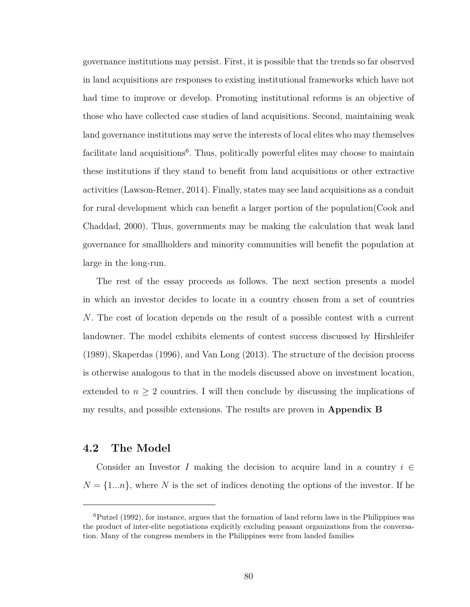governance institutions may persist. First, it is possible that the trends so far observed in land acquisitions are responses to existing institutional frameworks which have not had time to improve or develop. Promoting institutional reforms is an objective of those who have collected case studies of land acquisitions. Second, maintaining weak land governance institutions may serve the interests of local elites who may themselves facilitate land acquisitions<sup>[6](#page-91-0)</sup>. Thus, politically powerful elites may choose to maintain these institutions if they stand to benefit from land acquisitions or other extractive activities [\(Lawson-Remer, 2014\)](#page-130-4). Finally, states may see land acquisitions as a conduit for rural development which can benefit a larger portion of the population[\(Cook and](#page-127-4) [Chaddad, 2000\)](#page-127-4). Thus, governments may be making the calculation that weak land governance for smallholders and minority communities will benefit the population at large in the long-run.

The rest of the essay proceeds as follows. The next section presents a model in which an investor decides to locate in a country chosen from a set of countries *N*. The cost of location depends on the result of a possible contest with a current landowner. The model exhibits elements of contest success discussed by [Hirshleifer](#page-129-3) [\(1989\)](#page-129-3), [Skaperdas](#page-131-3) [\(1996\)](#page-131-3), and [Van Long](#page-131-4) [\(2013\)](#page-131-4). The structure of the decision process is otherwise analogous to that in the models discussed above on investment location, extended to  $n \geq 2$  countries. I will then conclude by discussing the implications of my results, and possible extensions. The results are proven in **Appendix [B](#page-123-0)**

### **4.2 The Model**

Consider an Investor *I* making the decision to acquire land in a country  $i \in$  $N = \{1...n\}$ , where N is the set of indices denoting the options of the investor. If he

<span id="page-91-0"></span> ${}^{6}$ [Putzel](#page-130-5) [\(1992\)](#page-130-5), for instance, argues that the formation of land reform laws in the Philippines was the product of inter-elite negotiations explicitly excluding peasant organizations from the conversation. Many of the congress members in the Philippines were from landed families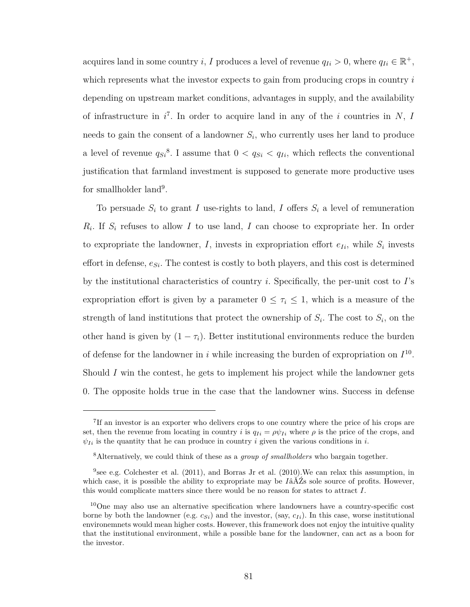acquires land in some country *i*, *I* produces a level of revenue  $q_{Ii} > 0$ , where  $q_{Ii} \in \mathbb{R}^+$ , which represents what the investor expects to gain from producing crops in country *i* depending on upstream market conditions, advantages in supply, and the availability of infrastructure in *i* [7](#page-92-0) . In order to acquire land in any of the *i* countries in *N*, *I* needs to gain the consent of a landowner  $S_i$ , who currently uses her land to produce a level of revenue  $q_{S_i}^8$  $q_{S_i}^8$ . I assume that  $0 < q_{S_i} < q_{I_i}$ , which reflects the conventional justification that farmland investment is supposed to generate more productive uses for smallholder land<sup>[9](#page-92-2)</sup>.

To persuade  $S_i$  to grant *I* use-rights to land, *I* offers  $S_i$  a level of remuneration *Ri* . If *S<sup>i</sup>* refuses to allow *I* to use land, *I* can choose to expropriate her. In order to expropriate the landowner,  $I$ , invests in expropriation effort  $e_{Ii}$ , while  $S_i$  invests effort in defense, *eSi*. The contest is costly to both players, and this cost is determined by the institutional characteristics of country *i*. Specifically, the per-unit cost to *I*'s expropriation effort is given by a parameter  $0 \leq \tau_i \leq 1$ , which is a measure of the strength of land institutions that protect the ownership of  $S_i$ . The cost to  $S_i$ , on the other hand is given by  $(1 - \tau_i)$ . Better institutional environments reduce the burden of defense for the landowner in *i* while increasing the burden of expropriation on  $I^{10}$  $I^{10}$  $I^{10}$ . Should *I* win the contest, he gets to implement his project while the landowner gets 0. The opposite holds true in the case that the landowner wins. Success in defense

<span id="page-92-0"></span><sup>&</sup>lt;sup>7</sup>If an investor is an exporter who delivers crops to one country where the price of his crops are set, then the revenue from locating in country *i* is  $q_{Ii} = \rho \psi_{Ii}$  where  $\rho$  is the price of the crops, and  $\psi_{Ii}$  is the quantity that he can produce in country *i* given the various conditions in *i*.

<span id="page-92-1"></span><sup>8</sup>Alternatively, we could think of these as a *group of smallholders* who bargain together.

<span id="page-92-2"></span><sup>&</sup>lt;sup>9</sup> see e.g. [Colchester et al.](#page-127-0)  $(2011)$ , and [Borras Jr et al.](#page-127-1)  $(2010)$ . We can relax this assumption, in which case, it is possible the ability to expropriate may be  $I\hat{a}\check{A}\check{Z}s$  sole source of profits. However, this would complicate matters since there would be no reason for states to attract *I*.

<span id="page-92-3"></span><sup>&</sup>lt;sup>10</sup>One may also use an alternative specification where landowners have a country-specific cost borne by both the landowner (e.g.  $c_{Si}$ ) and the investor, (say,  $c_{Ii}$ ). In this case, worse institutional environemnets would mean higher costs. However, this framework does not enjoy the intuitive quality that the institutional environment, while a possible bane for the landowner, can act as a boon for the investor.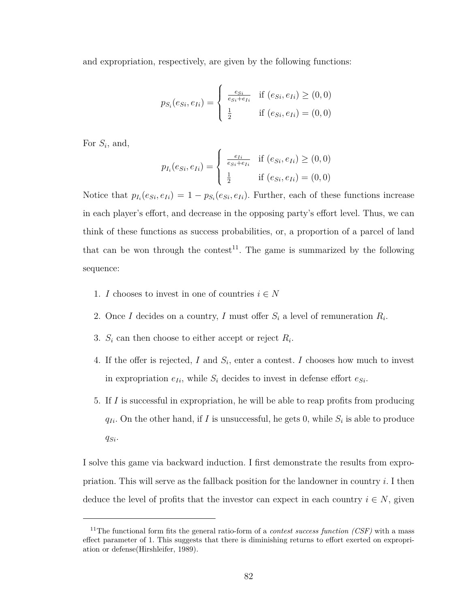and expropriation, respectively, are given by the following functions:

$$
p_{S_i}(e_{S_i}, e_{I_i}) = \begin{cases} \frac{e_{S_i}}{e_{S_i} + e_{I_i}} & \text{if } (e_{S_i}, e_{I_i}) \ge (0,0) \\ \frac{1}{2} & \text{if } (e_{S_i}, e_{I_i}) = (0,0) \end{cases}
$$

For  $S_i$ , and,

$$
p_{I_i}(e_{Si}, e_{Ii}) = \begin{cases} \frac{e_{Ii}}{e_{Si} + e_{Ii}} & \text{if } (e_{Si}, e_{Ii}) \ge (0, 0) \\ \frac{1}{2} & \text{if } (e_{Si}, e_{Ii}) = (0, 0) \end{cases}
$$

Notice that  $p_{I_i}(e_{Si}, e_{Ii}) = 1 - p_{S_i}(e_{Si}, e_{Ii})$ . Further, each of these functions increase in each player's effort, and decrease in the opposing party's effort level. Thus, we can think of these functions as success probabilities, or, a proportion of a parcel of land that can be won through the contest<sup>[11](#page-93-0)</sup>. The game is summarized by the following sequence:

- 1. *I* chooses to invest in one of countries  $i \in N$
- 2. Once *I* decides on a country, *I* must offer  $S_i$  a level of remuneration  $R_i$ .
- 3.  $S_i$  can then choose to either accept or reject  $R_i$ .
- 4. If the offer is rejected, *I* and *S<sup>i</sup>* , enter a contest. *I* chooses how much to invest in expropriation  $e_{Ii}$ , while  $S_i$  decides to invest in defense effort  $e_{Si}$ .
- 5. If *I* is successful in expropriation, he will be able to reap profits from producing  $q_{Ii}$ . On the other hand, if *I* is unsuccessful, he gets 0, while  $S_i$  is able to produce *qSi*.

I solve this game via backward induction. I first demonstrate the results from expropriation. This will serve as the fallback position for the landowner in country *i*. I then deduce the level of profits that the investor can expect in each country  $i \in N$ , given

<span id="page-93-0"></span><sup>11</sup>The functional form fits the general ratio-form of a *contest success function (CSF)* with a mass effect parameter of 1. This suggests that there is diminishing returns to effort exerted on expropriation or defense[\(Hirshleifer, 1989\)](#page-129-3).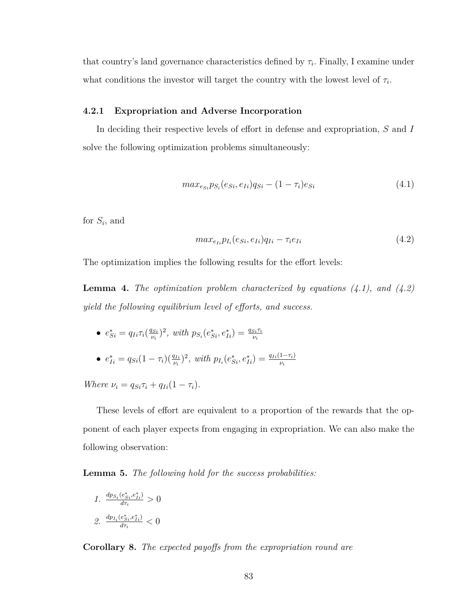that country's land governance characteristics defined by  $\tau_i$ . Finally, I examine under what conditions the investor will target the country with the lowest level of  $\tau_i$ .

#### **4.2.1 Expropriation and Adverse Incorporation**

In deciding their respective levels of effort in defense and expropriation, *S* and *I* solve the following optimization problems simultaneously:

<span id="page-94-0"></span>
$$
max_{e_{Si}} p_{S_i}(e_{Si}, e_{Ii}) q_{Si} - (1 - \tau_i)e_{Si}
$$
\n(4.1)

for *S<sup>i</sup>* , and

<span id="page-94-1"></span>
$$
max_{e_{Ii}} p_{I_i}(e_{Si}, e_{Ii}) q_{Ii} - \tau_i e_{Ii} \tag{4.2}
$$

The optimization implies the following results for the effort levels:

**Lemma 4.** *The optimization problem characterized by equations [\(4.1\)](#page-94-0), and [\(4.2\)](#page-94-1) yield the following equilibrium level of efforts, and success.*

- $e_{Si}^{*} = q_{Ii}\tau_{i}(\frac{q_{Si}}{\nu_{i}})$  $p_{S_i}(e_{Si}^*, e_{Ii}^*) = \frac{q_{Si}\tau_i}{\nu_i}$
- $e_{Ii}^* = q_{Si}(1-\tau_i)(\frac{q_{Ii}}{\nu_i})^2$ , with  $p_{I_i}(e_{Si}^*, e_{Ii}^*) = \frac{q_{Ii}(1-\tau_i)}{\nu_i}$

*Where*  $\nu_i = q_{Si}\tau_i + q_{Ii}(1 - \tau_i)$ .

These levels of effort are equivalent to a proportion of the rewards that the opponent of each player expects from engaging in expropriation. We can also make the following observation:

**Lemma 5.** *The following hold for the success probabilities:*

1. 
$$
\frac{dp_{S_i}(e_{Si}^*,e_{Ii}^*)}{d\tau_i} > 0
$$
  
2. 
$$
\frac{dp_{I_i}(e_{Si}^*,e_{Ii}^*)}{d\tau_i} < 0
$$

**Corollary 8.** *The expected payoffs from the expropriation round are*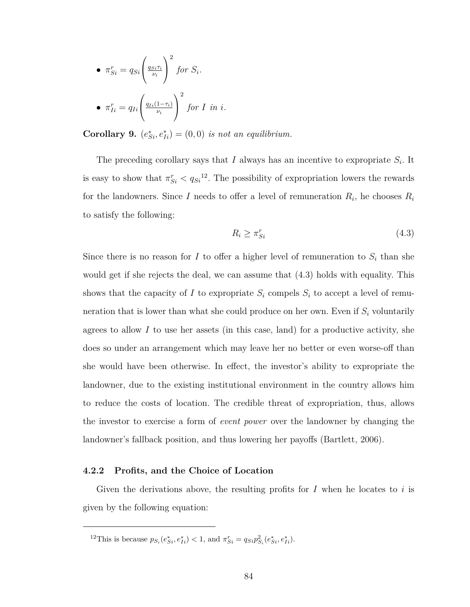• 
$$
\pi_{Si}^r = q_{Si} \left( \frac{q_{Si}\tau_i}{\nu_i} \right)^2
$$
 for  $S_i$ .  
\n•  $\pi_{Ii}^r = q_{Ii} \left( \frac{q_{Ii}(1-\tau_i)}{\nu_i} \right)^2$  for I in i.

**Corollary 9.**  $(e_{Si}^*, e_{Ii}^*) = (0,0)$  *is not an equilibrium.* 

The preceding corollary says that  $I$  always has an incentive to expropriate  $S_i$ . It is easy to show that  $\pi_{Si}^r < q_{Si}^{12}$  $\pi_{Si}^r < q_{Si}^{12}$  $\pi_{Si}^r < q_{Si}^{12}$ . The possibility of expropriation lowers the rewards for the landowners. Since *I* needs to offer a level of remuneration  $R_i$ , he chooses  $R_i$ to satisfy the following:

<span id="page-95-1"></span>
$$
R_i \ge \pi_{Si}^r \tag{4.3}
$$

Since there is no reason for *I* to offer a higher level of remuneration to  $S_i$  than she would get if she rejects the deal, we can assume that [\(4.3\)](#page-95-1) holds with equality. This shows that the capacity of *I* to expropriate  $S_i$  compels  $S_i$  to accept a level of remuneration that is lower than what she could produce on her own. Even if *S<sup>i</sup>* voluntarily agrees to allow  $I$  to use her assets (in this case, land) for a productive activity, she does so under an arrangement which may leave her no better or even worse-off than she would have been otherwise. In effect, the investor's ability to expropriate the landowner, due to the existing institutional environment in the country allows him to reduce the costs of location. The credible threat of expropriation, thus, allows the investor to exercise a form of *event power* over the landowner by changing the landowner's fallback position, and thus lowering her payoffs [\(Bartlett, 2006\)](#page-126-0).

#### **4.2.2 Profits, and the Choice of Location**

Given the derivations above, the resulting profits for *I* when he locates to *i* is given by the following equation:

<span id="page-95-0"></span><sup>&</sup>lt;sup>12</sup>This is because  $p_{S_i}(e_{Si}^*, e_{Ii}^*) < 1$ , and  $\pi_{Si}^r = q_{Si}p_{S_i}^2(e_{Si}^*, e_{Ii}^*)$ .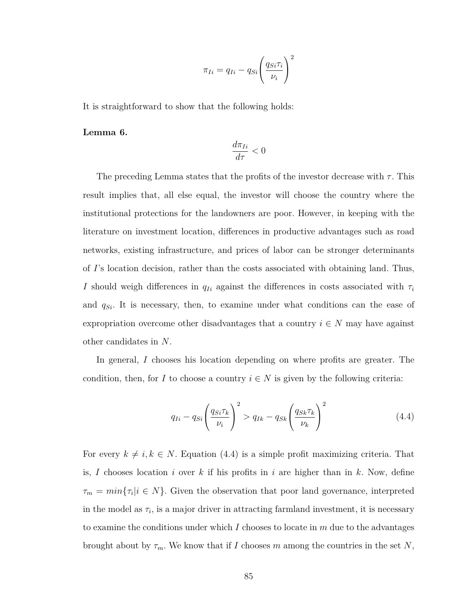$$
\pi_{Ii} = q_{Ii} - q_{Si} \left(\frac{q_{Si}\tau_i}{\nu_i}\right)^2
$$

It is straightforward to show that the following holds:

**Lemma 6.**

$$
\frac{d\pi_{Ii}}{d\tau}<0
$$

The preceding Lemma states that the profits of the investor decrease with  $\tau$ . This result implies that, all else equal, the investor will choose the country where the institutional protections for the landowners are poor. However, in keeping with the literature on investment location, differences in productive advantages such as road networks, existing infrastructure, and prices of labor can be stronger determinants of *I*'s location decision, rather than the costs associated with obtaining land. Thus, *I* should weigh differences in  $q_{Ii}$  against the differences in costs associated with  $\tau_i$ and *qSi*. It is necessary, then, to examine under what conditions can the ease of expropriation overcome other disadvantages that a country  $i \in N$  may have against other candidates in *N*.

In general, *I* chooses his location depending on where profits are greater. The condition, then, for *I* to choose a country  $i \in N$  is given by the following criteria:

<span id="page-96-0"></span>
$$
q_{Ii} - q_{Si} \left(\frac{q_{Si} \tau_k}{\nu_i}\right)^2 > q_{Ik} - q_{Sk} \left(\frac{q_{Sk} \tau_k}{\nu_k}\right)^2 \tag{4.4}
$$

For every  $k \neq i, k \in N$ . Equation [\(4.4\)](#page-96-0) is a simple profit maximizing criteria. That is, I chooses location *i* over *k* if his profits in *i* are higher than in *k*. Now, define  $\tau_m = min\{\tau_i | i \in N\}$ . Given the observation that poor land governance, interpreted in the model as  $\tau_i$ , is a major driver in attracting farmland investment, it is necessary to examine the conditions under which *I* chooses to locate in *m* due to the advantages brought about by  $\tau_m$ . We know that if *I* chooses *m* among the countries in the set *N*,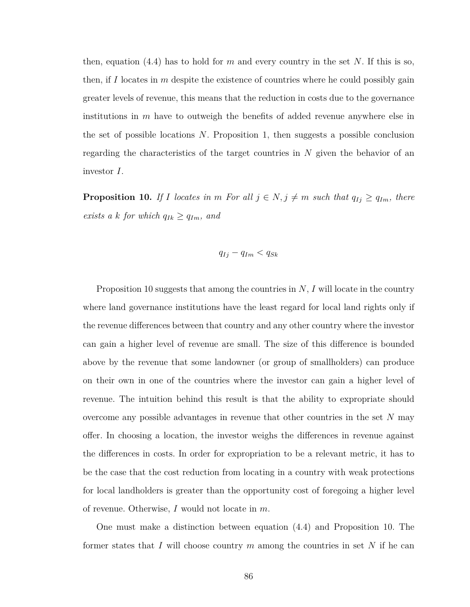then, equation [\(4.4\)](#page-96-0) has to hold for *m* and every country in the set *N*. If this is so, then, if *I* locates in *m* despite the existence of countries where he could possibly gain greater levels of revenue, this means that the reduction in costs due to the governance institutions in *m* have to outweigh the benefits of added revenue anywhere else in the set of possible locations *N*. Proposition 1, then suggests a possible conclusion regarding the characteristics of the target countries in *N* given the behavior of an investor *I*.

<span id="page-97-0"></span>**Proposition 10.** *If I locates in m For all*  $j \in N$ ,  $j \neq m$  *such that*  $q_{Ij} \geq q_{Im}$ *, there exists a k for which*  $q_{Ik} \geq q_{Im}$ *, and* 

$$
q_{Ij} - q_{Im} < q_{Sk}
$$

Proposition [10](#page-97-0) suggests that among the countries in *N*, *I* will locate in the country where land governance institutions have the least regard for local land rights only if the revenue differences between that country and any other country where the investor can gain a higher level of revenue are small. The size of this difference is bounded above by the revenue that some landowner (or group of smallholders) can produce on their own in one of the countries where the investor can gain a higher level of revenue. The intuition behind this result is that the ability to expropriate should overcome any possible advantages in revenue that other countries in the set *N* may offer. In choosing a location, the investor weighs the differences in revenue against the differences in costs. In order for expropriation to be a relevant metric, it has to be the case that the cost reduction from locating in a country with weak protections for local landholders is greater than the opportunity cost of foregoing a higher level of revenue. Otherwise, *I* would not locate in *m*.

One must make a distinction between equation [\(4.4\)](#page-96-0) and Proposition [10.](#page-97-0) The former states that *I* will choose country *m* among the countries in set *N* if he can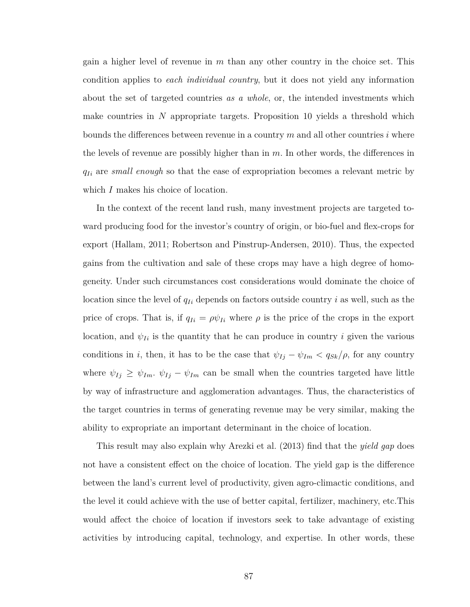gain a higher level of revenue in *m* than any other country in the choice set. This condition applies to *each individual country*, but it does not yield any information about the set of targeted countries *as a whole*, or, the intended investments which make countries in *N* appropriate targets. Proposition [10](#page-97-0) yields a threshold which bounds the differences between revenue in a country *m* and all other countries *i* where the levels of revenue are possibly higher than in *m*. In other words, the differences in *qIi* are *small enough* so that the ease of expropriation becomes a relevant metric by which *I* makes his choice of location.

In the context of the recent land rush, many investment projects are targeted toward producing food for the investor's country of origin, or bio-fuel and flex-crops for export [\(Hallam, 2011;](#page-129-4) [Robertson and Pinstrup-Andersen, 2010\)](#page-130-6). Thus, the expected gains from the cultivation and sale of these crops may have a high degree of homogeneity. Under such circumstances cost considerations would dominate the choice of location since the level of *qIi* depends on factors outside country *i* as well, such as the price of crops. That is, if  $q_{Ii} = \rho \psi_{Ii}$  where  $\rho$  is the price of the crops in the export location, and  $\psi_{I_i}$  is the quantity that he can produce in country *i* given the various conditions in *i*, then, it has to be the case that  $\psi_{Ij} - \psi_{Im} < q_{Sk}/\rho$ , for any country where  $\psi_{Ij} \geq \psi_{Im}$ .  $\psi_{Ij} - \psi_{Im}$  can be small when the countries targeted have little by way of infrastructure and agglomeration advantages. Thus, the characteristics of the target countries in terms of generating revenue may be very similar, making the ability to expropriate an important determinant in the choice of location.

This result may also explain why [Arezki et al.](#page-126-3) [\(2013\)](#page-126-3) find that the *yield gap* does not have a consistent effect on the choice of location. The yield gap is the difference between the land's current level of productivity, given agro-climactic conditions, and the level it could achieve with the use of better capital, fertilizer, machinery, etc.This would affect the choice of location if investors seek to take advantage of existing activities by introducing capital, technology, and expertise. In other words, these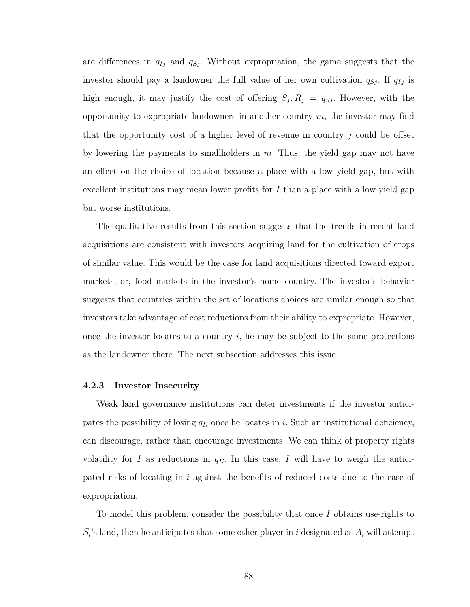are differences in *qIj* and *qSj* . Without expropriation, the game suggests that the investor should pay a landowner the full value of her own cultivation  $q_{Sj}$ . If  $q_{Ij}$  is high enough, it may justify the cost of offering  $S_j$ ,  $R_j = q_{Sj}$ . However, with the opportunity to expropriate landowners in another country *m*, the investor may find that the opportunity cost of a higher level of revenue in country *j* could be offset by lowering the payments to smallholders in *m*. Thus, the yield gap may not have an effect on the choice of location because a place with a low yield gap, but with excellent institutions may mean lower profits for *I* than a place with a low yield gap but worse institutions.

The qualitative results from this section suggests that the trends in recent land acquisitions are consistent with investors acquiring land for the cultivation of crops of similar value. This would be the case for land acquisitions directed toward export markets, or, food markets in the investor's home country. The investor's behavior suggests that countries within the set of locations choices are similar enough so that investors take advantage of cost reductions from their ability to expropriate. However, once the investor locates to a country *i*, he may be subject to the same protections as the landowner there. The next subsection addresses this issue.

#### **4.2.3 Investor Insecurity**

Weak land governance institutions can deter investments if the investor anticipates the possibility of losing  $q_{Ii}$  once he locates in *i*. Such an institutional deficiency, can discourage, rather than encourage investments. We can think of property rights volatility for *I* as reductions in  $q_{I_i}$ . In this case, *I* will have to weigh the anticipated risks of locating in *i* against the benefits of reduced costs due to the ease of expropriation.

To model this problem, consider the possibility that once *I* obtains use-rights to  $S_i$ 's land, then he anticipates that some other player in *i* designated as  $A_i$  will attempt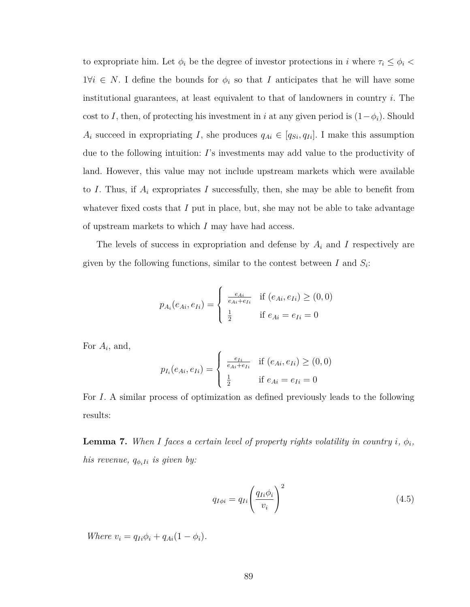to expropriate him. Let  $\phi_i$  be the degree of investor protections in *i* where  $\tau_i \leq \phi_i$  $1\forall i \in N$ . I define the bounds for  $\phi_i$  so that *I* anticipates that he will have some institutional guarantees, at least equivalent to that of landowners in country *i*. The cost to *I*, then, of protecting his investment in *i* at any given period is  $(1-\phi_i)$ . Should *A*<sup>*i*</sup> succeed in expropriating *I*, she produces  $q_{Ai} \in [q_{Si}, q_{Ii}]$ . I make this assumption due to the following intuition: *I*'s investments may add value to the productivity of land. However, this value may not include upstream markets which were available to *I*. Thus, if *A<sup>i</sup>* expropriates *I* successfully, then, she may be able to benefit from whatever fixed costs that *I* put in place, but, she may not be able to take advantage of upstream markets to which *I* may have had access.

The levels of success in expropriation and defense by *A<sup>i</sup>* and *I* respectively are given by the following functions, similar to the contest between  $I$  and  $S_i$ :

$$
p_{A_i}(e_{Ai}, e_{Ii}) = \begin{cases} \frac{e_{Ai}}{e_{Ai} + e_{Ii}} & \text{if } (e_{Ai}, e_{Ii}) \ge (0, 0) \\ \frac{1}{2} & \text{if } e_{Ai} = e_{Ii} = 0 \end{cases}
$$

For *A<sup>i</sup>* , and,

$$
p_{I_i}(e_{Ai}, e_{Ii}) = \begin{cases} \frac{e_{Ii}}{e_{Ai} + e_{Ii}} & \text{if } (e_{Ai}, e_{Ii}) \ge (0, 0) \\ \frac{1}{2} & \text{if } e_{Ai} = e_{Ii} = 0 \end{cases}
$$

For *I*. A similar process of optimization as defined previously leads to the following results:

**Lemma 7.** *When I faces a certain level of property rights volatility in country i,*  $\phi_i$ *, his revenue,*  $q_{\phi_i I_i}$  *is given by:* 

<span id="page-100-0"></span>
$$
q_{I\phi i} = q_{Ii} \left(\frac{q_{Ii}\phi_i}{v_i}\right)^2 \tag{4.5}
$$

*Where*  $v_i = q_{Ii}\phi_i + q_{Ai}(1 - \phi_i)$ .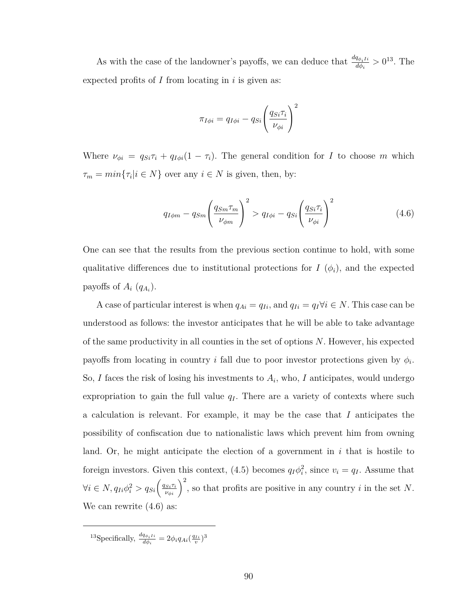As with the case of the landowner's payoffs, we can deduce that  $\frac{dq_{\phi_i I_i}}{d\phi_i}$  $\frac{q_{\phi_i I i}}{d\phi_i} > 0^{13}$  $\frac{q_{\phi_i I i}}{d\phi_i} > 0^{13}$  $\frac{q_{\phi_i I i}}{d\phi_i} > 0^{13}$ . The expected profits of *I* from locating in *i* is given as:

$$
\pi_{I\phi i} = q_{I\phi i} - q_{Si} \left(\frac{q_{Si}\tau_i}{\nu_{\phi i}}\right)^2
$$

Where  $\nu_{\phi i} = q_{Si}\tau_i + q_{I\phi i}(1 - \tau_i)$ . The general condition for *I* to choose *m* which  $\tau_m = \min\{\tau_i | i \in N\}$  over any  $i \in N$  is given, then, by:

<span id="page-101-1"></span>
$$
q_{I\phi m} - q_{Sm} \left(\frac{q_{Sm}\tau_m}{\nu_{\phi m}}\right)^2 > q_{I\phi i} - q_{Si} \left(\frac{q_{Si}\tau_i}{\nu_{\phi i}}\right)^2 \tag{4.6}
$$

One can see that the results from the previous section continue to hold, with some qualitative differences due to institutional protections for  $I(\phi_i)$ , and the expected payoffs of  $A_i$   $(q_{A_i})$ .

A case of particular interest is when  $q_{Ai} = q_{Ii}$ , and  $q_{Ii} = q_I \forall i \in N$ . This case can be understood as follows: the investor anticipates that he will be able to take advantage of the same productivity in all counties in the set of options *N*. However, his expected payoffs from locating in country *i* fall due to poor investor protections given by  $\phi_i$ . So, *I* faces the risk of losing his investments to *A<sup>i</sup>* , who, *I* anticipates, would undergo expropriation to gain the full value  $q_I$ . There are a variety of contexts where such a calculation is relevant. For example, it may be the case that *I* anticipates the possibility of confiscation due to nationalistic laws which prevent him from owning land. Or, he might anticipate the election of a government in *i* that is hostile to foreign investors. Given this context, [\(4.5\)](#page-100-0) becomes  $q_I \phi_i^2$ , since  $v_i = q_I$ . Assume that  $\forall i \in N, q_{Ii}\phi_i^2 > q_{Si} \left(\frac{q_{Si}\tau_i}{\nu_{\phi i}}\right)^2$ , so that profits are positive in any country *i* in the set *N*. We can rewrite  $(4.6)$  as:

<span id="page-101-0"></span><sup>13</sup>Specifically,  $\frac{dq_{\phi_i I i}}{d\phi_i} = 2\phi_i q_{Ai}(\frac{q_{Ii}}{v})^3$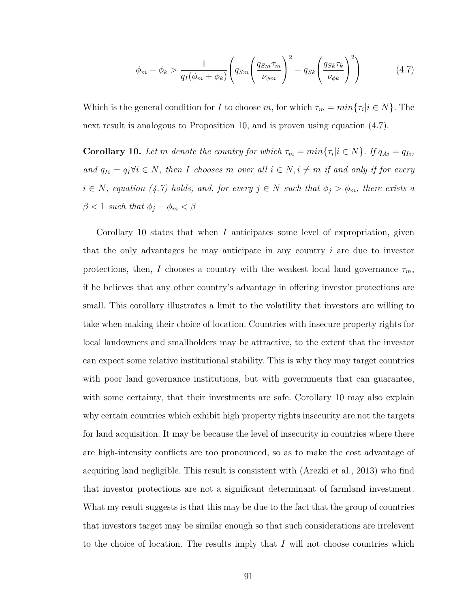<span id="page-102-1"></span>
$$
\phi_m - \phi_k > \frac{1}{q_I(\phi_m + \phi_k)} \left( q_{Sm} \left( \frac{q_{Sm} \tau_m}{\nu_{\phi m}} \right)^2 - q_{Sk} \left( \frac{q_{Sk} \tau_k}{\nu_{\phi k}} \right)^2 \right) \tag{4.7}
$$

Which is the general condition for *I* to choose *m*, for which  $\tau_m = min\{\tau_i | i \in N\}$ . The next result is analogous to Proposition [10,](#page-97-0) and is proven using equation [\(4.7\)](#page-102-1).

<span id="page-102-0"></span>**Corollary 10.** Let *m* denote the country for which  $\tau_m = min\{\tau_i | i \in N\}$ . If  $q_{Ai} = q_{Ii}$ ,  $\int$  *and*  $q_{Ii} = q_I \forall i \in N$ , then *I* chooses *m* over all  $i \in N$ ,  $i \neq m$  if and only if for every  $i \in N$ *, equation* [\(4.7\)](#page-102-1) *holds, and, for every*  $j \in N$  *such that*  $\phi_j > \phi_m$ *, there exists a*  $\beta$  < 1 *such that*  $\phi_j - \phi_m < \beta$ 

Corollary [10](#page-102-0) states that when *I* anticipates some level of expropriation, given that the only advantages he may anticipate in any country *i* are due to investor protections, then, *I* chooses a country with the weakest local land governance  $\tau_m$ , if he believes that any other country's advantage in offering investor protections are small. This corollary illustrates a limit to the volatility that investors are willing to take when making their choice of location. Countries with insecure property rights for local landowners and smallholders may be attractive, to the extent that the investor can expect some relative institutional stability. This is why they may target countries with poor land governance institutions, but with governments that can guarantee, with some certainty, that their investments are safe. Corollary [10](#page-102-0) may also explain why certain countries which exhibit high property rights insecurity are not the targets for land acquisition. It may be because the level of insecurity in countries where there are high-intensity conflicts are too pronounced, so as to make the cost advantage of acquiring land negligible. This result is consistent with [\(Arezki et al., 2013\)](#page-126-3) who find that investor protections are not a significant determinant of farmland investment. What my result suggests is that this may be due to the fact that the group of countries that investors target may be similar enough so that such considerations are irrelevent to the choice of location. The results imply that *I* will not choose countries which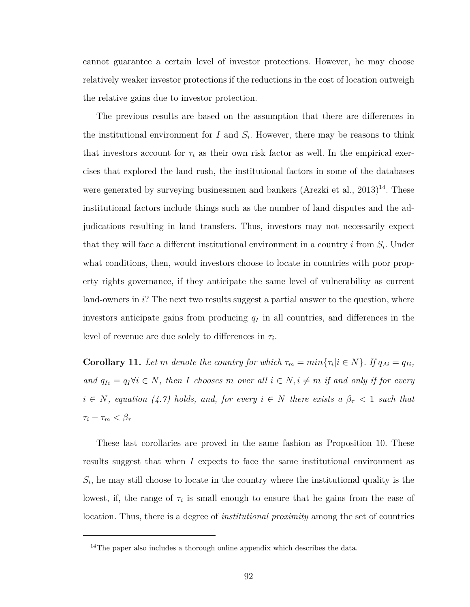cannot guarantee a certain level of investor protections. However, he may choose relatively weaker investor protections if the reductions in the cost of location outweigh the relative gains due to investor protection.

The previous results are based on the assumption that there are differences in the institutional environment for  $I$  and  $S_i$ . However, there may be reasons to think that investors account for  $\tau_i$  as their own risk factor as well. In the empirical exercises that explored the land rush, the institutional factors in some of the databases were generated by surveying businessmen and bankers (Arezki et al.,  $2013)^{14}$  $2013)^{14}$  $2013)^{14}$ . These institutional factors include things such as the number of land disputes and the adjudications resulting in land transfers. Thus, investors may not necessarily expect that they will face a different institutional environment in a country *i* from *S<sup>i</sup>* . Under what conditions, then, would investors choose to locate in countries with poor property rights governance, if they anticipate the same level of vulnerability as current land-owners in *i*? The next two results suggest a partial answer to the question, where investors anticipate gains from producing *q<sup>I</sup>* in all countries, and differences in the level of revenue are due solely to differences in *τ<sup>i</sup>* .

<span id="page-103-1"></span>**Corollary 11.** Let *m* denote the country for which  $\tau_m = min\{\tau_i | i \in N\}$ . If  $q_{Ai} = q_{Ii}$ ,  $\int$  *and*  $q_{Ii} = q_I \forall i \in N$ , then *I* chooses *m* over all  $i \in N$ ,  $i \neq m$  if and only if for every  $i \in N$ *, equation* [\(4.7\)](#page-102-1) *holds, and, for every*  $i \in N$  *there exists a*  $\beta_{\tau} < 1$  *such that*  $\tau_i - \tau_m < \beta_{\tau}$ 

These last corollaries are proved in the same fashion as Proposition [10.](#page-97-0) These results suggest that when *I* expects to face the same institutional environment as  $S_i$ , he may still choose to locate in the country where the institutional quality is the lowest, if, the range of  $\tau_i$  is small enough to ensure that he gains from the ease of location. Thus, there is a degree of *institutional proximity* among the set of countries

<span id="page-103-0"></span><sup>&</sup>lt;sup>14</sup>The paper also includes a thorough online appendix which describes the data.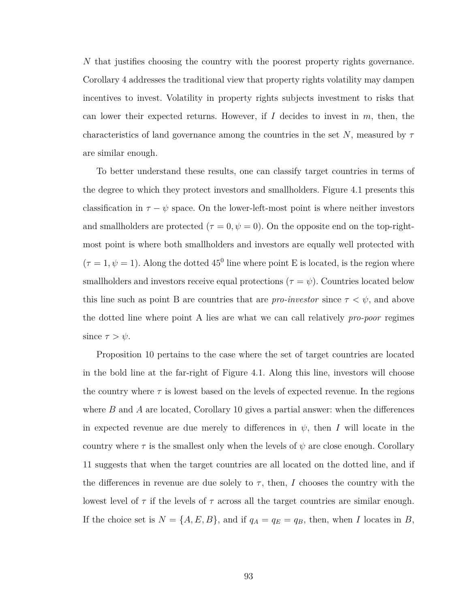*N* that justifies choosing the country with the poorest property rights governance. Corollary 4 addresses the traditional view that property rights volatility may dampen incentives to invest. Volatility in property rights subjects investment to risks that can lower their expected returns. However, if *I* decides to invest in *m*, then, the characteristics of land governance among the countries in the set *N*, measured by *τ* are similar enough.

To better understand these results, one can classify target countries in terms of the degree to which they protect investors and smallholders. Figure [4.1](#page-105-0) presents this classification in  $\tau - \psi$  space. On the lower-left-most point is where neither investors and smallholders are protected ( $\tau = 0, \psi = 0$ ). On the opposite end on the top-rightmost point is where both smallholders and investors are equally well protected with  $(\tau = 1, \psi = 1)$ . Along the dotted 45<sup>0</sup> line where point E is located, is the region where smallholders and investors receive equal protections ( $\tau = \psi$ ). Countries located below this line such as point B are countries that are *pro-investor* since  $\tau < \psi$ , and above the dotted line where point A lies are what we can call relatively *pro-poor* regimes since  $\tau > \psi$ .

Proposition [10](#page-97-0) pertains to the case where the set of target countries are located in the bold line at the far-right of Figure [4.1.](#page-105-0) Along this line, investors will choose the country where  $\tau$  is lowest based on the levels of expected revenue. In the regions where *B* and *A* are located, Corollary [10](#page-102-0) gives a partial answer: when the differences in expected revenue are due merely to differences in  $\psi$ , then *I* will locate in the country where  $\tau$  is the smallest only when the levels of  $\psi$  are close enough. Corollary [11](#page-103-1) suggests that when the target countries are all located on the dotted line, and if the differences in revenue are due solely to  $\tau$ , then, *I* chooses the country with the lowest level of  $\tau$  if the levels of  $\tau$  across all the target countries are similar enough. If the choice set is  $N = \{A, E, B\}$ , and if  $q_A = q_E = q_B$ , then, when *I* locates in *B*,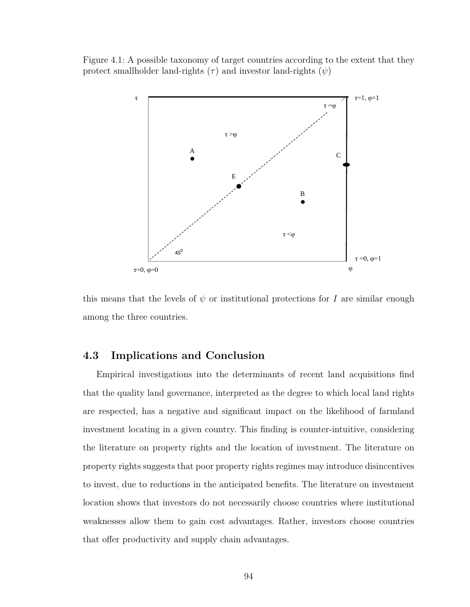<span id="page-105-0"></span>Figure 4.1: A possible taxonomy of target countries according to the extent that they protect smallholder land-rights  $(\tau)$  and investor land-rights  $(\psi)$ 



this means that the levels of  $\psi$  or institutional protections for *I* are similar enough among the three countries.

### **4.3 Implications and Conclusion**

Empirical investigations into the determinants of recent land acquisitions find that the quality land governance, interpreted as the degree to which local land rights are respected, has a negative and significant impact on the likelihood of farmland investment locating in a given country. This finding is counter-intuitive, considering the literature on property rights and the location of investment. The literature on property rights suggests that poor property rights regimes may introduce disincentives to invest, due to reductions in the anticipated benefits. The literature on investment location shows that investors do not necessarily choose countries where institutional weaknesses allow them to gain cost advantages. Rather, investors choose countries that offer productivity and supply chain advantages.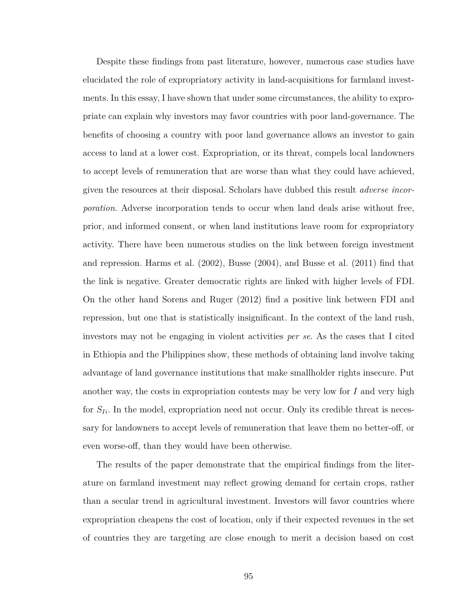Despite these findings from past literature, however, numerous case studies have elucidated the role of expropriatory activity in land-acquisitions for farmland investments. In this essay, I have shown that under some circumstances, the ability to expropriate can explain why investors may favor countries with poor land-governance. The benefits of choosing a country with poor land governance allows an investor to gain access to land at a lower cost. Expropriation, or its threat, compels local landowners to accept levels of remuneration that are worse than what they could have achieved, given the resources at their disposal. Scholars have dubbed this result *adverse incorporation*. Adverse incorporation tends to occur when land deals arise without free, prior, and informed consent, or when land institutions leave room for expropriatory activity. There have been numerous studies on the link between foreign investment and repression. [Harms et al.](#page-129-5) [\(2002\)](#page-129-5), [Busse](#page-127-5) [\(2004\)](#page-127-5), and [Busse et al.](#page-127-6) [\(2011\)](#page-127-6) find that the link is negative. Greater democratic rights are linked with higher levels of FDI. On the other hand [Sorens and Ruger](#page-131-5) [\(2012\)](#page-131-5) find a positive link between FDI and repression, but one that is statistically insignificant. In the context of the land rush, investors may not be engaging in violent activities *per se*. As the cases that I cited in Ethiopia and the Philippines show, these methods of obtaining land involve taking advantage of land governance institutions that make smallholder rights insecure. Put another way, the costs in expropriation contests may be very low for *I* and very high for  $S_{I_i}$ . In the model, expropriation need not occur. Only its credible threat is necessary for landowners to accept levels of remuneration that leave them no better-off, or even worse-off, than they would have been otherwise.

The results of the paper demonstrate that the empirical findings from the literature on farmland investment may reflect growing demand for certain crops, rather than a secular trend in agricultural investment. Investors will favor countries where expropriation cheapens the cost of location, only if their expected revenues in the set of countries they are targeting are close enough to merit a decision based on cost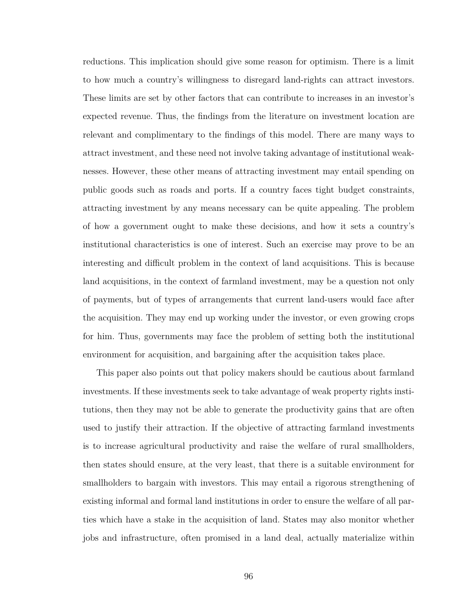reductions. This implication should give some reason for optimism. There is a limit to how much a country's willingness to disregard land-rights can attract investors. These limits are set by other factors that can contribute to increases in an investor's expected revenue. Thus, the findings from the literature on investment location are relevant and complimentary to the findings of this model. There are many ways to attract investment, and these need not involve taking advantage of institutional weaknesses. However, these other means of attracting investment may entail spending on public goods such as roads and ports. If a country faces tight budget constraints, attracting investment by any means necessary can be quite appealing. The problem of how a government ought to make these decisions, and how it sets a country's institutional characteristics is one of interest. Such an exercise may prove to be an interesting and difficult problem in the context of land acquisitions. This is because land acquisitions, in the context of farmland investment, may be a question not only of payments, but of types of arrangements that current land-users would face after the acquisition. They may end up working under the investor, or even growing crops for him. Thus, governments may face the problem of setting both the institutional environment for acquisition, and bargaining after the acquisition takes place.

This paper also points out that policy makers should be cautious about farmland investments. If these investments seek to take advantage of weak property rights institutions, then they may not be able to generate the productivity gains that are often used to justify their attraction. If the objective of attracting farmland investments is to increase agricultural productivity and raise the welfare of rural smallholders, then states should ensure, at the very least, that there is a suitable environment for smallholders to bargain with investors. This may entail a rigorous strengthening of existing informal and formal land institutions in order to ensure the welfare of all parties which have a stake in the acquisition of land. States may also monitor whether jobs and infrastructure, often promised in a land deal, actually materialize within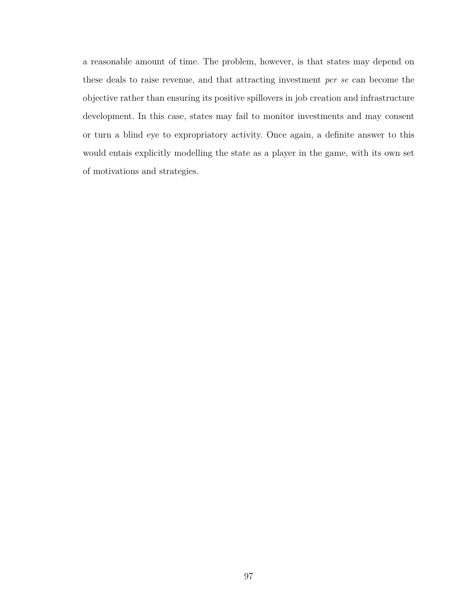a reasonable amount of time. The problem, however, is that states may depend on these deals to raise revenue, and that attracting investment *per se* can become the objective rather than ensuring its positive spillovers in job creation and infrastructure development. In this case, states may fail to monitor investments and may consent or turn a blind eye to expropriatory activity. Once again, a definite answer to this would entais explicitly modelling the state as a player in the game, with its own set of motivations and strategies.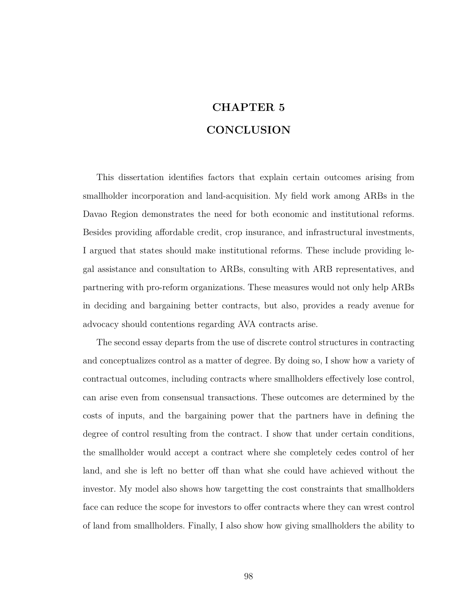# **CHAPTER 5 CONCLUSION**

This dissertation identifies factors that explain certain outcomes arising from smallholder incorporation and land-acquisition. My field work among ARBs in the Davao Region demonstrates the need for both economic and institutional reforms. Besides providing affordable credit, crop insurance, and infrastructural investments, I argued that states should make institutional reforms. These include providing legal assistance and consultation to ARBs, consulting with ARB representatives, and partnering with pro-reform organizations. These measures would not only help ARBs in deciding and bargaining better contracts, but also, provides a ready avenue for advocacy should contentions regarding AVA contracts arise.

The second essay departs from the use of discrete control structures in contracting and conceptualizes control as a matter of degree. By doing so, I show how a variety of contractual outcomes, including contracts where smallholders effectively lose control, can arise even from consensual transactions. These outcomes are determined by the costs of inputs, and the bargaining power that the partners have in defining the degree of control resulting from the contract. I show that under certain conditions, the smallholder would accept a contract where she completely cedes control of her land, and she is left no better off than what she could have achieved without the investor. My model also shows how targetting the cost constraints that smallholders face can reduce the scope for investors to offer contracts where they can wrest control of land from smallholders. Finally, I also show how giving smallholders the ability to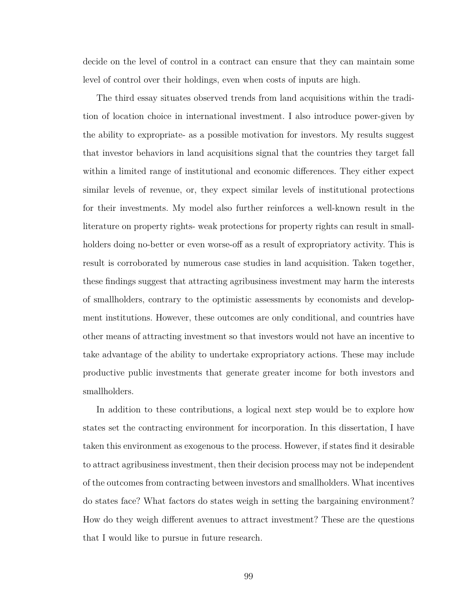decide on the level of control in a contract can ensure that they can maintain some level of control over their holdings, even when costs of inputs are high.

The third essay situates observed trends from land acquisitions within the tradition of location choice in international investment. I also introduce power-given by the ability to expropriate- as a possible motivation for investors. My results suggest that investor behaviors in land acquisitions signal that the countries they target fall within a limited range of institutional and economic differences. They either expect similar levels of revenue, or, they expect similar levels of institutional protections for their investments. My model also further reinforces a well-known result in the literature on property rights- weak protections for property rights can result in smallholders doing no-better or even worse-off as a result of expropriatory activity. This is result is corroborated by numerous case studies in land acquisition. Taken together, these findings suggest that attracting agribusiness investment may harm the interests of smallholders, contrary to the optimistic assessments by economists and development institutions. However, these outcomes are only conditional, and countries have other means of attracting investment so that investors would not have an incentive to take advantage of the ability to undertake expropriatory actions. These may include productive public investments that generate greater income for both investors and smallholders.

In addition to these contributions, a logical next step would be to explore how states set the contracting environment for incorporation. In this dissertation, I have taken this environment as exogenous to the process. However, if states find it desirable to attract agribusiness investment, then their decision process may not be independent of the outcomes from contracting between investors and smallholders. What incentives do states face? What factors do states weigh in setting the bargaining environment? How do they weigh different avenues to attract investment? These are the questions that I would like to pursue in future research.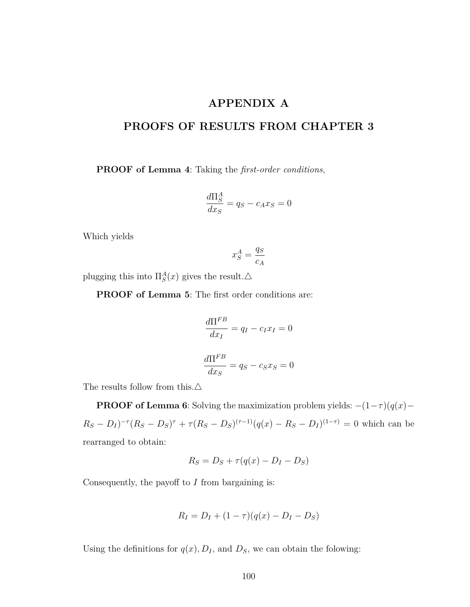## **APPENDIX A**

## **PROOFS OF RESULTS FROM CHAPTER [3](#page-61-0)**

**PROOF of Lemma [4](#page-94-0)**: Taking the *first-order conditions*,

$$
\frac{d\Pi_S^A}{dx_S} = q_S - c_A x_S = 0
$$

Which yields

$$
x_S^A = \frac{q_S}{c_A}
$$

plugging this into  $\Pi_S^A(x)$  gives the result. $\triangle$ 

**PROOF of Lemma [5](#page-94-1)**: The first order conditions are:

$$
\frac{d\Pi^{FB}}{dx_I} = q_I - c_I x_I = 0
$$

$$
\frac{d\Pi^{FB}}{dx_S} = q_S - c_S x_S = 0
$$

The results follow from this. $\triangle$ 

**PROOF of Lemma [6](#page-96-0)**: Solving the maximization problem yields:  $-(1-\tau)(q(x) R_S - D_I)^{-\tau} (R_S - D_S)^{\tau} + \tau (R_S - D_S)^{(\tau - 1)} (q(x) - R_S - D_I)^{(1 - \tau)} = 0$  which can be rearranged to obtain:

$$
R_S = D_S + \tau (q(x) - D_I - D_S)
$$

Consequently, the payoff to *I* from bargaining is:

$$
R_I = D_I + (1 - \tau)(q(x) - D_I - D_S)
$$

Using the definitions for  $q(x)$ ,  $D_I$ , and  $D_S$ , we can obtain the folowing: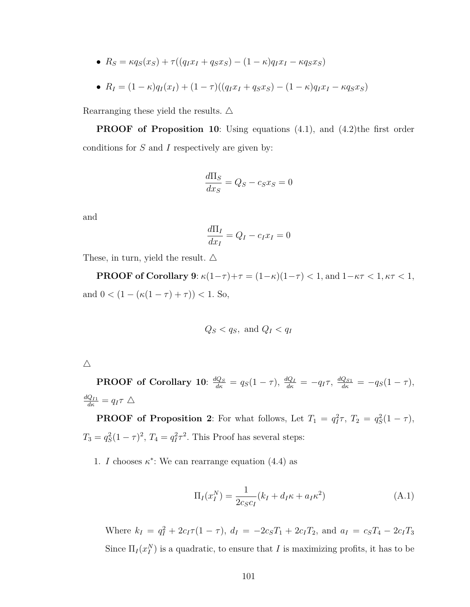•  $R_S = \kappa q_S(x_S) + \tau ((q_I x_I + q_S x_S) - (1 - \kappa) q_I x_I - \kappa q_S x_S)$ 

• 
$$
R_I = (1 - \kappa)q_I(x_I) + (1 - \tau)((q_I x_I + q_S x_S) - (1 - \kappa)q_I x_I - \kappa q_S x_S)
$$

Rearranging these yield the results.  $\triangle$ 

**PROOF** of Proposition [10](#page-97-0): Using equations  $(4.1)$ , and  $(4.2)$ the first order conditions for *S* and *I* respectively are given by:

$$
\frac{d\Pi_S}{dx_S} = Q_S - c_S x_S = 0
$$

and

$$
\frac{d\Pi_I}{dx_I} = Q_I - c_I x_I = 0
$$

These, in turn, yield the result.  $\triangle$ 

**PROOF of Corollary [9](#page-95-0)**:  $\kappa(1-\tau)+\tau = (1-\kappa)(1-\tau) < 1$ , and  $1-\kappa\tau < 1$ ,  $\kappa\tau < 1$ , and  $0 < (1 - (\kappa(1 - \tau) + \tau)) < 1$ . So,

$$
Q_S < q_S, \text{ and } Q_I < q_I
$$

**PROOF** of Corollary [10](#page-102-0):  $\frac{dQ_S}{d\kappa} = q_S(1-\tau)$ ,  $\frac{dQ_I}{d\kappa} = -q_I\tau$ ,  $\frac{dQ_{S1}}{d\kappa} = -q_S(1-\tau)$ ,  $\frac{dQ_{I1}}{d\kappa} = q_I \tau \Delta$ 

**PROOF of Proposition [2](#page-73-0)**: For what follows, Let  $T_1 = q_I^2 \tau$ ,  $T_2 = q_S^2 (1 - \tau)$ ,  $T_3 = q_S^2(1 - \tau)^2$ ,  $T_4 = q_I^2\tau^2$ . This Proof has several steps:

1. *I* chooses  $\kappa^*$ : We can rearrange equation [\(4.4\)](#page-96-1) as

<span id="page-112-0"></span>
$$
\Pi_I(x_I^N) = \frac{1}{2c_S c_I} (k_I + d_I \kappa + a_I \kappa^2)
$$
\n(A.1)

Where  $k_I = q_I^2 + 2c_I\tau(1-\tau)$ ,  $d_I = -2c_S T_1 + 2c_I T_2$ , and  $a_I = c_S T_4 - 2c_I T_3$ Since  $\Pi_I(x_I^N)$  is a quadratic, to ensure that *I* is maximizing profits, it has to be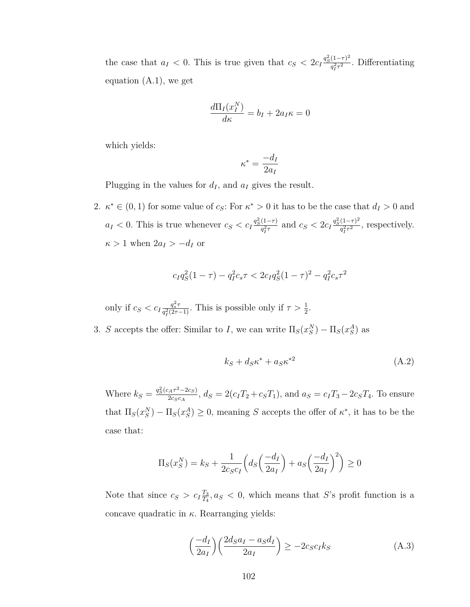the case that  $a_I < 0$ . This is true given that  $c_S < 2c_I \frac{q_S^2(1-\tau)^2}{q_S^2\tau^2}$  $\frac{(1-\tau)}{q_I^2 \tau^2}$ . Differentiating equation [\(A.1\)](#page-112-0), we get

$$
\frac{d\Pi_I(x_I^N)}{d\kappa} = b_I + 2a_I\kappa = 0
$$

which yields:

$$
\kappa^* = \frac{-d_I}{2a_I}
$$

Plugging in the values for  $d_I$ , and  $a_I$  gives the result.

2.  $\kappa^* \in (0,1)$  for some value of *c<sub>S</sub>*: For  $\kappa^* > 0$  it has to be the case that  $d_I > 0$  and  $a_I < 0$ . This is true whenever  $c_S < c_I \frac{q_S^2(1-\tau)}{q^2\tau}$  $\frac{(1-\tau)}{q_f^2 \tau}$  and  $c_S < 2c_I \frac{q_S^2 (1-\tau)^2}{q_f^2 \tau^2}$  $\frac{(1-\tau)^2}{q_I^2 \tau^2}$ , respectively.  $\kappa > 1$  when  $2a_I > -d_I$  or

$$
c_{I}q_{S}^{2}(1-\tau) - q_{I}^{2}c_{s}\tau < 2c_{I}q_{S}^{2}(1-\tau)^{2} - q_{I}^{2}c_{s}\tau^{2}
$$

only if  $c_S < c_I \frac{q_s^2 \tau}{a^2 (2\tau)}$  $\frac{q_s^2 \tau}{q_I^2(2\tau-1)}$ . This is possible only if  $\tau > \frac{1}{2}$ .

3. *S* accepts the offer: Similar to *I*, we can write  $\Pi_S(x_S^N) - \Pi_S(x_S^A)$  as

$$
k_S + d_S \kappa^* + a_S \kappa^{*2} \tag{A.2}
$$

Where  $k_S = \frac{q_S^2(c_A\tau^2 - 2c_S)}{2c_Sc_A}$  $\frac{a_4r - 2c_S}{2c_Sc_A}$ ,  $d_S = 2(c_I T_2 + c_S T_1)$ , and  $a_S = c_I T_3 - 2c_S T_4$ . To ensure that  $\Pi_S(x_S^N) - \Pi_S(x_S^A) \geq 0$ , meaning *S* accepts the offer of  $\kappa^*$ , it has to be the case that:

$$
\Pi_S(x_S^N) = k_S + \frac{1}{2c_S c_I} \left( d_S \left( \frac{-d_I}{2a_I} \right) + a_S \left( \frac{-d_I}{2a_I} \right)^2 \right) \ge 0
$$

Note that since  $c_S > c_I \frac{T_3}{T_A}$  $\frac{T_3}{T_4}$ ,  $a_S < 0$ , which means that *S*'s profit function is a concave quadratic in *κ*. Rearranging yields:

<span id="page-113-0"></span>
$$
\left(\frac{-d_I}{2a_I}\right)\left(\frac{2d_Sa_I - a_Sd_I}{2a_I}\right) \ge -2c_Sc_Ik_S\tag{A.3}
$$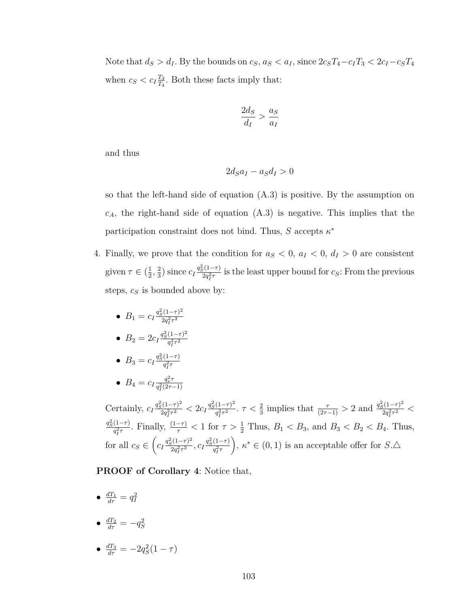Note that  $d_S > d_I$ . By the bounds on  $c_S$ ,  $a_S < a_I$ , since  $2c_S T_4 - c_I T_3 < 2c_I - c_S T_4$ when  $c_S < c_I \frac{T_3}{T_4}$  $\frac{T_3}{T_4}$ . Both these facts imply that:

$$
\frac{2d_S}{d_I} > \frac{a_S}{a_I}
$$

and thus

$$
2d_S a_I - a_S d_I > 0
$$

so that the left-hand side of equation [\(A.3\)](#page-113-0) is positive. By the assumption on *cA*, the right-hand side of equation [\(A.3\)](#page-113-0) is negative. This implies that the participation constraint does not bind. Thus, *S* accepts *κ* ∗

- 4. Finally, we prove that the condition for  $a_S < 0$ ,  $a_I < 0$ ,  $d_I > 0$  are consistent given  $\tau \in (\frac{1}{2})$  $\frac{1}{2}$ ,  $\frac{2}{3}$  $\frac{2}{3}$ ) since  $c_I \frac{q_S^2(1-\tau)}{2q_I^2\tau}$  $\frac{2q_i^2 - 7}{2q_i^2}$  is the least upper bound for *c<sub>S</sub>*: From the previous steps, *c<sup>S</sup>* is bounded above by:
	- $B_1 = c_I \frac{q_S^2 (1-\tau)^2}{2a^2 \tau^2}$  $2q_I^2\tau^2$

• 
$$
B_2 = 2c_I \frac{q_S^2 (1 - \tau)^2}{q_I^2 \tau^2}
$$

$$
\bullet \ \ B_3 = c_I \frac{q_S^2 (1 - \tau)}{q_I^2 \tau}
$$

•  $B_4 = c_I \frac{q_s^2 \tau}{q_s^2 (2\tau)}$  $q_I^2(2\tau-1)$ 

Certainly,  $c_I \frac{q_S^2 (1-\tau)^2}{2a^2 \tau^2}$  $\frac{2q_i^2(1-\tau)^2}{2q_i^2\tau^2} < 2c_I \frac{q_S^2(1-\tau)^2}{q_I^2\tau^2}$  $\frac{(1-\tau)^2}{q_f^2 \tau^2}$ .  $\tau < \frac{2}{3}$  implies that  $\frac{\tau}{(2\tau-1)} > 2$  and  $\frac{q_S^2 (1-\tau)^2}{2q_f^2 \tau^2}$  $\frac{a_1(1-\tau)^2}{2q_I^2\tau^2}$  <  $q_S^2(1-\tau)$  $\frac{(1-\tau)}{q_T^2 \tau}$ . Finally,  $\frac{(1-\tau)}{\tau} < 1$  for  $\tau > \frac{1}{2}$  Thus,  $B_1 < B_3$ , and  $B_3 < B_2 < B_4$ . Thus, for all  $c_S \in \left(c_I \frac{q_S^2 (1-\tau)^2}{2q^2 \tau^2}\right)$  $c_I \frac{q_S^2(1-\tau)}{2q_I^2\tau^2}$ ,  $c_I \frac{q_S^2(1-\tau)}{q_I^2\tau}$  $q_I^2$ τ  $\bigg), \, \kappa^* \in (0,1)$  is an acceptable offer for  $S.\Delta$ 

**PROOF of Corollary [4](#page-75-0)**: Notice that,

- $\bullet$   $\frac{dT_1}{d\tau} = q_I^2$
- $\bullet$   $\frac{dT_2}{d\tau} = -q_S^2$
- $\frac{dT_3}{d\tau} = -2q_S^2(1-\tau)$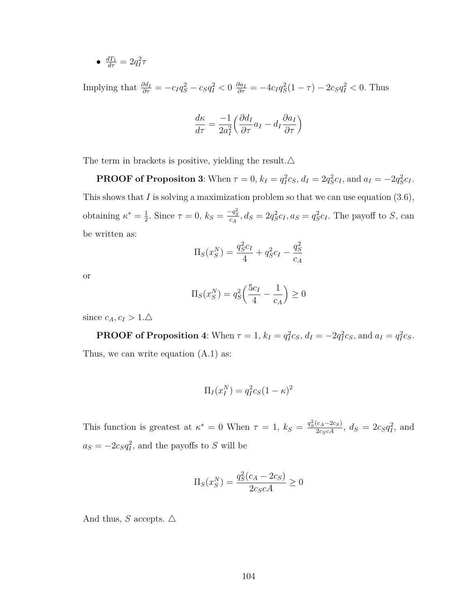•  $\frac{dT_1}{d\tau} = 2q_I^2 \tau$ 

Implying that  $\frac{\partial d_I}{\partial \tau} = -c_I q_S^2 - c_S q_I^2 < 0$   $\frac{\partial a_I}{\partial \tau} = -4c_I q_S^2 (1 - \tau) - 2c_S q_I^2 < 0$ . Thus

$$
\frac{d\kappa}{d\tau} = \frac{-1}{2a_I^2} \left( \frac{\partial d_I}{\partial \tau} a_I - d_I \frac{\partial a_I}{\partial \tau} \right)
$$

The term in brackets is positive, yielding the result.  $\Delta$ 

**PROOF of Propositon [3](#page-75-1)**: When  $\tau = 0$ ,  $k_I = q_I^2 c_S$ ,  $d_I = 2q_S^2 c_I$ , and  $a_I = -2q_S^2 c_I$ . This shows that *I* is solving a maximization problem so that we can use equation [\(3.6\)](#page-73-1), obtaining  $\kappa^* = \frac{1}{2}$  $\frac{1}{2}$ . Since  $\tau = 0$ ,  $k_S = \frac{-q_S^2}{c_A}$ ,  $d_S = 2q_S^2 c_I$ ,  $a_S = q_S^2 c_I$ . The payoff to S, can be written as:

$$
\Pi_S(x_S^N) = \frac{q_S^2 c_I}{4} + q_S^2 c_I - \frac{q_S^2}{c_A}
$$

or

$$
\Pi_S(x_S^N) = q_S^2 \left( \frac{5c_I}{4} - \frac{1}{c_A} \right) \ge 0
$$

since  $c_A, c_I > 1.\Delta$ 

**PROOF of Proposition [4](#page-76-0)**: When  $\tau = 1$ ,  $k_I = q_I^2 c_S$ ,  $d_I = -2q_I^2 c_S$ , and  $a_I = q_I^2 c_S$ . Thus, we can write equation [\(A.1\)](#page-112-0) as:

$$
\Pi_I(x_I^N) = q_I^2 c_S (1 - \kappa)^2
$$

This function is greatest at  $\kappa^* = 0$  When  $\tau = 1$ ,  $k_S = \frac{q_S^2(c_A - 2c_S)}{2c_Sc_A}$ ,  $d_S = 2c_Sq_I^2$ , and  $a_S = -2c_Sq_I^2$ , and the payoffs to *S* will be

$$
\Pi_S(x_S^N) = \frac{q_S^2(c_A - 2c_S)}{2c_S c A} \ge 0
$$

And thus, *S* accepts.  $\triangle$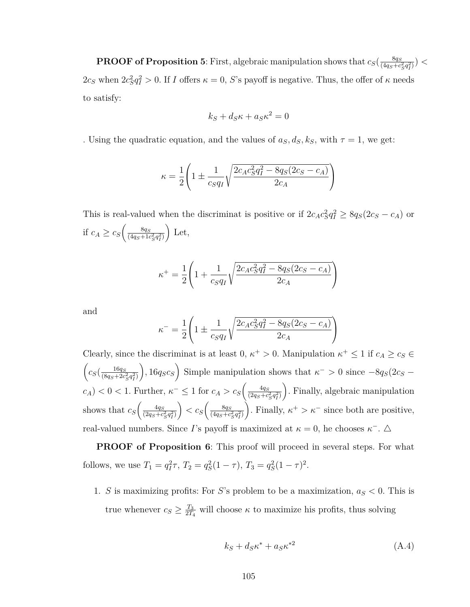**PROOF of Proposition [5](#page-76-1)**: First, algebraic manipulation shows that  $c_S(\frac{8q_S}{4q_S+c_S})$  $\frac{8q_S}{(4q_S+c_S^2q_I^2)}$ ) <  $2c_S$  when  $2c_S^2q_I^2 > 0$ . If *I* offers  $\kappa = 0$ , *S*'s payoff is negative. Thus, the offer of  $\kappa$  needs to satisfy:

$$
k_S + d_S \kappa + a_S \kappa^2 = 0
$$

. Using the quadratic equation, and the values of  $a_S, d_S, k_S$ , with  $\tau = 1$ , we get:

$$
\kappa = \frac{1}{2} \left( 1 \pm \frac{1}{c_S q_I} \sqrt{\frac{2c_A c_S^2 q_I^2 - 8q_S(2c_S - c_A)}{2c_A}} \right)
$$

This is real-valued when the discriminat is positive or if  $2c_A c_S^2 q_I^2 \geq 8q_S(2c_S - c_A)$  or if  $c_A \geq c_S \left( \frac{8q_S}{(4a_S + 16\rho)^2} \right)$  $\sqrt{(4q_S + 1c_S^2 q_I^2)}$ Let,

$$
\kappa^{+} = \frac{1}{2} \left( 1 + \frac{1}{c_{S}q_{I}} \sqrt{\frac{2c_{A}c_{S}^{2}q_{I}^{2} - 8q_{S}(2c_{S} - c_{A})}{2c_{A}}} \right)
$$

and

$$
\kappa^{-} = \frac{1}{2} \left( 1 \pm \frac{1}{c_S q_I} \sqrt{\frac{2c_A c_S^2 q_I^2 - 8q_S(2c_S - c_A)}{2c_A}} \right)
$$

Clearly, since the discriminat is at least  $0, \kappa^+ > 0$ . Manipulation  $\kappa^+ \leq 1$  if  $c_A \geq c_S \in$  $\int$   $c_S \left( \frac{16q_S}{(8a_S + 2c)} \right)$  $\sqrt{(8q_S+2c_S^2q_I^2)}$  $\int$ , 16 $q_Sc_S$  Simple manipulation shows that  $\kappa$ <sup>-</sup> > 0 since  $-8q_S(2c_S$  $c_A$ ) < 0 < 1. Further,  $\kappa$ <sup>-</sup> ≤ 1 for  $c_A > c_S \left( \frac{4q_S}{(2a_S+c_S)} \right)$  $\sqrt{(2q_S+c_S^2q_I^2)}$  . Finally, algebraic manipulation shows that  $c_S \left( \frac{4q_S}{(2q_S+c)} \right)$  $\sqrt{(2q_S+c_S^2q_I^2)}$  $\left\langle \cos\left(\frac{8q_S}{(4a_S+c)}\right)\right\rangle$  $\sqrt{(4q_S+c_S^2q_I^2)}$ ). Finally,  $\kappa^+ > \kappa^-$  since both are positive, real-valued numbers. Since *I*'s payoff is maximized at  $\kappa = 0$ , he chooses  $\kappa^{-}$ .  $\Delta$ 

**PROOF of Proposition [6](#page-78-0)**: This proof will proceed in several steps. For what follows, we use  $T_1 = q_I^2 \tau$ ,  $T_2 = q_S^2 (1 - \tau)$ ,  $T_3 = q_S^2 (1 - \tau)^2$ .

1. *S* is maximizing profits: For *S*'s problem to be a maximization,  $a_S < 0$ . This is true whenever  $c_S \geq \frac{T_3}{2T_1}$  $\frac{T_3}{2T_4}$  will choose  $\kappa$  to maximize his profits, thus solving

<span id="page-116-0"></span>
$$
k_S + d_S \kappa^* + a_S \kappa^{*2} \tag{A.4}
$$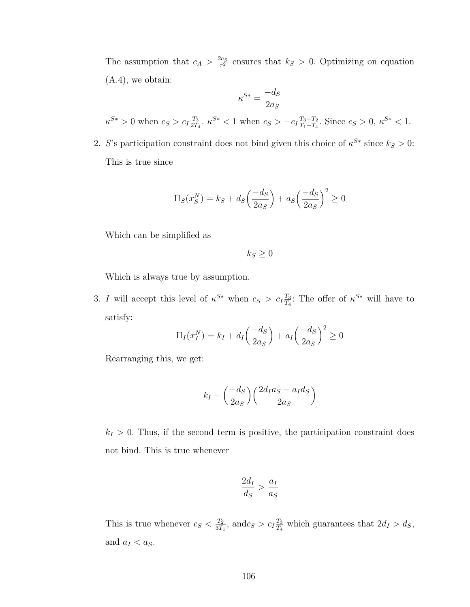The assumption that  $c_A > \frac{2c_S}{\tau^2}$  $\frac{\partial c_S}{\partial t^2}$  ensures that  $k_S > 0$ . Optimizing on equation [\(A.4\)](#page-116-0), we obtain:

$$
\kappa^{S*} = \frac{-d_S}{2a_S}
$$
  

$$
\kappa^{S*} > 0
$$
 when  $c_S > c_I \frac{T_3}{2T_4}$ .  $\kappa^{S*} < 1$  when  $c_S > -c_I \frac{T_3 + T_2}{T_1 - T_4}$ . Since  $c_S > 0$ ,  $\kappa^{S*} < 1$ .

2. *S*'s participation constraint does not bind given this choice of  $\kappa^{S*}$  since  $k_S > 0$ : This is true since

$$
\Pi_S(x_S^N) = k_S + d_S \left(\frac{-d_S}{2a_S}\right) + a_S \left(\frac{-d_S}{2a_S}\right)^2 \ge 0
$$

Which can be simplified as

 $k_S \geq 0$ 

Which is always true by assumption.

3. *I* will accept this level of  $\kappa^{S*}$  when  $c_S > c_I \frac{T_3}{T_1}$  $\frac{T_3}{T_4}$ : The offer of  $\kappa^{S*}$  will have to satisfy:

$$
\Pi_I(x_I^N) = k_I + d_I \left(\frac{-d_S}{2a_S}\right) + a_I \left(\frac{-d_S}{2a_S}\right)^2 \ge 0
$$

Rearranging this, we get:

$$
k_I + \left(\frac{-d_S}{2a_S}\right) \left(\frac{2d_Ia_S - a_Id_S}{2a_S}\right)
$$

 $k_I > 0$ . Thus, if the second term is positive, the participation constraint does not bind. This is true whenever

$$
\frac{2d_I}{d_S} > \frac{a_I}{a_S}
$$

This is true whenever  $c_S < \frac{T_2}{3T}$  $\frac{T_2}{3T_1}$ , and*c<sub>S</sub>* > *c<sub>I</sub>* $\frac{T_3}{T_4}$  $\frac{T_3}{T_4}$  which guarantees that  $2d_I > d_S$ , and  $a_I < a_S$ .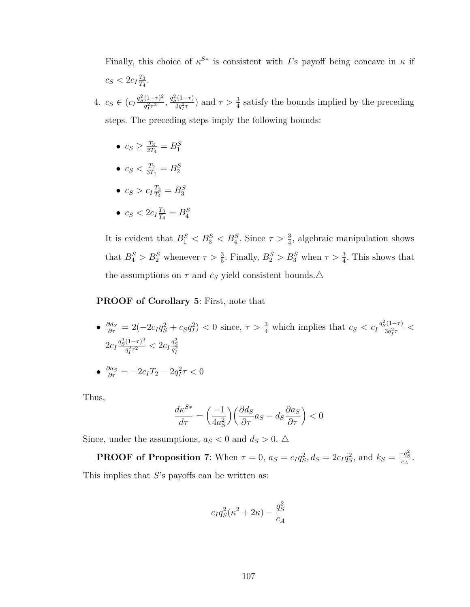Finally, this choice of  $\kappa^{S*}$  is consistent with *I*'s payoff being concave in  $\kappa$  if  $c_S < 2c_I \frac{T_3}{T_4}$  $\frac{T_3}{T_4}$ .

- 4.  $c_S \in (c_I \frac{q_S^2 (1-\tau)^2}{a^2 \tau^2})$  $\frac{q_1^2 \tau^2}{q_I^2 \tau^2}, \frac{q_S^2 (1 - \tau)}{3 q_I^2 \tau}$  $\frac{3q_i^2(\frac{1-\tau}{3})}{3q_i^2\tau}$  and  $\tau > \frac{3}{4}$  satisfy the bounds implied by the preceding steps. The preceding steps imply the following bounds:
	- $\bullet$   $c_S \geq \frac{T_3}{2T}$  $\frac{T_3}{2T_4} = B_1^S$
	- $\bullet$   $c_S < \frac{T_2}{3T}$  $\frac{T_2}{3T_1} = B_2^S$
	- $c_S > c_I \frac{T_3}{T_4}$  $\frac{T_3}{T_4} = B_3^S$
	- $\bullet$   $c_S < 2c_I \frac{T_3}{T_4}$  $\frac{T_3}{T_4} = B_4^S$

It is evident that  $B_1^S < B_3^S < B_4^S$ . Since  $\tau > \frac{3}{4}$ , algebraic manipulation shows that  $B_4^S > B_2^S$  whenever  $\tau > \frac{3}{5}$ . Finally,  $B_2^S > B_3^S$  when  $\tau > \frac{3}{4}$ . This shows that the assumptions on  $\tau$  and  $c_S$  yield consistent bounds.  $\Delta$ 

#### **PROOF of Corollary [5](#page-79-0)**: First, note that

•  $\frac{\partial d_S}{\partial \tau} = 2(-2c_Iq_S^2 + c_Sq_I^2) < 0$  since,  $\tau > \frac{3}{4}$  which implies that  $c_S < c_I \frac{q_S^2(1-\tau)}{3q_I^2\tau}$  $\frac{3q_I^{(1-\tau)}}{3q_I^2 \tau}$  <  $2c_I \frac{q_S^2 (1-\tau)^2}{a^2 \tau^2}$  $\frac{(1-\tau)^2}{q_I^2 \tau^2} < 2c_I \frac{q_S^2}{q_I^2}$ 

$$
\bullet \ \frac{\partial a_S}{\partial \tau} = -2c_I T_2 - 2q_I^2 \tau < 0
$$

Thus,

$$
\frac{d\kappa^{S*}}{d\tau} = \left(\frac{-1}{4a_S^2}\right) \left(\frac{\partial d_S}{\partial \tau} a_S - d_S \frac{\partial a_S}{\partial \tau}\right) < 0
$$

Since, under the assumptions,  $a_S < 0$  and  $d_S > 0$ .  $\triangle$ 

**PROOF** of Proposition [7](#page-79-1): When  $\tau = 0$ ,  $a_S = c_I q_S^2$ ,  $d_S = 2c_I q_S^2$ , and  $k_S = \frac{-q_S^2}{c_A}$ . This implies that *S*'s payoffs can be written as:

$$
c_I q_S^2(\kappa^2 + 2\kappa) - \frac{q_S^2}{c_A}
$$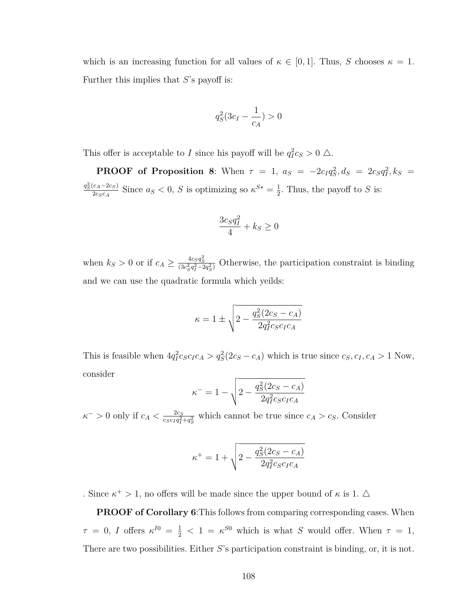which is an increasing function for all values of  $\kappa \in [0,1]$ . Thus, *S* chooses  $\kappa = 1$ . Further this implies that *S*'s payoff is:

$$
q_S^2(3c_I - \frac{1}{c_A}) > 0
$$

This offer is acceptable to *I* since his payoff will be  $q_I^2 c_S > 0$   $\triangle$ .

**PROOF** of Proposition [8](#page-80-0): When  $\tau = 1$ ,  $a_S = -2c_I q_S^2$ ,  $d_S = 2c_S q_I^2$ ,  $k_S =$  $q_S^2(c_A - 2c_S)$  $\frac{c_A - 2c_S}{2c_Sc_A}$  Since  $a_S < 0$ , *S* is optimizing so  $\kappa^{S*} = \frac{1}{2}$  $\frac{1}{2}$ . Thus, the payoff to *S* is:

$$
\frac{3c_Sq_I^2}{4} + k_S \ge 0
$$

when  $k_S > 0$  or if  $c_A \ge \frac{4c_S q_S^2}{(3c_S^2 q_I^2 - 2q_S^2)}$  Otherwise, the participation constraint is binding and we can use the quadratic formula which yeilds:

$$
\kappa = 1 \pm \sqrt{2 - \frac{q_S^2(2c_S - c_A)}{2q_I^2 c_S c_I c_A}}
$$

This is feasible when  $4q_I^2c_Sc_Ic_A > q_S^2(2c_S - c_A)$  which is true since  $c_S, c_I, c_A > 1$  Now, consider

$$
\kappa^{-} = 1 - \sqrt{2 - \frac{q_S^2 (2c_S - c_A)}{2q_I^2 c_S c_I c_A}}
$$

 $\kappa$ <sup>-</sup> > 0 only if  $c_A < \frac{2c_S}{c_0 c_1 a^2}$  $\frac{2c_S}{c_S c_I q_I^2 + q_S^2}$  which cannot be true since  $c_A > c_S$ . Consider

$$
\kappa^{+} = 1 + \sqrt{2 - \frac{q_S^2 (2c_S - c_A)}{2q_I^2 c_S c_I c_A}}
$$

. Since  $\kappa^+ > 1$ , no offers will be made since the upper bound of  $\kappa$  is 1.  $\Delta$ 

**PROOF of Corollary [6](#page-81-0)**:This follows from comparing corresponding cases. When  $\tau = 0$ , *I* offers  $\kappa^{I0} = \frac{1}{2} < 1 = \kappa^{S0}$  which is what *S* would offer. When  $\tau = 1$ , There are two possibilities. Either *S*'s participation constraint is binding, or, it is not.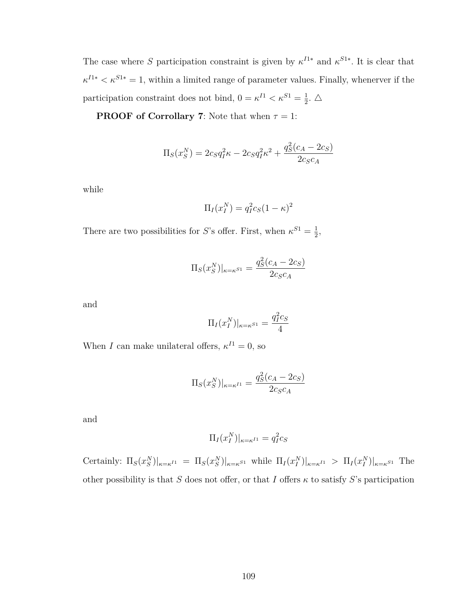The case where *S* participation constraint is given by  $\kappa^{I1*}$  and  $\kappa^{S1*}$ . It is clear that  $\kappa^{I1*} < \kappa^{S1*} = 1$ , within a limited range of parameter values. Finally, whenerver if the participation constraint does not bind,  $0 = \kappa^{I1} < \kappa^{S1} = \frac{1}{2}$  $\frac{1}{2}$ .  $\triangle$ 

**PROOF of Corrollary [7](#page-82-0)**: Note that when  $\tau = 1$ :

$$
\Pi_S(x_S^N) = 2c_S q_I^2 \kappa - 2c_S q_I^2 \kappa^2 + \frac{q_S^2 (c_A - 2c_S)}{2c_S c_A}
$$

while

$$
\Pi_I(x_I^N) = q_I^2 c_S (1 - \kappa)^2
$$

There are two possibilities for *S*'s offer. First, when  $\kappa^{S1} = \frac{1}{2}$  $\frac{1}{2}$ ,

$$
\Pi_S(x_S^N)|_{\kappa = \kappa^{S1}} = \frac{q_S^2(c_A - 2c_S)}{2c_Sc_A}
$$

and

$$
\Pi_I(x_I^N)|_{\kappa=\kappa^{S1}} = \frac{q_I^2 c_S}{4}
$$

When *I* can make unilateral offers,  $\kappa^{I1} = 0$ , so

$$
\Pi_S(x_S^N)|_{\kappa = \kappa^{I1}} = \frac{q_S^2(c_A - 2c_S)}{2c_Sc_A}
$$

and

$$
\Pi_I(x_I^N)|_{\kappa=\kappa^{I1}} = q_I^2 c_S
$$

Certainly:  $\Pi_S(x_S^N)|_{\kappa=\kappa^{I_1}} = \Pi_S(x_S^N)|_{\kappa=\kappa^{S_1}}$  while  $\Pi_I(x_I^N)|_{\kappa=\kappa^{I_1}} > \Pi_I(x_I^N)|_{\kappa=\kappa^{S_1}}$  The other possibility is that *S* does not offer, or that *I* offers  $\kappa$  to satisfy *S*'s participation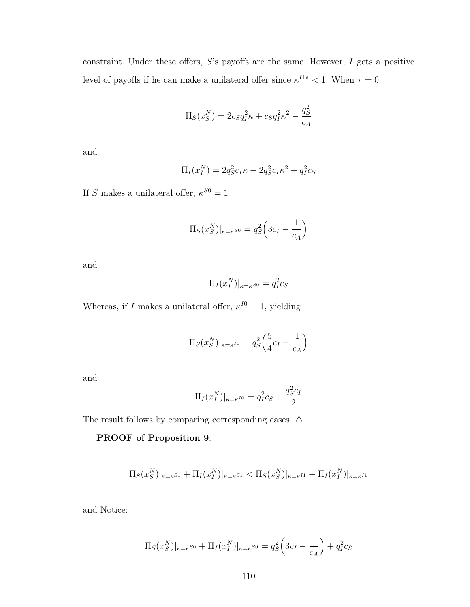constraint. Under these offers, *S*'s payoffs are the same. However, *I* gets a positive level of payoffs if he can make a unilateral offer since  $\kappa^{I1*} < 1$ . When  $\tau = 0$ 

$$
\Pi_S(x_S^N) = 2c_S q_I^2 \kappa + c_S q_I^2 \kappa^2 - \frac{q_S^2}{c_A}
$$

and

$$
\Pi_I(x_I^N) = 2q_S^2c_I\kappa - 2q_S^2c_I\kappa^2 + q_I^2c_S
$$

If *S* makes a unilateral offer,  $\kappa^{S0} = 1$ 

$$
\Pi_S(x_S^N)|_{\kappa=\kappa^{S0}} = q_S^2 \left(3c_I - \frac{1}{c_A}\right)
$$

and

$$
\Pi_I(x_I^N)|_{\kappa=\kappa^{S0}} = q_I^2 c_S
$$

Whereas, if *I* makes a unilateral offer,  $\kappa^{I0} = 1$ , yielding

$$
\Pi_S(x_S^N)|_{\kappa=\kappa^{I0}} = q_S^2 \left(\frac{5}{4}c_I - \frac{1}{c_A}\right)
$$

and

$$
\Pi_I(x_I^N)|_{\kappa = \kappa^{I0}} = q_I^2 c_S + \frac{q_S^2 c_I}{2}
$$

The result follows by comparing corresponding cases.  $\Delta$ 

**PROOF of Proposition [9](#page-83-0)**:

$$
\Pi_S(x_S^N)|_{\kappa=\kappa^{S1}} + \Pi_I(x_I^N)|_{\kappa=\kappa^{S1}} < \Pi_S(x_S^N)|_{\kappa=\kappa^{I1}} + \Pi_I(x_I^N)|_{\kappa=\kappa^{I1}}
$$

and Notice:

$$
\Pi_S(x_S^N)|_{\kappa=\kappa^{S0}} + \Pi_I(x_I^N)|_{\kappa=\kappa^{S0}} = q_S^2 \left(3c_I - \frac{1}{c_A}\right) + q_I^2 c_S
$$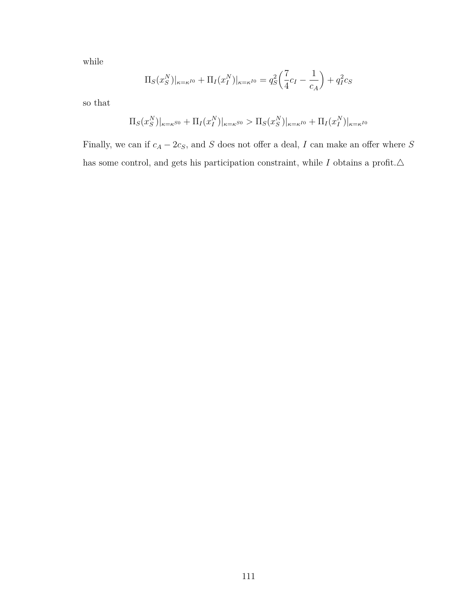while

$$
\Pi_S(x_S^N)|_{\kappa=\kappa^{I0}} + \Pi_I(x_I^N)|_{\kappa=\kappa^{I0}} = q_S^2 \left(\frac{7}{4}c_I - \frac{1}{c_A}\right) + q_I^2 c_S
$$

so that

$$
\Pi_S(x_S^N)|_{\kappa=\kappa^{S0}} + \Pi_I(x_I^N)|_{\kappa=\kappa^{S0}} > \Pi_S(x_S^N)|_{\kappa=\kappa^{I0}} + \Pi_I(x_I^N)|_{\kappa=\kappa^{I0}}
$$

Finally, we can if  $c_A - 2c_S$ , and *S* does not offer a deal, *I* can make an offer where *S* has some control, and gets his participation constraint, while  $I$  obtains a profit. $\Delta$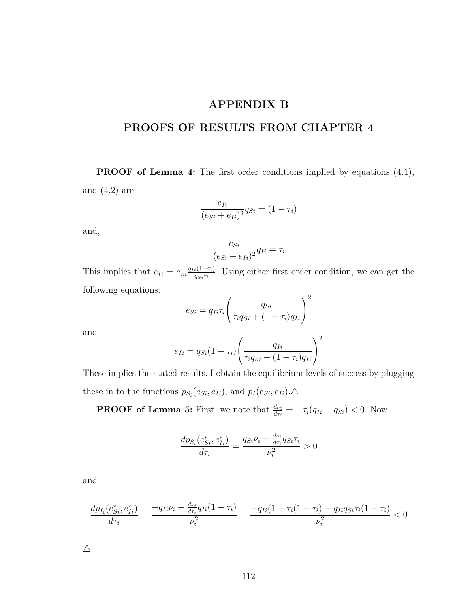## **APPENDIX B**

# **PROOFS OF RESULTS FROM CHAPTER [4](#page-87-0)**

**PROOF of Lemma [4:](#page-94-0)** The first order conditions implied by equations [\(4.1\)](#page-94-2), and [\(4.2\)](#page-94-3) are:

$$
\frac{e_{Ii}}{(e_{Si}+e_{Ii})^2}q_{Si}=(1-\tau_i)
$$

and,

$$
\frac{e_{Si}}{(e_{Si} + e_{Ii})^2} q_{Ii} = \tau_i
$$

This implies that  $e_{Ii} = e_{Si} \frac{q_{Ii}(1-\tau_i)}{q_{Si} \tau_i}$  $q_{Si}\tau_i$ . Using either first order condition, we can get the following equations:

$$
e_{Si} = q_{Ii}\tau_i \left(\frac{q_{Si}}{\tau_i q_{Si} + (1 - \tau_i) q_{Ii}}\right)^2
$$

and

$$
e_{Ii} = q_{Si}(1 - \tau_i) \left( \frac{q_{Ii}}{\tau_i q_{Si} + (1 - \tau_i) q_{Ii}} \right)^2
$$

These implies the stated results. I obtain the equilibrium levels of success by plugging these in to the functions  $p_{S_i}(e_{S_i}, e_{I_i})$ , and  $p_I(e_{S_i}, e_{I_i})$ .  $\triangle$ 

**PROOF of Lemma [5:](#page-94-1)** First, we note that  $\frac{d\nu_i}{d\tau_i} = -\tau_i(q_{Ii} - q_{Si}) < 0$ . Now,

$$
\frac{dp_{S_i}(e_{Si}^*, e_{Ii}^*)}{d\tau_i} = \frac{q_{Si}\nu_i - \frac{d\nu_i}{d\tau_i}q_{Si}\tau_i}{\nu_i^2} > 0
$$

and

$$
\frac{dp_{I_i}(e_{Si}^*,e_{Ii}^*)}{d\tau_i} = \frac{-q_{Ii}\nu_i - \frac{d\nu_i}{d\tau_i}q_{Ii}(1-\tau_i)}{\nu_i^2} = \frac{-q_{Ii}(1+\tau_i(1-\tau_i)-q_{Ii}q_{Si}\tau_i(1-\tau_i)}{\nu_i^2} < 0
$$

 $\triangle$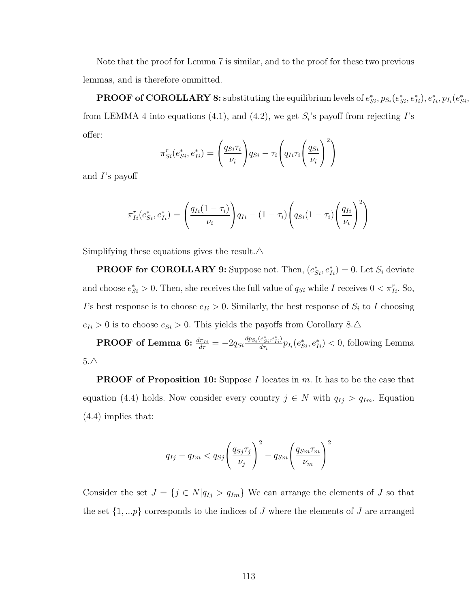Note that the proof for Lemma [7](#page-100-0) is similar, and to the proof for these two previous lemmas, and is therefore ommitted.

**PROOF of COROLLARY [8:](#page-94-4)** substituting the equilibrium levels of  $e_{Si}^*, p_{S_i}(e_{Si}^*, e_{Ii}^*), e_{Ii}^*, p_{I_i}(e_{Si}^*, e_{Ii}^*)$ from LEMMA [4](#page-94-0) into equations [\(4.1\)](#page-94-2), and [\(4.2\)](#page-94-3), we get *S<sup>i</sup>* 's payoff from rejecting *I*'s offer:

$$
\pi_{Si}^r(e_{Si}^*, e_{Ii}^*) = \left(\frac{q_{Si}\tau_i}{\nu_i}\right) q_{Si} - \tau_i \left(q_{Ii}\tau_i \left(\frac{q_{Si}}{\nu_i}\right)^2\right)
$$

and *I*'s payoff

$$
\pi_{Ii}^r(e_{Si}^*, e_{Ii}^*) = \left(\frac{q_{Ii}(1-\tau_i)}{\nu_i}\right) q_{Ii} - (1-\tau_i) \left(q_{Si}(1-\tau_i) \left(\frac{q_{Ii}}{\nu_i}\right)^2\right)
$$

Simplifying these equations gives the result. $\Delta$ 

**PROOF for COROLLARY [9:](#page-95-0)** Suppose not. Then,  $(e_{Si}^*, e_{Ii}^*) = 0$ . Let  $S_i$  deviate and choose  $e_{Si}^* > 0$ . Then, she receives the full value of  $q_{Si}$  while *I* receives  $0 < \pi_{Ii}^r$ . So, *I*'s best response is to choose  $e_{I_i} > 0$ . Similarly, the best response of  $S_i$  to *I* choosing  $e_{Ii} > 0$  is to choose  $e_{Si} > 0$ . This yields the payoffs from Corollary [8.](#page-94-4) $\triangle$ 

 $\textbf{PROOF of Lemma 6:} \ \frac{d\pi_{Ii}}{d\tau} = -2q_{Si}\frac{dp_{S_i}(e^*_{Si},e^*_{Ii})}{d\tau_i}$  $\textbf{PROOF of Lemma 6:} \ \frac{d\pi_{Ii}}{d\tau} = -2q_{Si}\frac{dp_{S_i}(e^*_{Si},e^*_{Ii})}{d\tau_i}$  $\textbf{PROOF of Lemma 6:} \ \frac{d\pi_{Ii}}{d\tau} = -2q_{Si}\frac{dp_{S_i}(e^*_{Si},e^*_{Ii})}{d\tau_i}$  $\frac{e_{Si}^2, e_{Ii}^2}{d\tau_i} p_{I_i}(e_{Si}^*, e_{Ii}^*)$  < 0, following Lemma  $5.\triangle$  $5.\triangle$ 

**PROOF of Proposition [10:](#page-97-0)** Suppose *I* locates in *m*. It has to be the case that equation [\(4.4\)](#page-96-1) holds. Now consider every country  $j \in N$  with  $q_{Ij} > q_{Im}$ . Equation [\(4.4\)](#page-96-1) implies that:

$$
q_{Ij} - q_{Im} < q_{Sj} \left(\frac{q_{Sj} \tau_j}{\nu_j}\right)^2 - q_{Sm} \left(\frac{q_{Sm} \tau_m}{\nu_m}\right)^2
$$

Consider the set  $J = \{j \in N | q_{Ij} > q_{Im} \}$  We can arrange the elements of *J* so that the set  $\{1, \ldots p\}$  corresponds to the indices of *J* where the elements of *J* are arranged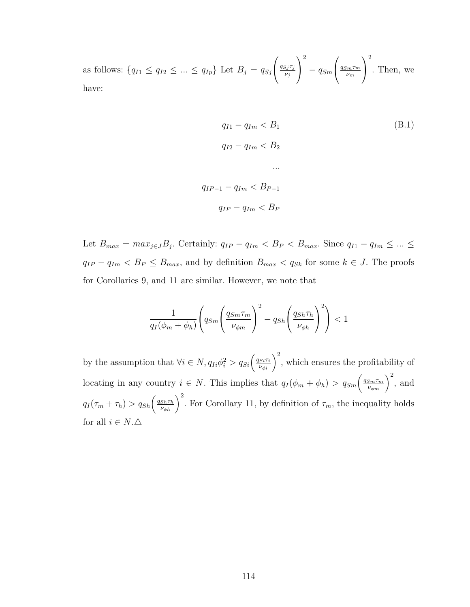as follows:  ${q_{I1} \le q_{I2} \le ... \le q_{Ip}}$  Let  $B_j = q_{Sj}$  $\sqrt{ }$  $\mathcal{L}$ *qSj τ<sup>j</sup> νj*  $\setminus$  $\overline{1}$ 2 − *qSm*  $\sqrt{ }$  $\mathcal{L}$ *qSmτ<sup>m</sup> νm*  $\setminus$  $\overline{1}$ 2 . Then, we have:

$$
q_{I1} - q_{Im} < B_1 \tag{B.1}
$$
\n
$$
q_{I2} - q_{Im} < B_2 \tag{B.1}
$$
\n
$$
\dots
$$
\n
$$
q_{IP-1} - q_{Im} < B_{P-1} \tag{II-P-1}
$$
\n
$$
q_{IP} - q_{Im} < B_P
$$

Let  $B_{max} = max_{j \in J}B_j$ . Certainly:  $q_{IP} - q_{Im} < B_P < B_{max}$ . Since  $q_{I1} - q_{Im} \leq ... \leq$  $q_{IP} - q_{Im} < B_P \leq B_{max}$ , and by definition  $B_{max} < q_{Sk}$  for some  $k \in J$ . The proofs for Corollaries [9,](#page-95-0) and [11](#page-103-0) are similar. However, we note that

$$
\frac{1}{q_I(\phi_m + \phi_h)} \left( q_{Sm} \left( \frac{q_{Sm} \tau_m}{\nu_{\phi m}} \right)^2 - q_{Sh} \left( \frac{q_{Sh} \tau_h}{\nu_{\phi h}} \right)^2 \right) < 1
$$

by the assumption that  $\forall i \in N$ ,  $q_{Ii}\phi_i^2 > q_{Si}\left(\frac{q_{Si}\tau_i}{\nu_{\phi i}}\right)^2$ , which ensures the profitability of locating in any country  $i \in N$ . This implies that  $q_I(\phi_m + \phi_h) > q_{Sm} \left(\frac{q_{Sm}\tau_m}{\nu_{\phi_m}}\right)^2$ , and  $q_I(\tau_m + \tau_h) > q_{Sh} \left(\frac{q_{Sh} \tau_h}{\nu_{\phi h}}\right)^2$ . For Corollary [11,](#page-103-0) by definition of  $\tau_m$ , the inequality holds for all  $i \in N.\triangle$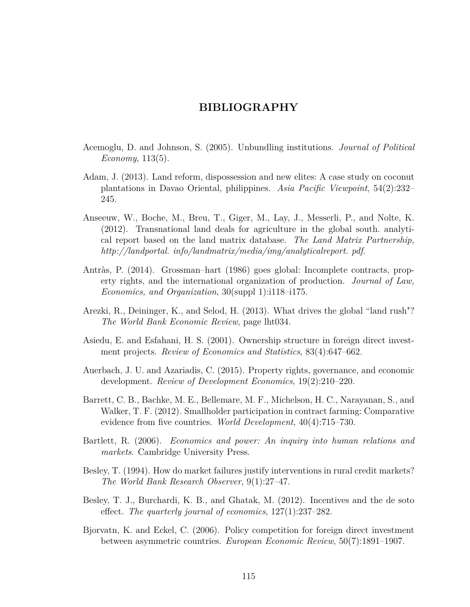### **BIBLIOGRAPHY**

- Acemoglu, D. and Johnson, S. (2005). Unbundling institutions. *Journal of Political Economy*, 113(5).
- Adam, J. (2013). Land reform, dispossession and new elites: A case study on coconut plantations in Davao Oriental, philippines. *Asia Pacific Viewpoint*, 54(2):232– 245.
- Anseeuw, W., Boche, M., Breu, T., Giger, M., Lay, J., Messerli, P., and Nolte, K. (2012). Transnational land deals for agriculture in the global south. analytical report based on the land matrix database. *The Land Matrix Partnership, http://landportal. info/landmatrix/media/img/analyticalreport. pdf*.
- Antràs, P. (2014). Grossman–hart (1986) goes global: Incomplete contracts, property rights, and the international organization of production. *Journal of Law, Economics, and Organization*, 30(suppl 1):i118–i175.
- Arezki, R., Deininger, K., and Selod, H. (2013). What drives the global "land rush"? *The World Bank Economic Review*, page lht034.
- Asiedu, E. and Esfahani, H. S. (2001). Ownership structure in foreign direct investment projects. *Review of Economics and Statistics*, 83(4):647–662.
- Auerbach, J. U. and Azariadis, C. (2015). Property rights, governance, and economic development. *Review of Development Economics*, 19(2):210–220.
- Barrett, C. B., Bachke, M. E., Bellemare, M. F., Michelson, H. C., Narayanan, S., and Walker, T. F. (2012). Smallholder participation in contract farming: Comparative evidence from five countries. *World Development*, 40(4):715–730.
- Bartlett, R. (2006). *Economics and power: An inquiry into human relations and markets*. Cambridge University Press.
- Besley, T. (1994). How do market failures justify interventions in rural credit markets? *The World Bank Research Observer*, 9(1):27–47.
- Besley, T. J., Burchardi, K. B., and Ghatak, M. (2012). Incentives and the de soto effect. *The quarterly journal of economics*, 127(1):237–282.
- Bjorvatn, K. and Eckel, C. (2006). Policy competition for foreign direct investment between asymmetric countries. *European Economic Review*, 50(7):1891–1907.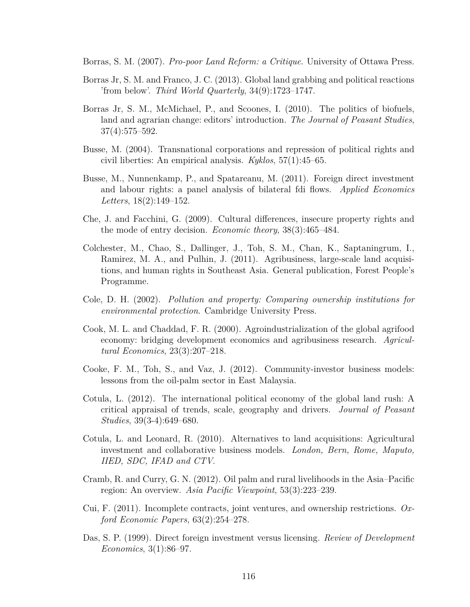Borras, S. M. (2007). *Pro-poor Land Reform: a Critique*. University of Ottawa Press.

- Borras Jr, S. M. and Franco, J. C. (2013). Global land grabbing and political reactions 'from below'. *Third World Quarterly*, 34(9):1723–1747.
- Borras Jr, S. M., McMichael, P., and Scoones, I. (2010). The politics of biofuels, land and agrarian change: editors' introduction. *The Journal of Peasant Studies*, 37(4):575–592.
- Busse, M. (2004). Transnational corporations and repression of political rights and civil liberties: An empirical analysis. *Kyklos*, 57(1):45–65.
- Busse, M., Nunnenkamp, P., and Spatareanu, M. (2011). Foreign direct investment and labour rights: a panel analysis of bilateral fdi flows. *Applied Economics Letters*, 18(2):149–152.
- Che, J. and Facchini, G. (2009). Cultural differences, insecure property rights and the mode of entry decision. *Economic theory*, 38(3):465–484.
- Colchester, M., Chao, S., Dallinger, J., Toh, S. M., Chan, K., Saptaningrum, I., Ramirez, M. A., and Pulhin, J. (2011). Agribusiness, large-scale land acquisitions, and human rights in Southeast Asia. General publication, Forest People's Programme.
- Cole, D. H. (2002). *Pollution and property: Comparing ownership institutions for environmental protection*. Cambridge University Press.
- Cook, M. L. and Chaddad, F. R. (2000). Agroindustrialization of the global agrifood economy: bridging development economics and agribusiness research. *Agricultural Economics*, 23(3):207–218.
- Cooke, F. M., Toh, S., and Vaz, J. (2012). Community-investor business models: lessons from the oil-palm sector in East Malaysia.
- Cotula, L. (2012). The international political economy of the global land rush: A critical appraisal of trends, scale, geography and drivers. *Journal of Peasant Studies*, 39(3-4):649–680.
- Cotula, L. and Leonard, R. (2010). Alternatives to land acquisitions: Agricultural investment and collaborative business models. *London, Bern, Rome, Maputo, IIED, SDC, IFAD and CTV*.
- Cramb, R. and Curry, G. N. (2012). Oil palm and rural livelihoods in the Asia–Pacific region: An overview. *Asia Pacific Viewpoint*, 53(3):223–239.
- Cui, F. (2011). Incomplete contracts, joint ventures, and ownership restrictions. *Oxford Economic Papers*, 63(2):254–278.
- Das, S. P. (1999). Direct foreign investment versus licensing. *Review of Development Economics*, 3(1):86–97.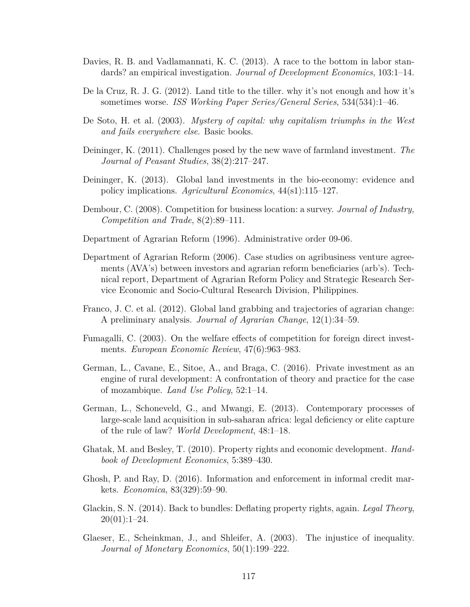- Davies, R. B. and Vadlamannati, K. C. (2013). A race to the bottom in labor standards? an empirical investigation. *Journal of Development Economics*, 103:1–14.
- De la Cruz, R. J. G. (2012). Land title to the tiller. why it's not enough and how it's sometimes worse. *ISS Working Paper Series/General Series*, 534(534):1–46.
- De Soto, H. et al. (2003). *Mystery of capital: why capitalism triumphs in the West and fails everywhere else*. Basic books.
- Deininger, K. (2011). Challenges posed by the new wave of farmland investment. *The Journal of Peasant Studies*, 38(2):217–247.
- Deininger, K. (2013). Global land investments in the bio-economy: evidence and policy implications. *Agricultural Economics*, 44(s1):115–127.
- Dembour, C. (2008). Competition for business location: a survey. *Journal of Industry, Competition and Trade*, 8(2):89–111.
- Department of Agrarian Reform (1996). Administrative order 09-06.
- Department of Agrarian Reform (2006). Case studies on agribusiness venture agreements (AVA's) between investors and agrarian reform beneficiaries (arb's). Technical report, Department of Agrarian Reform Policy and Strategic Research Service Economic and Socio-Cultural Research Division, Philippines.
- Franco, J. C. et al. (2012). Global land grabbing and trajectories of agrarian change: A preliminary analysis. *Journal of Agrarian Change*, 12(1):34–59.
- Fumagalli, C. (2003). On the welfare effects of competition for foreign direct investments. *European Economic Review*, 47(6):963–983.
- German, L., Cavane, E., Sitoe, A., and Braga, C. (2016). Private investment as an engine of rural development: A confrontation of theory and practice for the case of mozambique. *Land Use Policy*, 52:1–14.
- German, L., Schoneveld, G., and Mwangi, E. (2013). Contemporary processes of large-scale land acquisition in sub-saharan africa: legal deficiency or elite capture of the rule of law? *World Development*, 48:1–18.
- Ghatak, M. and Besley, T. (2010). Property rights and economic development. *Handbook of Development Economics*, 5:389–430.
- Ghosh, P. and Ray, D. (2016). Information and enforcement in informal credit markets. *Economica*, 83(329):59–90.
- Glackin, S. N. (2014). Back to bundles: Deflating property rights, again. *Legal Theory*,  $20(01):1-24.$
- Glaeser, E., Scheinkman, J., and Shleifer, A. (2003). The injustice of inequality. *Journal of Monetary Economics*, 50(1):199–222.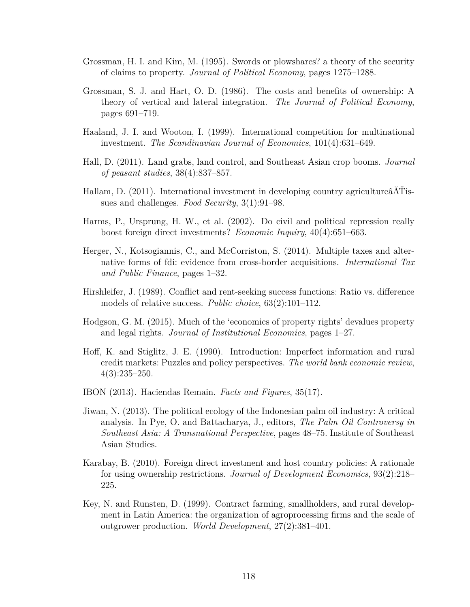- Grossman, H. I. and Kim, M. (1995). Swords or plowshares? a theory of the security of claims to property. *Journal of Political Economy*, pages 1275–1288.
- Grossman, S. J. and Hart, O. D. (1986). The costs and benefits of ownership: A theory of vertical and lateral integration. *The Journal of Political Economy*, pages 691–719.
- Haaland, J. I. and Wooton, I. (1999). International competition for multinational investment. *The Scandinavian Journal of Economics*, 101(4):631–649.
- Hall, D. (2011). Land grabs, land control, and Southeast Asian crop booms. *Journal of peasant studies*, 38(4):837–857.
- Hallam, D. (2011). International investment in developing country agricultureâĂŤissues and challenges. *Food Security*, 3(1):91–98.
- Harms, P., Ursprung, H. W., et al. (2002). Do civil and political repression really boost foreign direct investments? *Economic Inquiry*, 40(4):651–663.
- Herger, N., Kotsogiannis, C., and McCorriston, S. (2014). Multiple taxes and alternative forms of fdi: evidence from cross-border acquisitions. *International Tax and Public Finance*, pages 1–32.
- Hirshleifer, J. (1989). Conflict and rent-seeking success functions: Ratio vs. difference models of relative success. *Public choice*, 63(2):101–112.
- Hodgson, G. M. (2015). Much of the 'economics of property rights' devalues property and legal rights. *Journal of Institutional Economics*, pages 1–27.
- Hoff, K. and Stiglitz, J. E. (1990). Introduction: Imperfect information and rural credit markets: Puzzles and policy perspectives. *The world bank economic review*, 4(3):235–250.
- IBON (2013). Haciendas Remain. *Facts and Figures*, 35(17).
- Jiwan, N. (2013). The political ecology of the Indonesian palm oil industry: A critical analysis. In Pye, O. and Battacharya, J., editors, *The Palm Oil Controversy in Southeast Asia: A Transnational Perspective*, pages 48–75. Institute of Southeast Asian Studies.
- Karabay, B. (2010). Foreign direct investment and host country policies: A rationale for using ownership restrictions. *Journal of Development Economics*, 93(2):218– 225.
- Key, N. and Runsten, D. (1999). Contract farming, smallholders, and rural development in Latin America: the organization of agroprocessing firms and the scale of outgrower production. *World Development*, 27(2):381–401.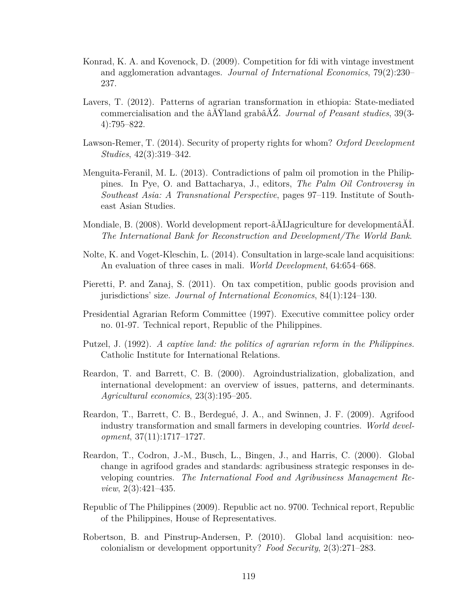- Konrad, K. A. and Kovenock, D. (2009). Competition for fdi with vintage investment and agglomeration advantages. *Journal of International Economics*, 79(2):230– 237.
- Lavers, T. (2012). Patterns of agrarian transformation in ethiopia: State-mediated commercialisation and the âĂŸland grabâĂŹ. *Journal of Peasant studies*, 39(3- 4):795–822.
- Lawson-Remer, T. (2014). Security of property rights for whom? *Oxford Development Studies*, 42(3):319–342.
- Menguita-Feranil, M. L. (2013). Contradictions of palm oil promotion in the Philippines. In Pye, O. and Battacharya, J., editors, *The Palm Oil Controversy in Southeast Asia: A Transnational Perspective*, pages 97–119. Institute of Southeast Asian Studies.
- Mondiale, B. (2008). World development report-âĂIJagriculture for developmentâĂİ. *The International Bank for Reconstruction and Development/The World Bank*.
- Nolte, K. and Voget-Kleschin, L. (2014). Consultation in large-scale land acquisitions: An evaluation of three cases in mali. *World Development*, 64:654–668.
- Pieretti, P. and Zanaj, S. (2011). On tax competition, public goods provision and jurisdictions' size. *Journal of International Economics*, 84(1):124–130.
- Presidential Agrarian Reform Committee (1997). Executive committee policy order no. 01-97. Technical report, Republic of the Philippines.
- Putzel, J. (1992). *A captive land: the politics of agrarian reform in the Philippines.* Catholic Institute for International Relations.
- Reardon, T. and Barrett, C. B. (2000). Agroindustrialization, globalization, and international development: an overview of issues, patterns, and determinants. *Agricultural economics*, 23(3):195–205.
- Reardon, T., Barrett, C. B., Berdegué, J. A., and Swinnen, J. F. (2009). Agrifood industry transformation and small farmers in developing countries. *World development*, 37(11):1717–1727.
- Reardon, T., Codron, J.-M., Busch, L., Bingen, J., and Harris, C. (2000). Global change in agrifood grades and standards: agribusiness strategic responses in developing countries. *The International Food and Agribusiness Management Review*, 2(3):421–435.
- Republic of The Philippines (2009). Republic act no. 9700. Technical report, Republic of the Philippines, House of Representatives.
- Robertson, B. and Pinstrup-Andersen, P. (2010). Global land acquisition: neocolonialism or development opportunity? *Food Security*, 2(3):271–283.